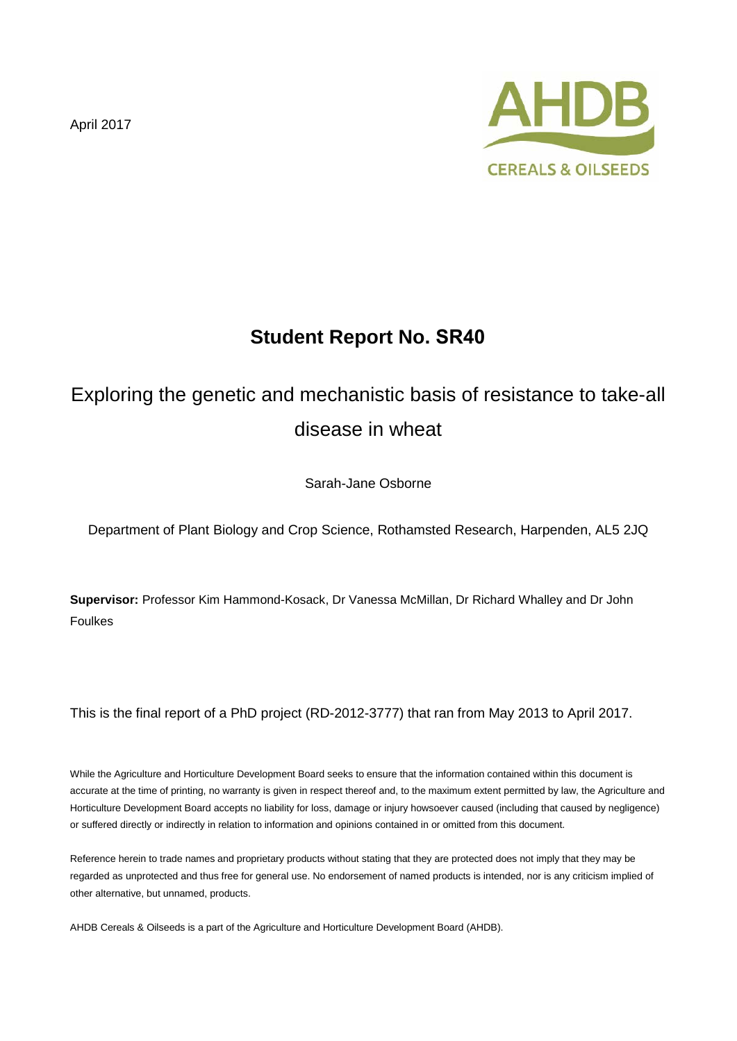April 2017



# **Student Report No. SR40**

# Exploring the genetic and mechanistic basis of resistance to take-all disease in wheat

Sarah-Jane Osborne

Department of Plant Biology and Crop Science, Rothamsted Research, Harpenden, AL5 2JQ

**Supervisor:** Professor Kim Hammond-Kosack, Dr Vanessa McMillan, Dr Richard Whalley and Dr John Foulkes

This is the final report of a PhD project (RD-2012-3777) that ran from May 2013 to April 2017.

While the Agriculture and Horticulture Development Board seeks to ensure that the information contained within this document is accurate at the time of printing, no warranty is given in respect thereof and, to the maximum extent permitted by law, the Agriculture and Horticulture Development Board accepts no liability for loss, damage or injury howsoever caused (including that caused by negligence) or suffered directly or indirectly in relation to information and opinions contained in or omitted from this document.

Reference herein to trade names and proprietary products without stating that they are protected does not imply that they may be regarded as unprotected and thus free for general use. No endorsement of named products is intended, nor is any criticism implied of other alternative, but unnamed, products.

AHDB Cereals & Oilseeds is a part of the Agriculture and Horticulture Development Board (AHDB).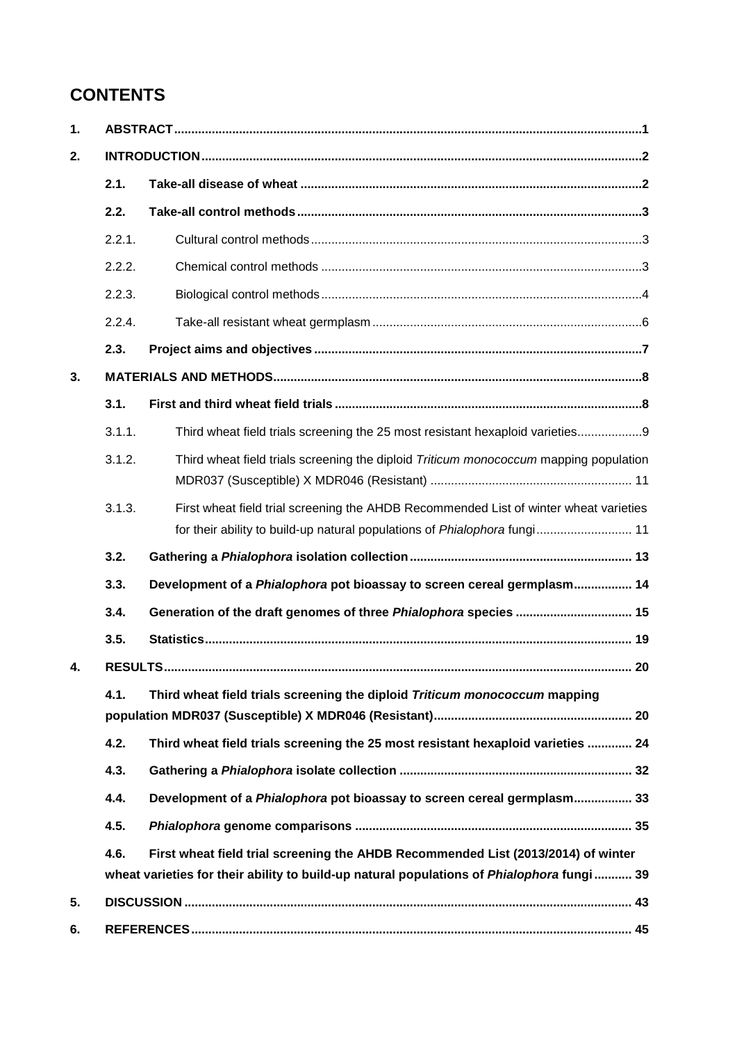# **CONTENTS**

| 1. |        |                                                                                                                                                                                 |  |  |  |  |
|----|--------|---------------------------------------------------------------------------------------------------------------------------------------------------------------------------------|--|--|--|--|
| 2. |        |                                                                                                                                                                                 |  |  |  |  |
|    | 2.1.   |                                                                                                                                                                                 |  |  |  |  |
|    | 2.2.   |                                                                                                                                                                                 |  |  |  |  |
|    | 2.2.1. |                                                                                                                                                                                 |  |  |  |  |
|    | 2.2.2. |                                                                                                                                                                                 |  |  |  |  |
|    | 2.2.3. |                                                                                                                                                                                 |  |  |  |  |
|    | 2.2.4. |                                                                                                                                                                                 |  |  |  |  |
|    | 2.3.   |                                                                                                                                                                                 |  |  |  |  |
| 3. |        |                                                                                                                                                                                 |  |  |  |  |
|    | 3.1.   |                                                                                                                                                                                 |  |  |  |  |
|    | 3.1.1. | Third wheat field trials screening the 25 most resistant hexaploid varieties                                                                                                    |  |  |  |  |
|    | 3.1.2. | Third wheat field trials screening the diploid Triticum monococcum mapping population                                                                                           |  |  |  |  |
|    | 3.1.3. | First wheat field trial screening the AHDB Recommended List of winter wheat varieties<br>for their ability to build-up natural populations of Phialophora fungi  11             |  |  |  |  |
|    | 3.2.   |                                                                                                                                                                                 |  |  |  |  |
|    | 3.3.   | Development of a Phialophora pot bioassay to screen cereal germplasm 14                                                                                                         |  |  |  |  |
|    | 3.4.   | Generation of the draft genomes of three Phialophora species  15                                                                                                                |  |  |  |  |
|    | 3.5.   |                                                                                                                                                                                 |  |  |  |  |
| 4. |        |                                                                                                                                                                                 |  |  |  |  |
|    | 4.1.   | Third wheat field trials screening the diploid Triticum monococcum mapping                                                                                                      |  |  |  |  |
|    | 4.2.   | Third wheat field trials screening the 25 most resistant hexaploid varieties  24                                                                                                |  |  |  |  |
|    | 4.3.   |                                                                                                                                                                                 |  |  |  |  |
|    | 4.4.   | Development of a Phialophora pot bioassay to screen cereal germplasm 33                                                                                                         |  |  |  |  |
|    | 4.5.   |                                                                                                                                                                                 |  |  |  |  |
|    | 4.6.   | First wheat field trial screening the AHDB Recommended List (2013/2014) of winter<br>wheat varieties for their ability to build-up natural populations of Phialophora fungi  39 |  |  |  |  |
| 5. |        |                                                                                                                                                                                 |  |  |  |  |
| 6. |        |                                                                                                                                                                                 |  |  |  |  |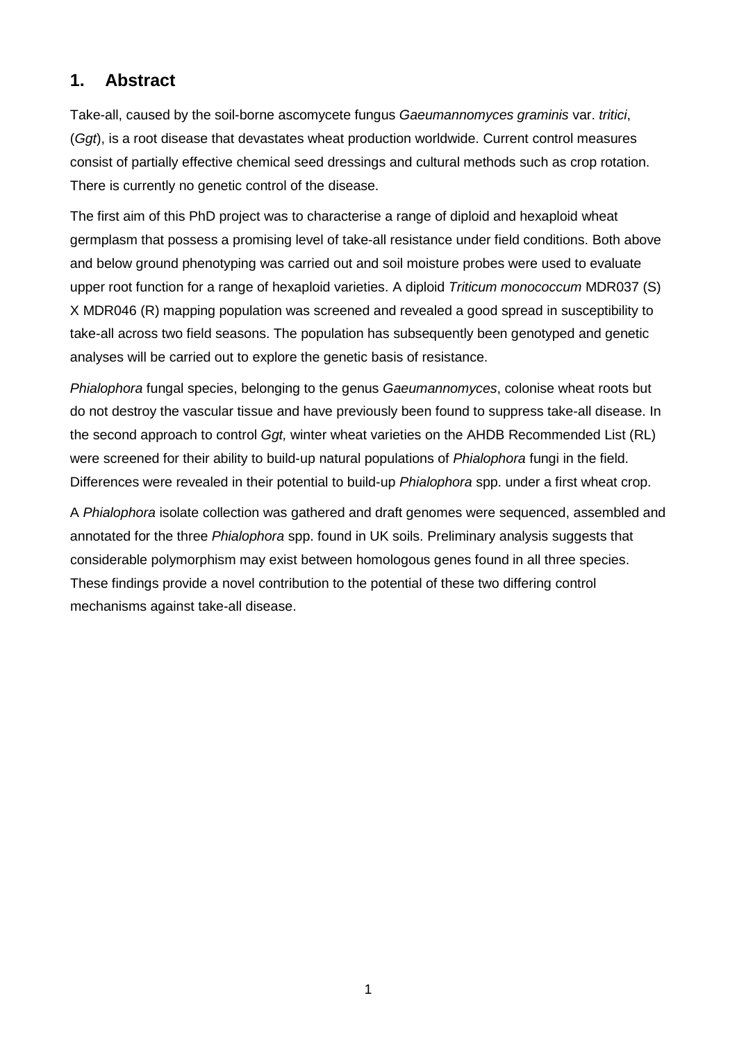### **1. Abstract**

Take-all, caused by the soil-borne ascomycete fungus *Gaeumannomyces graminis* var. *tritici*, (*Ggt*), is a root disease that devastates wheat production worldwide. Current control measures consist of partially effective chemical seed dressings and cultural methods such as crop rotation. There is currently no genetic control of the disease.

The first aim of this PhD project was to characterise a range of diploid and hexaploid wheat germplasm that possess a promising level of take-all resistance under field conditions. Both above and below ground phenotyping was carried out and soil moisture probes were used to evaluate upper root function for a range of hexaploid varieties. A diploid *Triticum monococcum* MDR037 (S) X MDR046 (R) mapping population was screened and revealed a good spread in susceptibility to take-all across two field seasons. The population has subsequently been genotyped and genetic analyses will be carried out to explore the genetic basis of resistance.

*Phialophora* fungal species, belonging to the genus *Gaeumannomyces*, colonise wheat roots but do not destroy the vascular tissue and have previously been found to suppress take-all disease. In the second approach to control *Ggt,* winter wheat varieties on the AHDB Recommended List (RL) were screened for their ability to build-up natural populations of *Phialophora* fungi in the field. Differences were revealed in their potential to build-up *Phialophora* spp. under a first wheat crop.

A *Phialophora* isolate collection was gathered and draft genomes were sequenced, assembled and annotated for the three *Phialophora* spp. found in UK soils. Preliminary analysis suggests that considerable polymorphism may exist between homologous genes found in all three species. These findings provide a novel contribution to the potential of these two differing control mechanisms against take-all disease.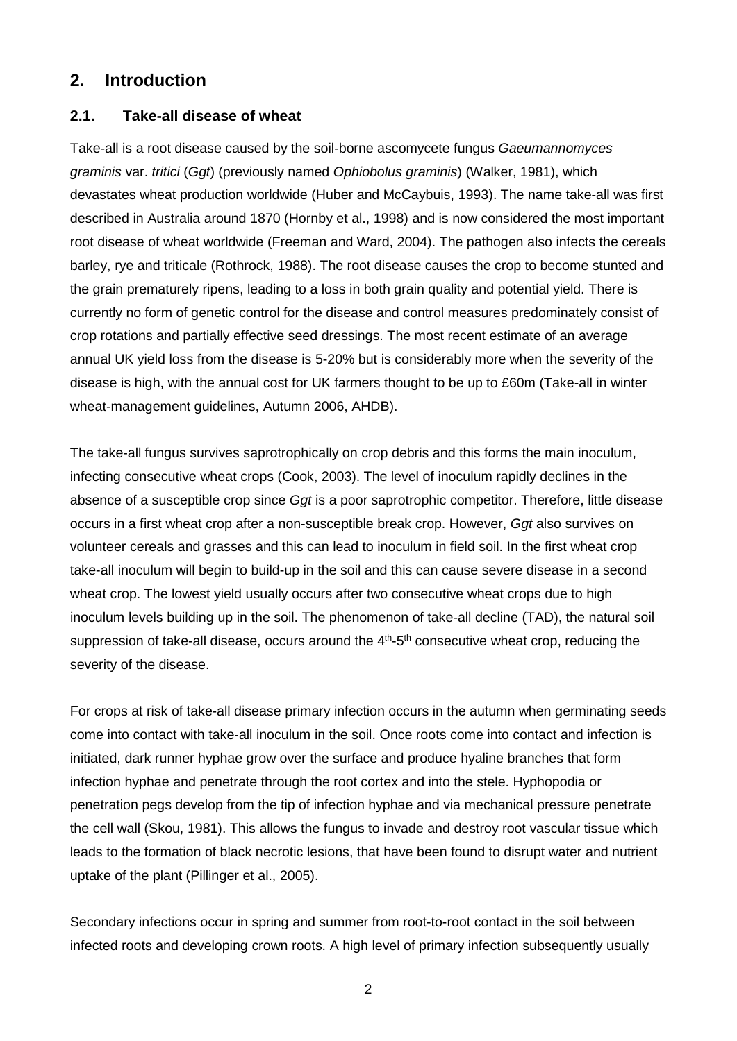### **2. Introduction**

### **2.1. Take-all disease of wheat**

Take-all is a root disease caused by the soil-borne ascomycete fungus *Gaeumannomyces graminis* var. *tritici* (*Ggt*) (previously named *Ophiobolus graminis*) (Walker, 1981), which devastates wheat production worldwide (Huber and McCaybuis, 1993). The name take-all was first described in Australia around 1870 (Hornby et al., 1998) and is now considered the most important root disease of wheat worldwide (Freeman and Ward, 2004). The pathogen also infects the cereals barley, rye and triticale (Rothrock, 1988). The root disease causes the crop to become stunted and the grain prematurely ripens, leading to a loss in both grain quality and potential yield. There is currently no form of genetic control for the disease and control measures predominately consist of crop rotations and partially effective seed dressings. The most recent estimate of an average annual UK yield loss from the disease is 5-20% but is considerably more when the severity of the disease is high, with the annual cost for UK farmers thought to be up to £60m (Take-all in winter wheat-management guidelines, Autumn 2006, AHDB).

The take-all fungus survives saprotrophically on crop debris and this forms the main inoculum, infecting consecutive wheat crops (Cook, 2003). The level of inoculum rapidly declines in the absence of a susceptible crop since *Ggt* is a poor saprotrophic competitor. Therefore, little disease occurs in a first wheat crop after a non-susceptible break crop. However, *Ggt* also survives on volunteer cereals and grasses and this can lead to inoculum in field soil. In the first wheat crop take-all inoculum will begin to build-up in the soil and this can cause severe disease in a second wheat crop. The lowest yield usually occurs after two consecutive wheat crops due to high inoculum levels building up in the soil. The phenomenon of take-all decline (TAD), the natural soil suppression of take-all disease, occurs around the 4<sup>th</sup>-5<sup>th</sup> consecutive wheat crop, reducing the severity of the disease.

For crops at risk of take-all disease primary infection occurs in the autumn when germinating seeds come into contact with take-all inoculum in the soil. Once roots come into contact and infection is initiated, dark runner hyphae grow over the surface and produce hyaline branches that form infection hyphae and penetrate through the root cortex and into the stele. Hyphopodia or penetration pegs develop from the tip of infection hyphae and via mechanical pressure penetrate the cell wall (Skou, 1981). This allows the fungus to invade and destroy root vascular tissue which leads to the formation of black necrotic lesions, that have been found to disrupt water and nutrient uptake of the plant (Pillinger et al., 2005).

Secondary infections occur in spring and summer from root-to-root contact in the soil between infected roots and developing crown roots. A high level of primary infection subsequently usually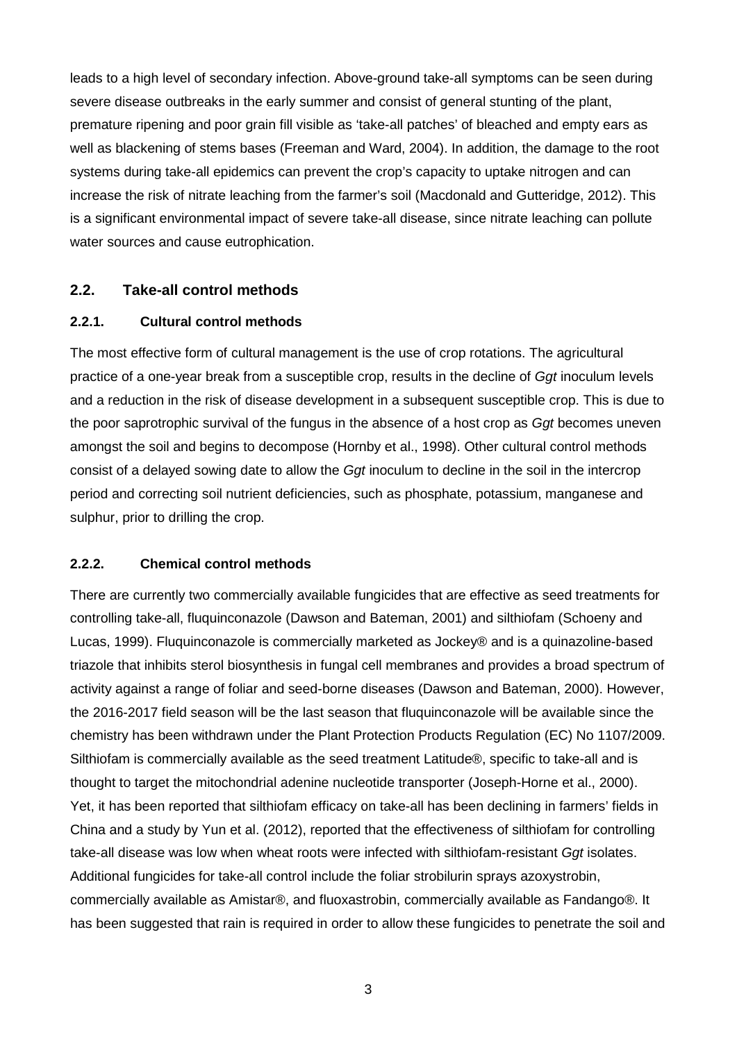leads to a high level of secondary infection. Above-ground take-all symptoms can be seen during severe disease outbreaks in the early summer and consist of general stunting of the plant, premature ripening and poor grain fill visible as 'take-all patches' of bleached and empty ears as well as blackening of stems bases (Freeman and Ward, 2004). In addition, the damage to the root systems during take-all epidemics can prevent the crop's capacity to uptake nitrogen and can increase the risk of nitrate leaching from the farmer's soil (Macdonald and Gutteridge, 2012). This is a significant environmental impact of severe take-all disease, since nitrate leaching can pollute water sources and cause eutrophication.

### **2.2. Take-all control methods**

#### **2.2.1. Cultural control methods**

The most effective form of cultural management is the use of crop rotations. The agricultural practice of a one-year break from a susceptible crop, results in the decline of *Ggt* inoculum levels and a reduction in the risk of disease development in a subsequent susceptible crop. This is due to the poor saprotrophic survival of the fungus in the absence of a host crop as *Ggt* becomes uneven amongst the soil and begins to decompose (Hornby et al., 1998). Other cultural control methods consist of a delayed sowing date to allow the *Ggt* inoculum to decline in the soil in the intercrop period and correcting soil nutrient deficiencies, such as phosphate, potassium, manganese and sulphur, prior to drilling the crop.

#### **2.2.2. Chemical control methods**

There are currently two commercially available fungicides that are effective as seed treatments for controlling take-all, fluquinconazole (Dawson and Bateman, 2001) and silthiofam (Schoeny and Lucas, 1999). Fluquinconazole is commercially marketed as Jockey® and is a quinazoline-based triazole that inhibits sterol biosynthesis in fungal cell membranes and provides a broad spectrum of activity against a range of foliar and seed-borne diseases (Dawson and Bateman, 2000). However, the 2016-2017 field season will be the last season that fluquinconazole will be available since the chemistry has been withdrawn under the Plant Protection Products Regulation (EC) No 1107/2009. Silthiofam is commercially available as the seed treatment Latitude®, specific to take-all and is thought to target the mitochondrial adenine nucleotide transporter (Joseph-Horne et al., 2000). Yet, it has been reported that silthiofam efficacy on take-all has been declining in farmers' fields in China and a study by Yun et al. (2012), reported that the effectiveness of silthiofam for controlling take-all disease was low when wheat roots were infected with silthiofam-resistant *Ggt* isolates. Additional fungicides for take-all control include the foliar strobilurin sprays azoxystrobin, commercially available as Amistar®, and fluoxastrobin, commercially available as Fandango®. It has been suggested that rain is required in order to allow these fungicides to penetrate the soil and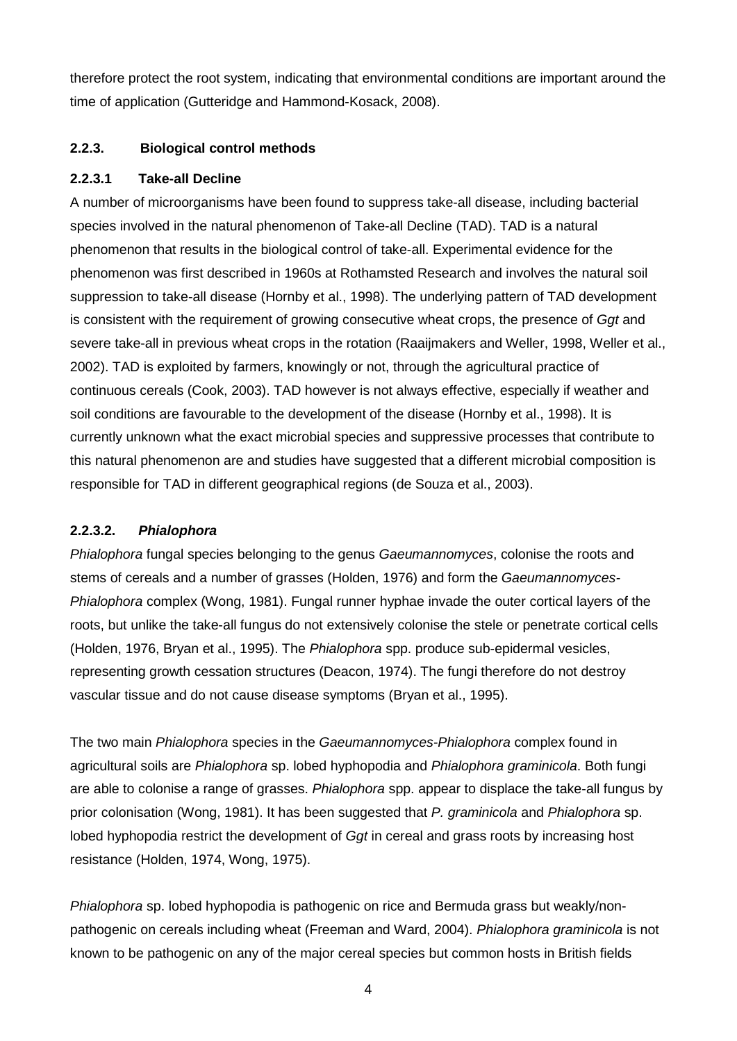therefore protect the root system, indicating that environmental conditions are important around the time of application (Gutteridge and Hammond-Kosack, 2008).

### **2.2.3. Biological control methods**

#### **2.2.3.1 Take-all Decline**

A number of microorganisms have been found to suppress take-all disease, including bacterial species involved in the natural phenomenon of Take-all Decline (TAD). TAD is a natural phenomenon that results in the biological control of take-all. Experimental evidence for the phenomenon was first described in 1960s at Rothamsted Research and involves the natural soil suppression to take-all disease (Hornby et al., 1998). The underlying pattern of TAD development is consistent with the requirement of growing consecutive wheat crops, the presence of *Ggt* and severe take-all in previous wheat crops in the rotation (Raaijmakers and Weller, 1998, Weller et al., 2002). TAD is exploited by farmers, knowingly or not, through the agricultural practice of continuous cereals (Cook, 2003). TAD however is not always effective, especially if weather and soil conditions are favourable to the development of the disease (Hornby et al., 1998). It is currently unknown what the exact microbial species and suppressive processes that contribute to this natural phenomenon are and studies have suggested that a different microbial composition is responsible for TAD in different geographical regions (de Souza et al., 2003).

#### **2.2.3.2.** *Phialophora*

*Phialophora* fungal species belonging to the genus *Gaeumannomyces*, colonise the roots and stems of cereals and a number of grasses (Holden, 1976) and form the *Gaeumannomyces-Phialophora* complex (Wong, 1981). Fungal runner hyphae invade the outer cortical layers of the roots, but unlike the take-all fungus do not extensively colonise the stele or penetrate cortical cells (Holden, 1976, Bryan et al., 1995). The *Phialophora* spp. produce sub-epidermal vesicles, representing growth cessation structures (Deacon, 1974). The fungi therefore do not destroy vascular tissue and do not cause disease symptoms (Bryan et al., 1995).

The two main *Phialophora* species in the *Gaeumannomyces-Phialophora* complex found in agricultural soils are *Phialophora* sp. lobed hyphopodia and *Phialophora graminicola*. Both fungi are able to colonise a range of grasses. *Phialophora* spp. appear to displace the take-all fungus by prior colonisation (Wong, 1981). It has been suggested that *P. graminicola* and *Phialophora* sp. lobed hyphopodia restrict the development of *Ggt* in cereal and grass roots by increasing host resistance (Holden, 1974, Wong, 1975).

*Phialophora* sp. lobed hyphopodia is pathogenic on rice and Bermuda grass but weakly/nonpathogenic on cereals including wheat (Freeman and Ward, 2004). *Phialophora graminicola* is not known to be pathogenic on any of the major cereal species but common hosts in British fields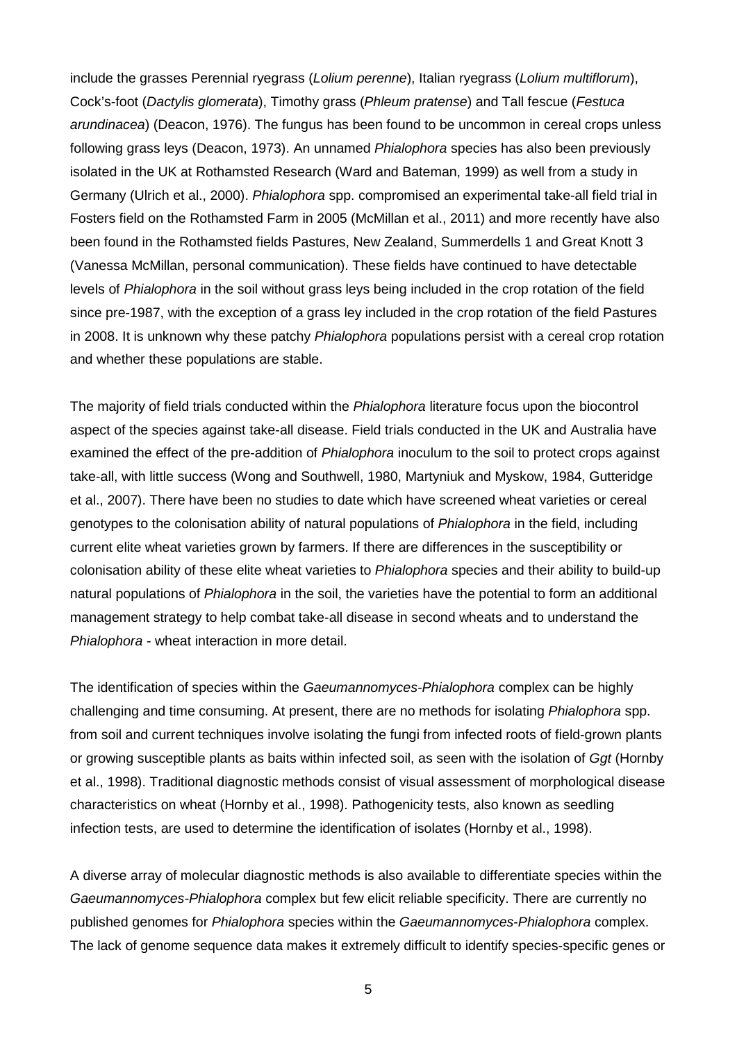include the grasses Perennial ryegrass (*Lolium perenne*), Italian ryegrass (*Lolium multiflorum*), Cock's-foot (*Dactylis glomerata*), Timothy grass (*Phleum pratense*) and Tall fescue (*Festuca arundinacea*) (Deacon, 1976). The fungus has been found to be uncommon in cereal crops unless following grass leys (Deacon, 1973). An unnamed *Phialophora* species has also been previously isolated in the UK at Rothamsted Research (Ward and Bateman, 1999) as well from a study in Germany (Ulrich et al., 2000). *Phialophora* spp. compromised an experimental take-all field trial in Fosters field on the Rothamsted Farm in 2005 (McMillan et al., 2011) and more recently have also been found in the Rothamsted fields Pastures, New Zealand, Summerdells 1 and Great Knott 3 (Vanessa McMillan, personal communication). These fields have continued to have detectable levels of *Phialophora* in the soil without grass leys being included in the crop rotation of the field since pre-1987, with the exception of a grass ley included in the crop rotation of the field Pastures in 2008. It is unknown why these patchy *Phialophora* populations persist with a cereal crop rotation and whether these populations are stable.

The majority of field trials conducted within the *Phialophora* literature focus upon the biocontrol aspect of the species against take-all disease. Field trials conducted in the UK and Australia have examined the effect of the pre-addition of *Phialophora* inoculum to the soil to protect crops against take-all, with little success (Wong and Southwell, 1980, Martyniuk and Myskow, 1984, Gutteridge et al., 2007). There have been no studies to date which have screened wheat varieties or cereal genotypes to the colonisation ability of natural populations of *Phialophora* in the field, including current elite wheat varieties grown by farmers. If there are differences in the susceptibility or colonisation ability of these elite wheat varieties to *Phialophora* species and their ability to build-up natural populations of *Phialophora* in the soil, the varieties have the potential to form an additional management strategy to help combat take-all disease in second wheats and to understand the *Phialophora* - wheat interaction in more detail.

The identification of species within the *Gaeumannomyces-Phialophora* complex can be highly challenging and time consuming. At present, there are no methods for isolating *Phialophora* spp. from soil and current techniques involve isolating the fungi from infected roots of field-grown plants or growing susceptible plants as baits within infected soil, as seen with the isolation of *Ggt* (Hornby et al., 1998). Traditional diagnostic methods consist of visual assessment of morphological disease characteristics on wheat (Hornby et al., 1998). Pathogenicity tests, also known as seedling infection tests, are used to determine the identification of isolates (Hornby et al., 1998).

A diverse array of molecular diagnostic methods is also available to differentiate species within the *Gaeumannomyces-Phialophora* complex but few elicit reliable specificity. There are currently no published genomes for *Phialophora* species within the *Gaeumannomyces*-*Phialophora* complex. The lack of genome sequence data makes it extremely difficult to identify species-specific genes or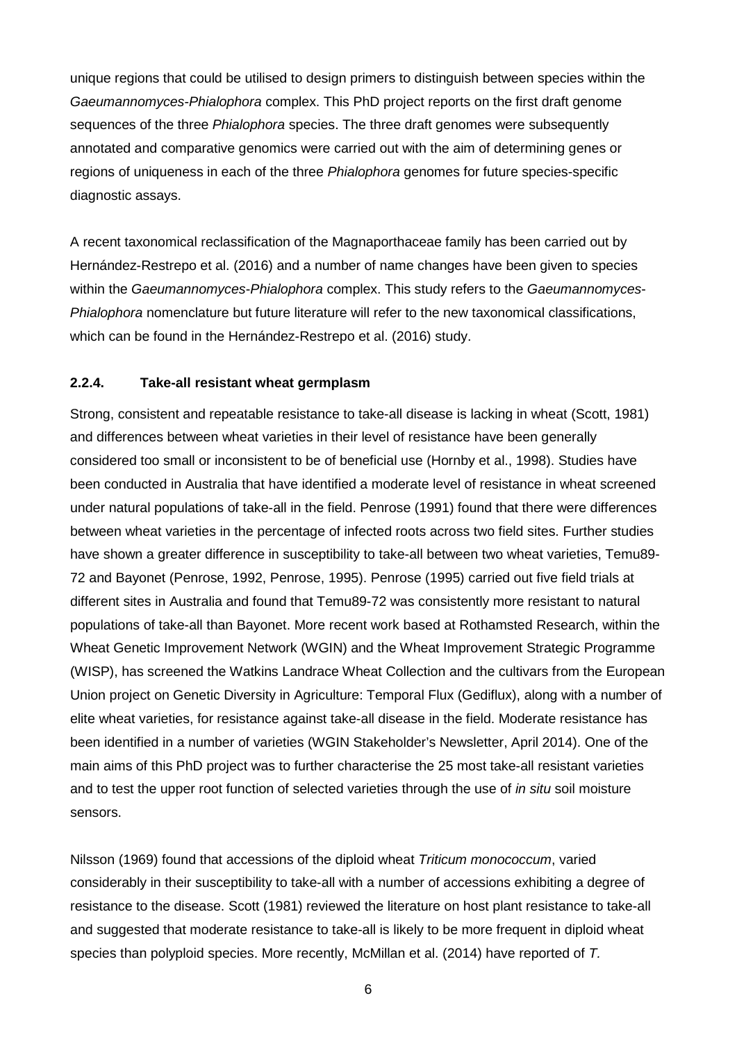unique regions that could be utilised to design primers to distinguish between species within the *Gaeumannomyces*-*Phialophora* complex. This PhD project reports on the first draft genome sequences of the three *Phialophora* species. The three draft genomes were subsequently annotated and comparative genomics were carried out with the aim of determining genes or regions of uniqueness in each of the three *Phialophora* genomes for future species-specific diagnostic assays.

A recent taxonomical reclassification of the Magnaporthaceae family has been carried out by Hernández-Restrepo et al. (2016) and a number of name changes have been given to species within the *Gaeumannomyces*-*Phialophora* complex. This study refers to the *Gaeumannomyces*-*Phialophora* nomenclature but future literature will refer to the new taxonomical classifications, which can be found in the Hernández-Restrepo et al. (2016) study.

#### **2.2.4. Take-all resistant wheat germplasm**

Strong, consistent and repeatable resistance to take-all disease is lacking in wheat (Scott, 1981) and differences between wheat varieties in their level of resistance have been generally considered too small or inconsistent to be of beneficial use (Hornby et al., 1998). Studies have been conducted in Australia that have identified a moderate level of resistance in wheat screened under natural populations of take-all in the field. Penrose (1991) found that there were differences between wheat varieties in the percentage of infected roots across two field sites. Further studies have shown a greater difference in susceptibility to take-all between two wheat varieties, Temu89- 72 and Bayonet (Penrose, 1992, Penrose, 1995). Penrose (1995) carried out five field trials at different sites in Australia and found that Temu89-72 was consistently more resistant to natural populations of take-all than Bayonet. More recent work based at Rothamsted Research, within the Wheat Genetic Improvement Network (WGIN) and the Wheat Improvement Strategic Programme (WISP), has screened the Watkins Landrace Wheat Collection and the cultivars from the European Union project on Genetic Diversity in Agriculture: Temporal Flux (Gediflux), along with a number of elite wheat varieties, for resistance against take-all disease in the field. Moderate resistance has been identified in a number of varieties (WGIN Stakeholder's Newsletter, April 2014). One of the main aims of this PhD project was to further characterise the 25 most take-all resistant varieties and to test the upper root function of selected varieties through the use of *in situ* soil moisture sensors.

Nilsson (1969) found that accessions of the diploid wheat *Triticum monococcum*, varied considerably in their susceptibility to take-all with a number of accessions exhibiting a degree of resistance to the disease. Scott (1981) reviewed the literature on host plant resistance to take-all and suggested that moderate resistance to take-all is likely to be more frequent in diploid wheat species than polyploid species. More recently, McMillan et al. (2014) have reported of *T.*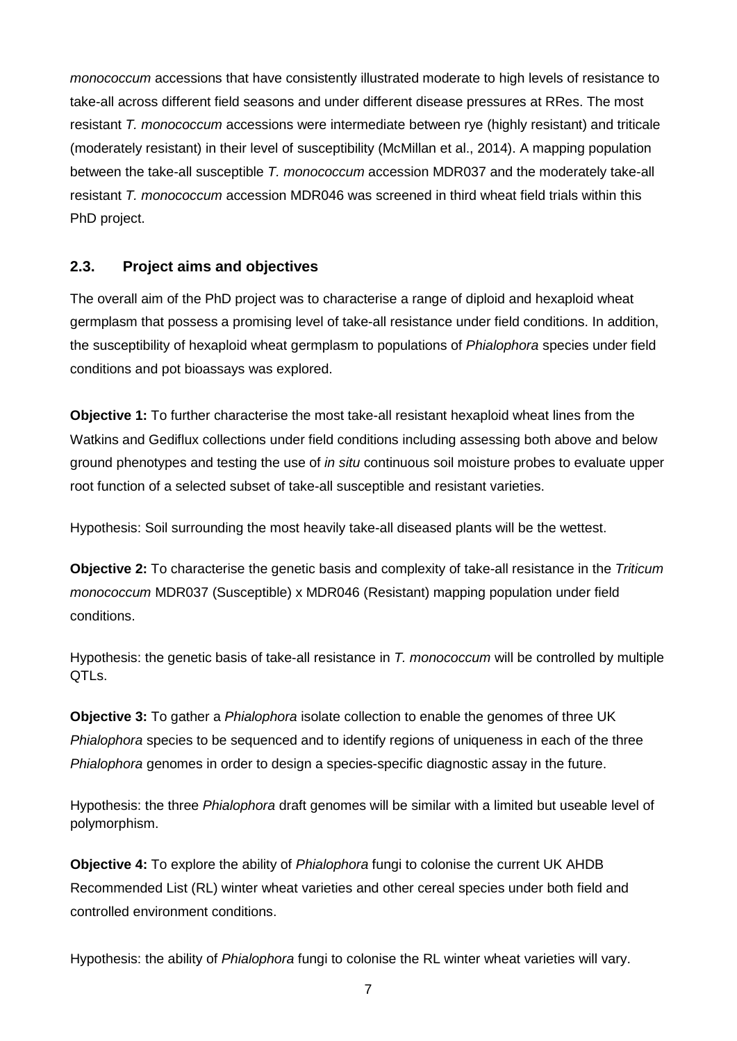*monococcum* accessions that have consistently illustrated moderate to high levels of resistance to take-all across different field seasons and under different disease pressures at RRes. The most resistant *T. monococcum* accessions were intermediate between rye (highly resistant) and triticale (moderately resistant) in their level of susceptibility (McMillan et al., 2014). A mapping population between the take-all susceptible *T. monococcum* accession MDR037 and the moderately take-all resistant *T. monococcum* accession MDR046 was screened in third wheat field trials within this PhD project.

### **2.3. Project aims and objectives**

The overall aim of the PhD project was to characterise a range of diploid and hexaploid wheat germplasm that possess a promising level of take-all resistance under field conditions. In addition, the susceptibility of hexaploid wheat germplasm to populations of *Phialophora* species under field conditions and pot bioassays was explored.

**Objective 1:** To further characterise the most take-all resistant hexaploid wheat lines from the Watkins and Gediflux collections under field conditions including assessing both above and below ground phenotypes and testing the use of *in situ* continuous soil moisture probes to evaluate upper root function of a selected subset of take-all susceptible and resistant varieties.

Hypothesis: Soil surrounding the most heavily take-all diseased plants will be the wettest.

**Objective 2:** To characterise the genetic basis and complexity of take-all resistance in the *Triticum monococcum* MDR037 (Susceptible) x MDR046 (Resistant) mapping population under field conditions.

Hypothesis: the genetic basis of take-all resistance in *T. monococcum* will be controlled by multiple QTLs.

**Objective 3:** To gather a *Phialophora* isolate collection to enable the genomes of three UK *Phialophora* species to be sequenced and to identify regions of uniqueness in each of the three *Phialophora* genomes in order to design a species-specific diagnostic assay in the future.

Hypothesis: the three *Phialophora* draft genomes will be similar with a limited but useable level of polymorphism.

**Objective 4:** To explore the ability of *Phialophora* fungi to colonise the current UK AHDB Recommended List (RL) winter wheat varieties and other cereal species under both field and controlled environment conditions.

Hypothesis: the ability of *Phialophora* fungi to colonise the RL winter wheat varieties will vary.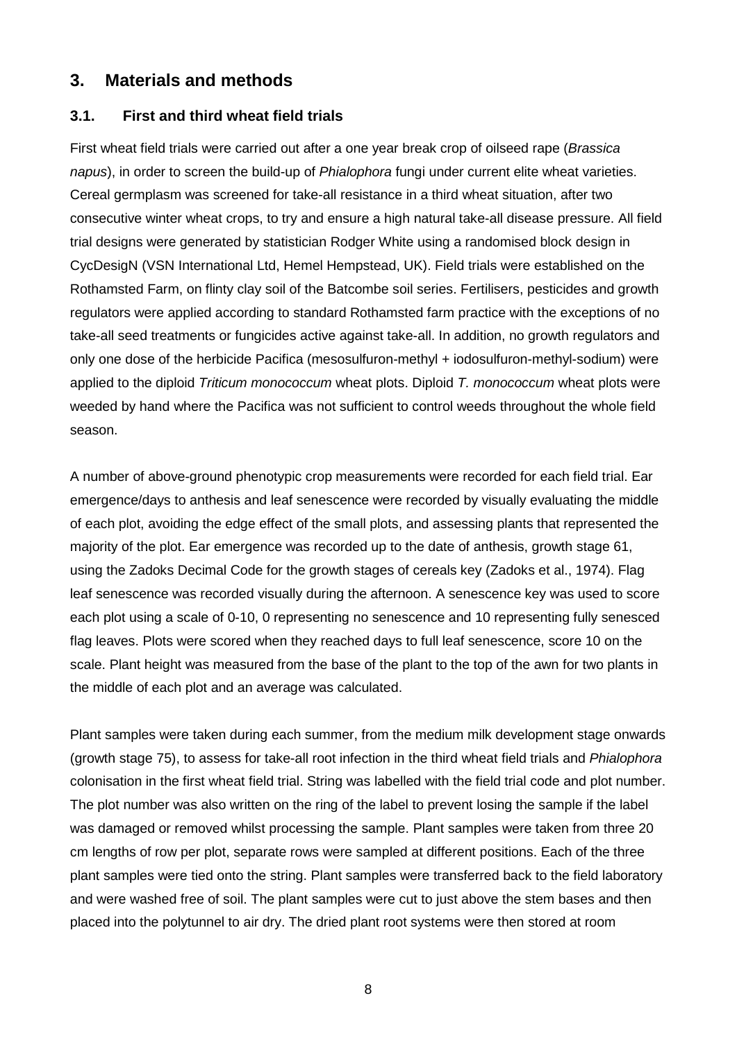### **3. Materials and methods**

### **3.1. First and third wheat field trials**

First wheat field trials were carried out after a one year break crop of oilseed rape (*Brassica napus*), in order to screen the build-up of *Phialophora* fungi under current elite wheat varieties. Cereal germplasm was screened for take-all resistance in a third wheat situation, after two consecutive winter wheat crops, to try and ensure a high natural take-all disease pressure. All field trial designs were generated by statistician Rodger White using a randomised block design in CycDesigN (VSN International Ltd, Hemel Hempstead, UK). Field trials were established on the Rothamsted Farm, on flinty clay soil of the Batcombe soil series. Fertilisers, pesticides and growth regulators were applied according to standard Rothamsted farm practice with the exceptions of no take-all seed treatments or fungicides active against take-all. In addition, no growth regulators and only one dose of the herbicide Pacifica (mesosulfuron-methyl + iodosulfuron-methyl-sodium) were applied to the diploid *Triticum monococcum* wheat plots. Diploid *T. monococcum* wheat plots were weeded by hand where the Pacifica was not sufficient to control weeds throughout the whole field season.

A number of above-ground phenotypic crop measurements were recorded for each field trial. Ear emergence/days to anthesis and leaf senescence were recorded by visually evaluating the middle of each plot, avoiding the edge effect of the small plots, and assessing plants that represented the majority of the plot. Ear emergence was recorded up to the date of anthesis, growth stage 61, using the Zadoks Decimal Code for the growth stages of cereals key (Zadoks et al., 1974). Flag leaf senescence was recorded visually during the afternoon. A senescence key was used to score each plot using a scale of 0-10, 0 representing no senescence and 10 representing fully senesced flag leaves. Plots were scored when they reached days to full leaf senescence, score 10 on the scale. Plant height was measured from the base of the plant to the top of the awn for two plants in the middle of each plot and an average was calculated.

Plant samples were taken during each summer, from the medium milk development stage onwards (growth stage 75), to assess for take-all root infection in the third wheat field trials and *Phialophora* colonisation in the first wheat field trial. String was labelled with the field trial code and plot number. The plot number was also written on the ring of the label to prevent losing the sample if the label was damaged or removed whilst processing the sample. Plant samples were taken from three 20 cm lengths of row per plot, separate rows were sampled at different positions. Each of the three plant samples were tied onto the string. Plant samples were transferred back to the field laboratory and were washed free of soil. The plant samples were cut to just above the stem bases and then placed into the polytunnel to air dry. The dried plant root systems were then stored at room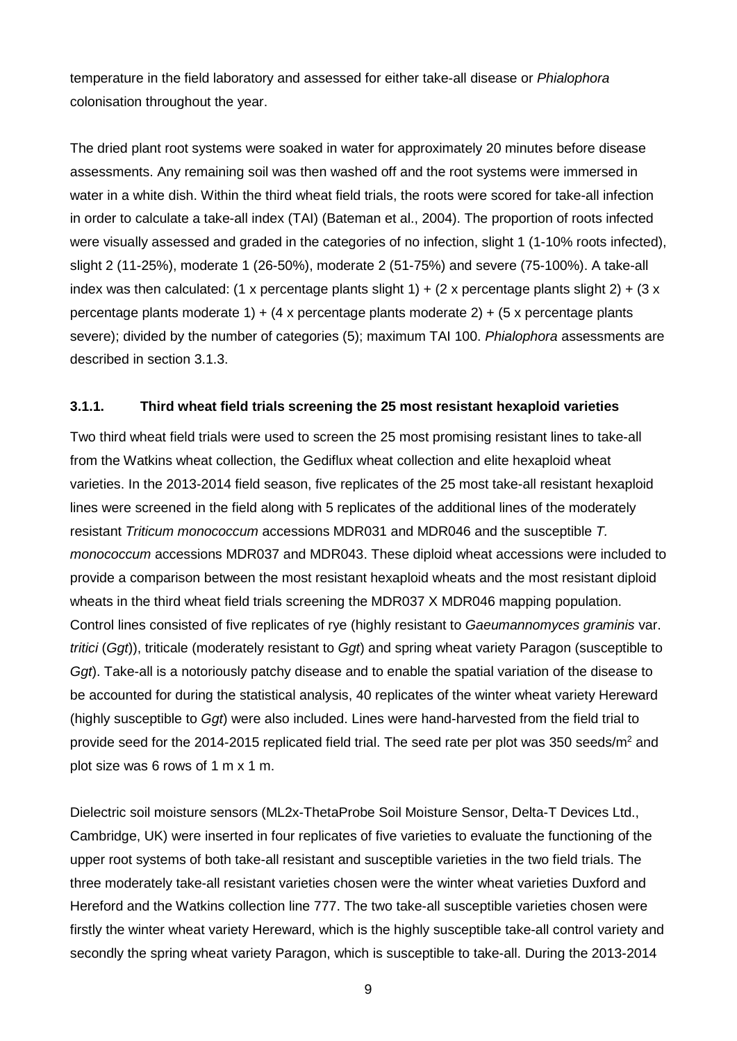temperature in the field laboratory and assessed for either take-all disease or *Phialophora* colonisation throughout the year.

The dried plant root systems were soaked in water for approximately 20 minutes before disease assessments. Any remaining soil was then washed off and the root systems were immersed in water in a white dish. Within the third wheat field trials, the roots were scored for take-all infection in order to calculate a take-all index (TAI) (Bateman et al., 2004). The proportion of roots infected were visually assessed and graded in the categories of no infection, slight 1 (1-10% roots infected), slight 2 (11-25%), moderate 1 (26-50%), moderate 2 (51-75%) and severe (75-100%). A take-all index was then calculated: (1 x percentage plants slight 1) + (2 x percentage plants slight 2) + (3 x percentage plants moderate 1) + (4 x percentage plants moderate 2) + (5 x percentage plants severe); divided by the number of categories (5); maximum TAI 100. *Phialophora* assessments are described in section 3.1.3.

#### **3.1.1. Third wheat field trials screening the 25 most resistant hexaploid varieties**

Two third wheat field trials were used to screen the 25 most promising resistant lines to take-all from the Watkins wheat collection, the Gediflux wheat collection and elite hexaploid wheat varieties. In the 2013-2014 field season, five replicates of the 25 most take-all resistant hexaploid lines were screened in the field along with 5 replicates of the additional lines of the moderately resistant *Triticum monococcum* accessions MDR031 and MDR046 and the susceptible *T. monococcum* accessions MDR037 and MDR043. These diploid wheat accessions were included to provide a comparison between the most resistant hexaploid wheats and the most resistant diploid wheats in the third wheat field trials screening the MDR037 X MDR046 mapping population. Control lines consisted of five replicates of rye (highly resistant to *Gaeumannomyces graminis* var. *tritici* (*Ggt*)), triticale (moderately resistant to *Ggt*) and spring wheat variety Paragon (susceptible to *Ggt*). Take-all is a notoriously patchy disease and to enable the spatial variation of the disease to be accounted for during the statistical analysis, 40 replicates of the winter wheat variety Hereward (highly susceptible to *Ggt*) were also included. Lines were hand-harvested from the field trial to provide seed for the 2014-2015 replicated field trial. The seed rate per plot was 350 seeds/ $m^2$  and plot size was 6 rows of 1 m x 1 m.

Dielectric soil moisture sensors (ML2x-ThetaProbe Soil Moisture Sensor, Delta-T Devices Ltd., Cambridge, UK) were inserted in four replicates of five varieties to evaluate the functioning of the upper root systems of both take-all resistant and susceptible varieties in the two field trials. The three moderately take-all resistant varieties chosen were the winter wheat varieties Duxford and Hereford and the Watkins collection line 777. The two take-all susceptible varieties chosen were firstly the winter wheat variety Hereward, which is the highly susceptible take-all control variety and secondly the spring wheat variety Paragon, which is susceptible to take-all. During the 2013-2014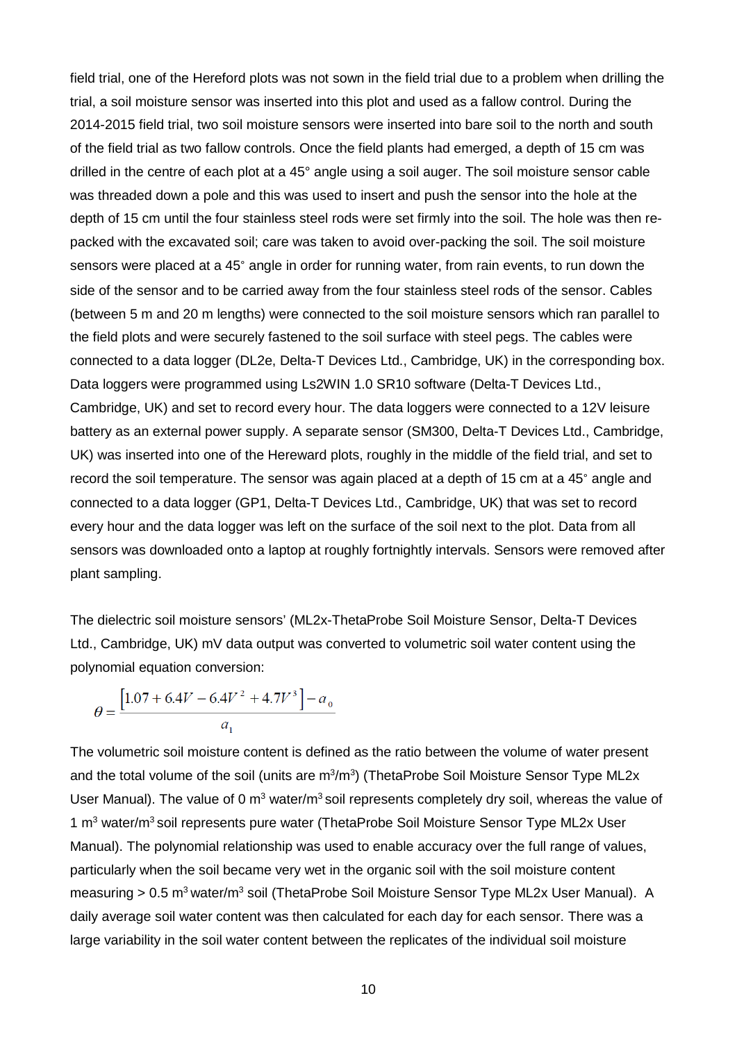field trial, one of the Hereford plots was not sown in the field trial due to a problem when drilling the trial, a soil moisture sensor was inserted into this plot and used as a fallow control. During the 2014-2015 field trial, two soil moisture sensors were inserted into bare soil to the north and south of the field trial as two fallow controls. Once the field plants had emerged, a depth of 15 cm was drilled in the centre of each plot at a 45° angle using a soil auger. The soil moisture sensor cable was threaded down a pole and this was used to insert and push the sensor into the hole at the depth of 15 cm until the four stainless steel rods were set firmly into the soil. The hole was then repacked with the excavated soil; care was taken to avoid over-packing the soil. The soil moisture sensors were placed at a 45° angle in order for running water, from rain events, to run down the side of the sensor and to be carried away from the four stainless steel rods of the sensor. Cables (between 5 m and 20 m lengths) were connected to the soil moisture sensors which ran parallel to the field plots and were securely fastened to the soil surface with steel pegs. The cables were connected to a data logger (DL2e, Delta-T Devices Ltd., Cambridge, UK) in the corresponding box. Data loggers were programmed using Ls2WIN 1.0 SR10 software (Delta-T Devices Ltd., Cambridge, UK) and set to record every hour. The data loggers were connected to a 12V leisure battery as an external power supply. A separate sensor (SM300, Delta-T Devices Ltd., Cambridge, UK) was inserted into one of the Hereward plots, roughly in the middle of the field trial, and set to record the soil temperature. The sensor was again placed at a depth of 15 cm at a 45° angle and connected to a data logger (GP1, Delta-T Devices Ltd., Cambridge, UK) that was set to record every hour and the data logger was left on the surface of the soil next to the plot. Data from all sensors was downloaded onto a laptop at roughly fortnightly intervals. Sensors were removed after plant sampling.

The dielectric soil moisture sensors' (ML2x-ThetaProbe Soil Moisture Sensor, Delta-T Devices Ltd., Cambridge, UK) mV data output was converted to volumetric soil water content using the polynomial equation conversion:

$$
\theta = \frac{\left[1.07 + 6.4V - 6.4V^2 + 4.7V^3\right] - a_0}{a_1}
$$

The volumetric soil moisture content is defined as the ratio between the volume of water present and the total volume of the soil (units are m<sup>3</sup>/m<sup>3</sup>) (ThetaProbe Soil Moisture Sensor Type ML2x User Manual). The value of 0  $m<sup>3</sup>$  water/m<sup>3</sup> soil represents completely dry soil, whereas the value of 1  $\text{m}^3$  water/ $\text{m}^3$  soil represents pure water (ThetaProbe Soil Moisture Sensor Type ML2x User Manual). The polynomial relationship was used to enable accuracy over the full range of values, particularly when the soil became very wet in the organic soil with the soil moisture content measuring > 0.5 m<sup>3</sup> water/m<sup>3</sup> soil (ThetaProbe Soil Moisture Sensor Type ML2x User Manual). A daily average soil water content was then calculated for each day for each sensor. There was a large variability in the soil water content between the replicates of the individual soil moisture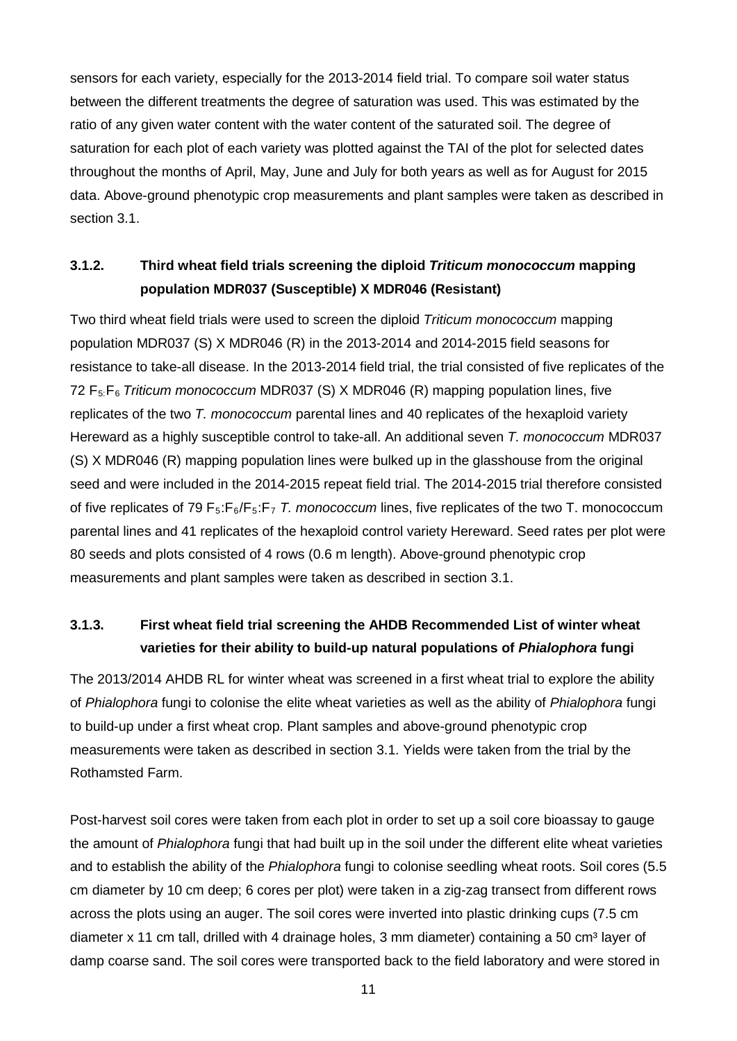sensors for each variety, especially for the 2013-2014 field trial. To compare soil water status between the different treatments the degree of saturation was used. This was estimated by the ratio of any given water content with the water content of the saturated soil. The degree of saturation for each plot of each variety was plotted against the TAI of the plot for selected dates throughout the months of April, May, June and July for both years as well as for August for 2015 data. Above-ground phenotypic crop measurements and plant samples were taken as described in section 3.1.

### **3.1.2. Third wheat field trials screening the diploid** *Triticum monococcum* **mapping population MDR037 (Susceptible) X MDR046 (Resistant)**

Two third wheat field trials were used to screen the diploid *Triticum monococcum* mapping population MDR037 (S) X MDR046 (R) in the 2013-2014 and 2014-2015 field seasons for resistance to take-all disease. In the 2013-2014 field trial, the trial consisted of five replicates of the 72 F5:F6 *Triticum monococcum* MDR037 (S) X MDR046 (R) mapping population lines, five replicates of the two *T. monococcum* parental lines and 40 replicates of the hexaploid variety Hereward as a highly susceptible control to take-all. An additional seven *T. monococcum* MDR037 (S) X MDR046 (R) mapping population lines were bulked up in the glasshouse from the original seed and were included in the 2014-2015 repeat field trial. The 2014-2015 trial therefore consisted of five replicates of 79 F5:F6/F5:F7 *T. monococcum* lines, five replicates of the two T. monococcum parental lines and 41 replicates of the hexaploid control variety Hereward. Seed rates per plot were 80 seeds and plots consisted of 4 rows (0.6 m length). Above-ground phenotypic crop measurements and plant samples were taken as described in section 3.1.

### **3.1.3. First wheat field trial screening the AHDB Recommended List of winter wheat varieties for their ability to build-up natural populations of** *Phialophora* **fungi**

The 2013/2014 AHDB RL for winter wheat was screened in a first wheat trial to explore the ability of *Phialophora* fungi to colonise the elite wheat varieties as well as the ability of *Phialophora* fungi to build-up under a first wheat crop. Plant samples and above-ground phenotypic crop measurements were taken as described in section 3.1. Yields were taken from the trial by the Rothamsted Farm.

Post-harvest soil cores were taken from each plot in order to set up a soil core bioassay to gauge the amount of *Phialophora* fungi that had built up in the soil under the different elite wheat varieties and to establish the ability of the *Phialophora* fungi to colonise seedling wheat roots. Soil cores (5.5 cm diameter by 10 cm deep; 6 cores per plot) were taken in a zig-zag transect from different rows across the plots using an auger. The soil cores were inverted into plastic drinking cups (7.5 cm diameter x 11 cm tall, drilled with 4 drainage holes, 3 mm diameter) containing a 50 cm<sup>3</sup> layer of damp coarse sand. The soil cores were transported back to the field laboratory and were stored in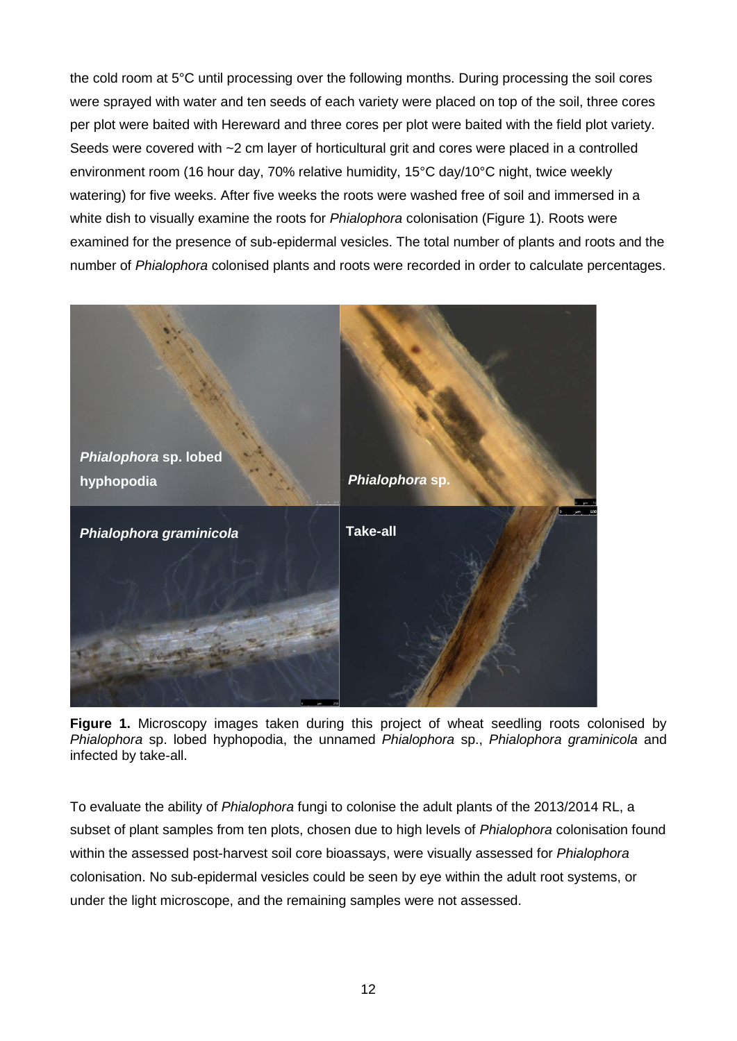the cold room at 5°C until processing over the following months. During processing the soil cores were sprayed with water and ten seeds of each variety were placed on top of the soil, three cores per plot were baited with Hereward and three cores per plot were baited with the field plot variety. Seeds were covered with ~2 cm layer of horticultural grit and cores were placed in a controlled environment room (16 hour day, 70% relative humidity, 15°C day/10°C night, twice weekly watering) for five weeks. After five weeks the roots were washed free of soil and immersed in a white dish to visually examine the roots for *Phialophora* colonisation [\(Figure 1\)](#page-13-0). Roots were examined for the presence of sub-epidermal vesicles. The total number of plants and roots and the number of *Phialophora* colonised plants and roots were recorded in order to calculate percentages.



**Figure 1.** Microscopy images taken during this project of wheat seedling roots colonised by *Phialophora* sp. lobed hyphopodia, the unnamed *Phialophora* sp., *Phialophora graminicola* and infected by take-all.

<span id="page-13-0"></span>To evaluate the ability of *Phialophora* fungi to colonise the adult plants of the 2013/2014 RL, a subset of plant samples from ten plots, chosen due to high levels of *Phialophora* colonisation found within the assessed post-harvest soil core bioassays, were visually assessed for *Phialophora* colonisation. No sub-epidermal vesicles could be seen by eye within the adult root systems, or under the light microscope, and the remaining samples were not assessed.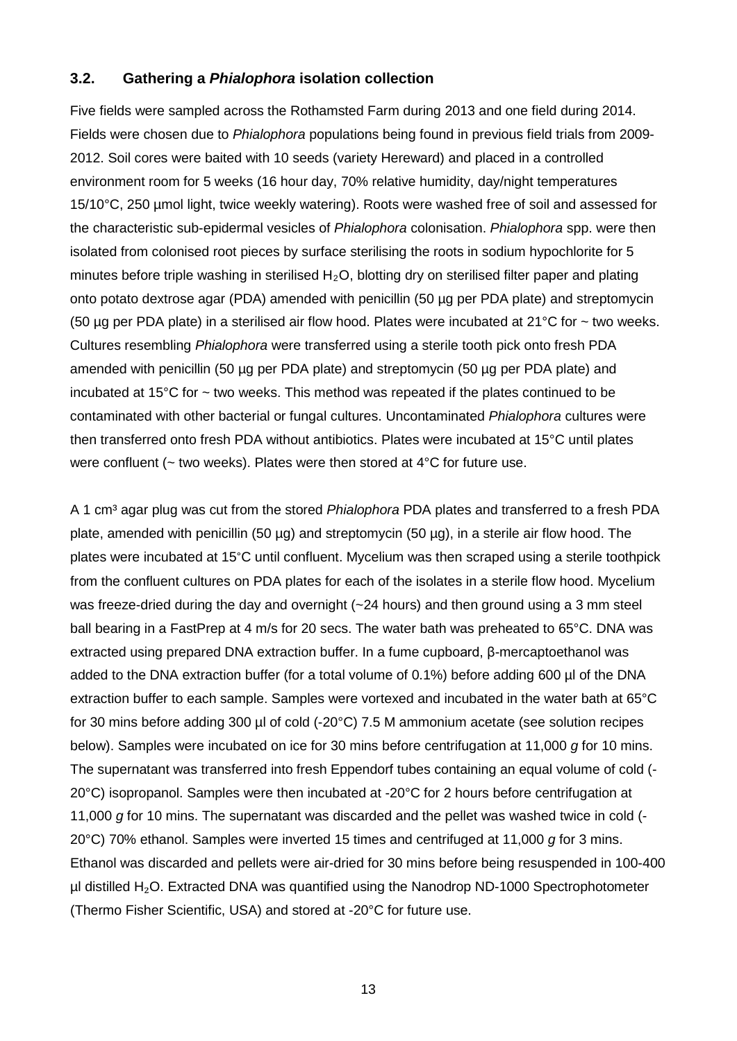#### **3.2. Gathering a** *Phialophora* **isolation collection**

Five fields were sampled across the Rothamsted Farm during 2013 and one field during 2014. Fields were chosen due to *Phialophora* populations being found in previous field trials from 2009- 2012. Soil cores were baited with 10 seeds (variety Hereward) and placed in a controlled environment room for 5 weeks (16 hour day, 70% relative humidity, day/night temperatures 15/10°C, 250 µmol light, twice weekly watering). Roots were washed free of soil and assessed for the characteristic sub-epidermal vesicles of *Phialophora* colonisation. *Phialophora* spp. were then isolated from colonised root pieces by surface sterilising the roots in sodium hypochlorite for 5 minutes before triple washing in sterilised  $H_2O$ , blotting dry on sterilised filter paper and plating onto potato dextrose agar (PDA) amended with penicillin (50 µg per PDA plate) and streptomycin (50 µg per PDA plate) in a sterilised air flow hood. Plates were incubated at  $21^{\circ}$ C for  $\sim$  two weeks. Cultures resembling *Phialophora* were transferred using a sterile tooth pick onto fresh PDA amended with penicillin (50 µg per PDA plate) and streptomycin (50 µg per PDA plate) and incubated at 15 $\degree$ C for  $\sim$  two weeks. This method was repeated if the plates continued to be contaminated with other bacterial or fungal cultures. Uncontaminated *Phialophora* cultures were then transferred onto fresh PDA without antibiotics. Plates were incubated at 15°C until plates were confluent (~ two weeks). Plates were then stored at 4°C for future use.

A 1 cm<sup>3</sup> agar plug was cut from the stored *Phialophora* PDA plates and transferred to a fresh PDA plate, amended with penicillin (50 µg) and streptomycin (50 µg), in a sterile air flow hood. The plates were incubated at 15°C until confluent. Mycelium was then scraped using a sterile toothpick from the confluent cultures on PDA plates for each of the isolates in a sterile flow hood. Mycelium was freeze-dried during the day and overnight (~24 hours) and then ground using a 3 mm steel ball bearing in a FastPrep at 4 m/s for 20 secs. The water bath was preheated to 65°C. DNA was extracted using prepared DNA extraction buffer. In a fume cupboard, β-mercaptoethanol was added to the DNA extraction buffer (for a total volume of 0.1%) before adding 600 µl of the DNA extraction buffer to each sample. Samples were vortexed and incubated in the water bath at 65°C for 30 mins before adding 300 µl of cold (-20°C) 7.5 M ammonium acetate (see solution recipes below). Samples were incubated on ice for 30 mins before centrifugation at 11,000 *g* for 10 mins. The supernatant was transferred into fresh Eppendorf tubes containing an equal volume of cold (-  $20^{\circ}$ C) isopropanol. Samples were then incubated at -20 $^{\circ}$ C for 2 hours before centrifugation at 11,000 *g* for 10 mins. The supernatant was discarded and the pellet was washed twice in cold (- 20°C) 70% ethanol. Samples were inverted 15 times and centrifuged at 11,000 *g* for 3 mins. Ethanol was discarded and pellets were air-dried for 30 mins before being resuspended in 100-400  $µ$ l distilled H<sub>2</sub>O. Extracted DNA was quantified using the Nanodrop ND-1000 Spectrophotometer (Thermo Fisher Scientific, USA) and stored at -20°C for future use.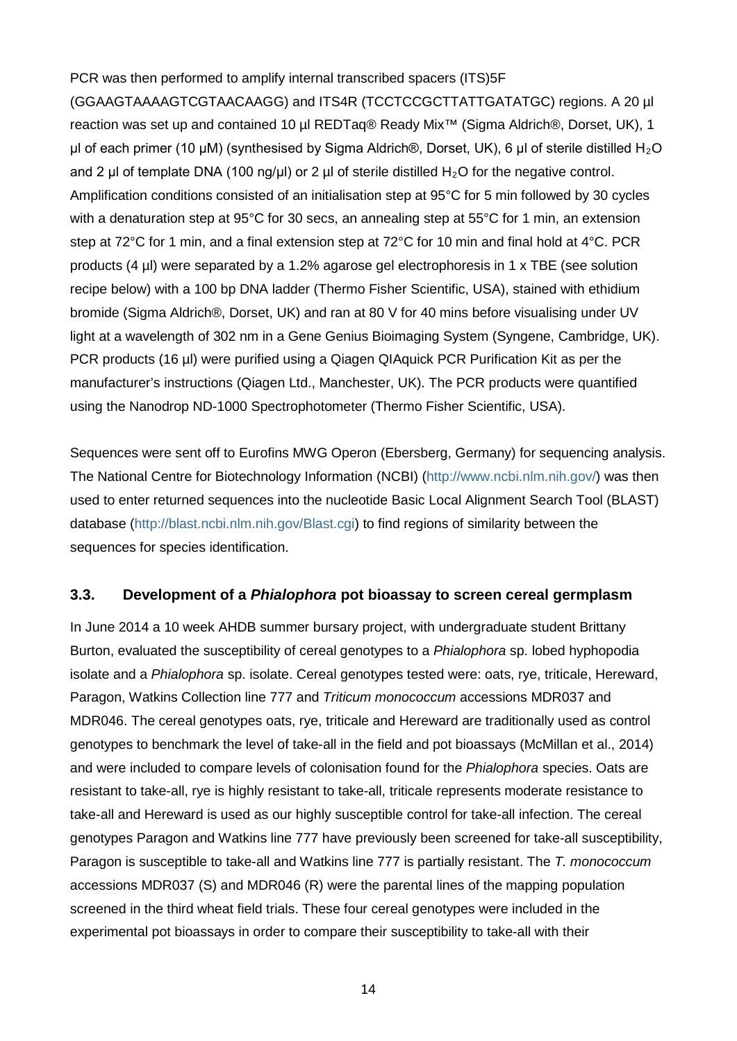PCR was then performed to amplify internal transcribed spacers (ITS)5F (GGAAGTAAAAGTCGTAACAAGG) and ITS4R (TCCTCCGCTTATTGATATGC) regions. A 20 µl reaction was set up and contained 10 µl REDTaq® Ready Mix<sup>™</sup> (Sigma Aldrich®, Dorset, UK), 1 μl of each primer (10 μM) (synthesised by Sigma Aldrich®, Dorset, UK), 6 μl of sterile distilled H<sub>2</sub>O and 2 µl of template DNA (100 ng/µl) or 2 µl of sterile distilled H<sub>2</sub>O for the negative control. Amplification conditions consisted of an initialisation step at 95°C for 5 min followed by 30 cycles with a denaturation step at 95°C for 30 secs, an annealing step at 55°C for 1 min, an extension step at 72°C for 1 min, and a final extension step at 72°C for 10 min and final hold at 4°C. PCR products (4 µl) were separated by a 1.2% agarose gel electrophoresis in 1 x TBE (see solution recipe below) with a 100 bp DNA ladder (Thermo Fisher Scientific, USA), stained with ethidium bromide (Sigma Aldrich®, Dorset, UK) and ran at 80 V for 40 mins before visualising under UV light at a wavelength of 302 nm in a Gene Genius Bioimaging System (Syngene, Cambridge, UK). PCR products (16 µl) were purified using a Qiagen QIAquick PCR Purification Kit as per the manufacturer's instructions (Qiagen Ltd., Manchester, UK). The PCR products were quantified using the Nanodrop ND-1000 Spectrophotometer (Thermo Fisher Scientific, USA).

Sequences were sent off to Eurofins MWG Operon (Ebersberg, Germany) for sequencing analysis. The National Centre for Biotechnology Information (NCBI) [\(http://www.ncbi.nlm.nih.gov/\)](http://www.ncbi.nlm.nih.gov/) was then used to enter returned sequences into the nucleotide Basic Local Alignment Search Tool (BLAST) database [\(http://blast.ncbi.nlm.nih.gov/Blast.cgi\)](http://blast.ncbi.nlm.nih.gov/Blast.cgi) to find regions of similarity between the sequences for species identification.

#### **3.3. Development of a** *Phialophora* **pot bioassay to screen cereal germplasm**

In June 2014 a 10 week AHDB summer bursary project, with undergraduate student Brittany Burton, evaluated the susceptibility of cereal genotypes to a *Phialophora* sp. lobed hyphopodia isolate and a *Phialophora* sp. isolate. Cereal genotypes tested were: oats, rye, triticale, Hereward, Paragon, Watkins Collection line 777 and *Triticum monococcum* accessions MDR037 and MDR046. The cereal genotypes oats, rye, triticale and Hereward are traditionally used as control genotypes to benchmark the level of take-all in the field and pot bioassays (McMillan et al., 2014) and were included to compare levels of colonisation found for the *Phialophora* species. Oats are resistant to take-all, rye is highly resistant to take-all, triticale represents moderate resistance to take-all and Hereward is used as our highly susceptible control for take-all infection. The cereal genotypes Paragon and Watkins line 777 have previously been screened for take-all susceptibility, Paragon is susceptible to take-all and Watkins line 777 is partially resistant. The *T. monococcum* accessions MDR037 (S) and MDR046 (R) were the parental lines of the mapping population screened in the third wheat field trials. These four cereal genotypes were included in the experimental pot bioassays in order to compare their susceptibility to take-all with their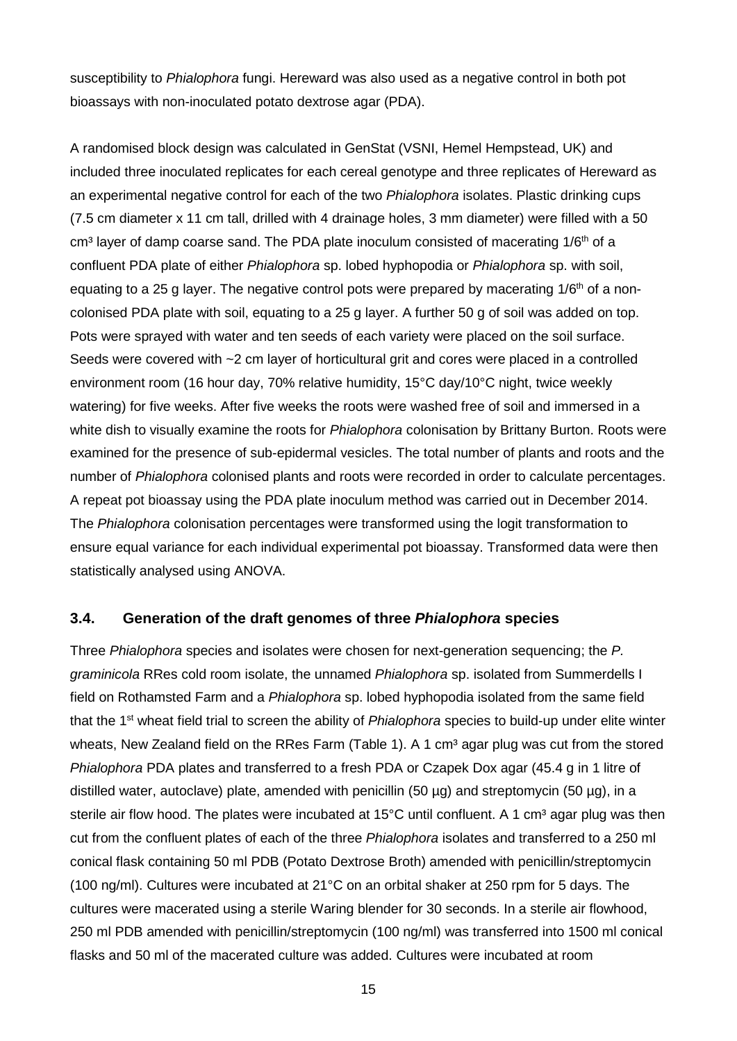susceptibility to *Phialophora* fungi. Hereward was also used as a negative control in both pot bioassays with non-inoculated potato dextrose agar (PDA).

A randomised block design was calculated in GenStat (VSNI, Hemel Hempstead, UK) and included three inoculated replicates for each cereal genotype and three replicates of Hereward as an experimental negative control for each of the two *Phialophora* isolates. Plastic drinking cups (7.5 cm diameter x 11 cm tall, drilled with 4 drainage holes, 3 mm diameter) were filled with a 50 cm<sup>3</sup> layer of damp coarse sand. The PDA plate inoculum consisted of macerating 1/6<sup>th</sup> of a confluent PDA plate of either *Phialophora* sp. lobed hyphopodia or *Phialophora* sp. with soil, equating to a 25 g layer. The negative control pots were prepared by macerating  $1/6<sup>th</sup>$  of a noncolonised PDA plate with soil, equating to a 25 g layer. A further 50 g of soil was added on top. Pots were sprayed with water and ten seeds of each variety were placed on the soil surface. Seeds were covered with ~2 cm layer of horticultural grit and cores were placed in a controlled environment room (16 hour day, 70% relative humidity, 15°C day/10°C night, twice weekly watering) for five weeks. After five weeks the roots were washed free of soil and immersed in a white dish to visually examine the roots for *Phialophora* colonisation by Brittany Burton. Roots were examined for the presence of sub-epidermal vesicles. The total number of plants and roots and the number of *Phialophora* colonised plants and roots were recorded in order to calculate percentages. A repeat pot bioassay using the PDA plate inoculum method was carried out in December 2014. The *Phialophora* colonisation percentages were transformed using the logit transformation to ensure equal variance for each individual experimental pot bioassay. Transformed data were then statistically analysed using ANOVA.

### **3.4. Generation of the draft genomes of three** *Phialophora* **species**

Three *Phialophora* species and isolates were chosen for next-generation sequencing; the *P. graminicola* RRes cold room isolate, the unnamed *Phialophora* sp. isolated from Summerdells I field on Rothamsted Farm and a *Phialophora* sp. lobed hyphopodia isolated from the same field that the 1st wheat field trial to screen the ability of *Phialophora* species to build-up under elite winter wheats, New Zealand field on the RRes Farm [\(Table 1\)](#page-19-0). A 1 cm<sup>3</sup> agar plug was cut from the stored *Phialophora* PDA plates and transferred to a fresh PDA or Czapek Dox agar (45.4 g in 1 litre of distilled water, autoclave) plate, amended with penicillin (50  $\mu$ g) and streptomycin (50  $\mu$ g), in a sterile air flow hood. The plates were incubated at  $15^{\circ}$ C until confluent. A 1 cm<sup>3</sup> agar plug was then cut from the confluent plates of each of the three *Phialophora* isolates and transferred to a 250 ml conical flask containing 50 ml PDB (Potato Dextrose Broth) amended with penicillin/streptomycin (100 ng/ml). Cultures were incubated at 21°C on an orbital shaker at 250 rpm for 5 days. The cultures were macerated using a sterile Waring blender for 30 seconds. In a sterile air flowhood, 250 ml PDB amended with penicillin/streptomycin (100 ng/ml) was transferred into 1500 ml conical flasks and 50 ml of the macerated culture was added. Cultures were incubated at room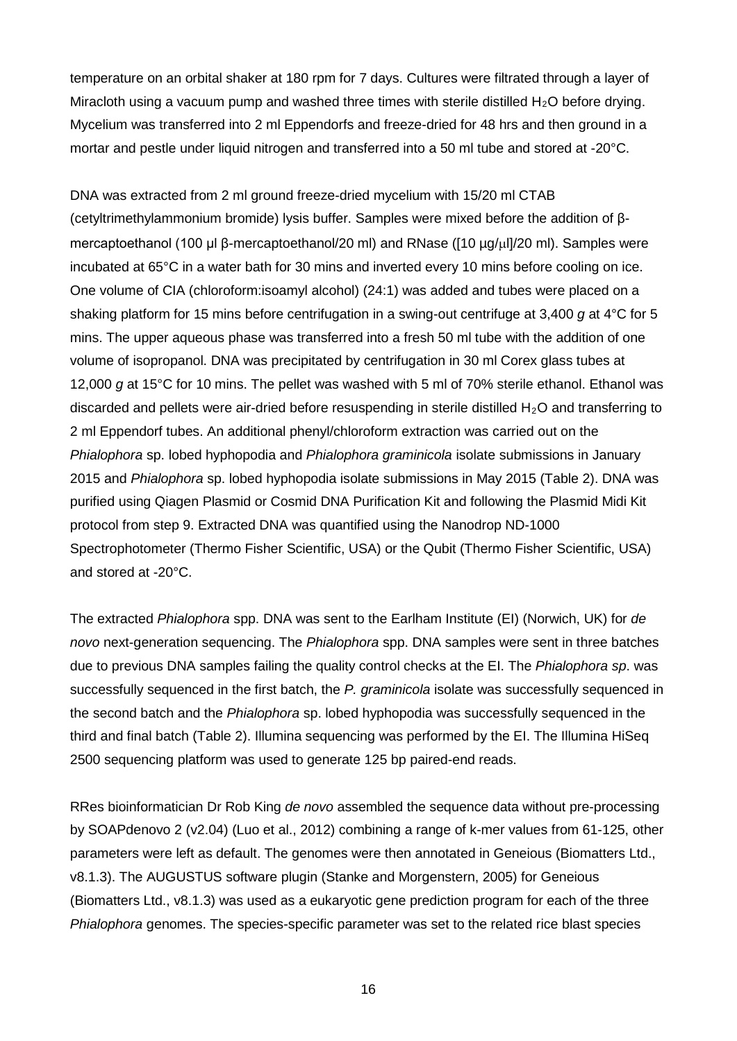temperature on an orbital shaker at 180 rpm for 7 days. Cultures were filtrated through a layer of Miracloth using a vacuum pump and washed three times with sterile distilled  $H_2O$  before drying. Mycelium was transferred into 2 ml Eppendorfs and freeze-dried for 48 hrs and then ground in a mortar and pestle under liquid nitrogen and transferred into a 50 ml tube and stored at -20°C.

DNA was extracted from 2 ml ground freeze-dried mycelium with 15/20 ml CTAB (cetyltrimethylammonium bromide) lysis buffer. Samples were mixed before the addition of βmercaptoethanol (100 µl β-mercaptoethanol/20 ml) and RNase ([10 µg/µl]/20 ml). Samples were incubated at 65°C in a water bath for 30 mins and inverted every 10 mins before cooling on ice. One volume of CIA (chloroform:isoamyl alcohol) (24:1) was added and tubes were placed on a shaking platform for 15 mins before centrifugation in a swing-out centrifuge at 3,400 *g* at 4°C for 5 mins. The upper aqueous phase was transferred into a fresh 50 ml tube with the addition of one volume of isopropanol. DNA was precipitated by centrifugation in 30 ml Corex glass tubes at 12,000 *g* at 15°C for 10 mins. The pellet was washed with 5 ml of 70% sterile ethanol. Ethanol was discarded and pellets were air-dried before resuspending in sterile distilled  $H_2O$  and transferring to 2 ml Eppendorf tubes. An additional phenyl/chloroform extraction was carried out on the *Phialophora* sp. lobed hyphopodia and *Phialophora graminicola* isolate submissions in January 2015 and *Phialophora* sp. lobed hyphopodia isolate submissions in May 2015 [\(Table 2\)](#page-19-1). DNA was purified using Qiagen Plasmid or Cosmid DNA Purification Kit and following the Plasmid Midi Kit protocol from step 9. Extracted DNA was quantified using the Nanodrop ND-1000 Spectrophotometer (Thermo Fisher Scientific, USA) or the Qubit (Thermo Fisher Scientific, USA) and stored at -20°C.

The extracted *Phialophora* spp. DNA was sent to the Earlham Institute (EI) (Norwich, UK) for *de novo* next-generation sequencing. The *Phialophora* spp. DNA samples were sent in three batches due to previous DNA samples failing the quality control checks at the EI. The *Phialophora sp*. was successfully sequenced in the first batch, the *P. graminicola* isolate was successfully sequenced in the second batch and the *Phialophora* sp. lobed hyphopodia was successfully sequenced in the third and final batch [\(Table 2\)](#page-19-1). Illumina sequencing was performed by the EI. The Illumina HiSeq 2500 sequencing platform was used to generate 125 bp paired-end reads.

RRes bioinformatician Dr Rob King *de novo* assembled the sequence data without pre-processing by SOAPdenovo 2 (v2.04) (Luo et al., 2012) combining a range of k-mer values from 61-125, other parameters were left as default. The genomes were then annotated in Geneious (Biomatters Ltd., v8.1.3). The AUGUSTUS software plugin (Stanke and Morgenstern, 2005) for Geneious (Biomatters Ltd., v8.1.3) was used as a eukaryotic gene prediction program for each of the three *Phialophora* genomes. The species-specific parameter was set to the related rice blast species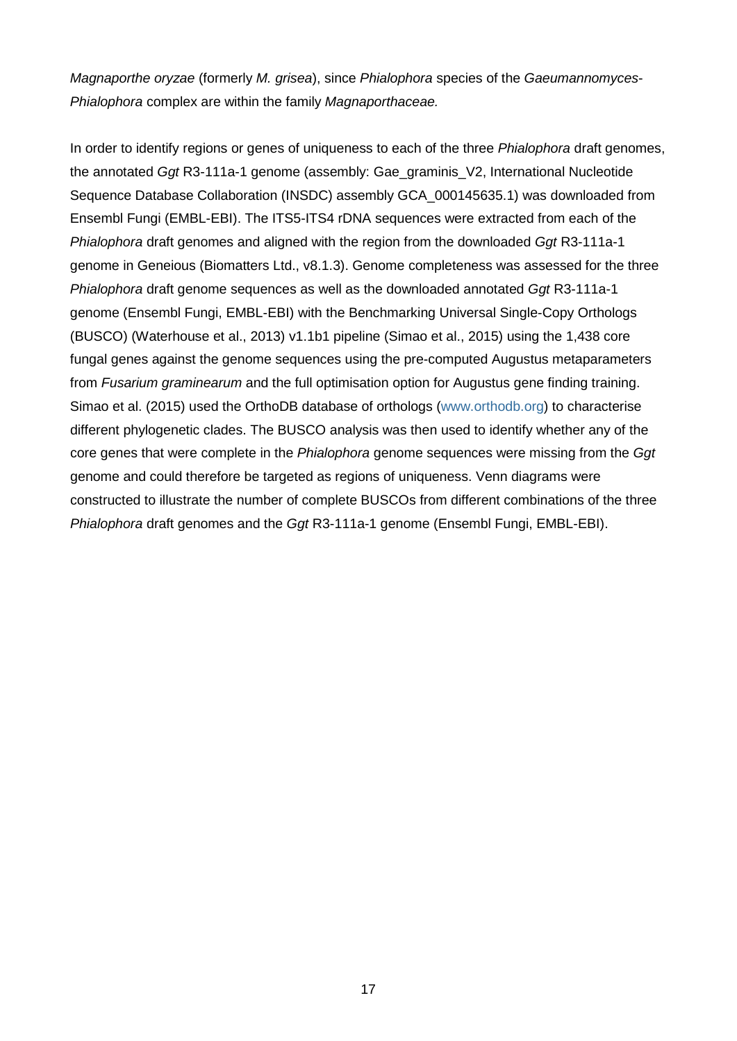*Magnaporthe oryzae* (formerly *M. grisea*), since *Phialophora* species of the *Gaeumannomyces*-*Phialophora* complex are within the family *Magnaporthaceae.*

In order to identify regions or genes of uniqueness to each of the three *Phialophora* draft genomes, the annotated *Ggt* R3-111a-1 genome (assembly: Gae\_graminis\_V2, International Nucleotide Sequence Database Collaboration (INSDC) assembly GCA\_000145635.1) was downloaded from Ensembl Fungi (EMBL-EBI). The ITS5-ITS4 rDNA sequences were extracted from each of the *Phialophora* draft genomes and aligned with the region from the downloaded *Ggt* R3-111a-1 genome in Geneious (Biomatters Ltd., v8.1.3). Genome completeness was assessed for the three *Phialophora* draft genome sequences as well as the downloaded annotated *Ggt* R3-111a-1 genome (Ensembl Fungi, EMBL-EBI) with the Benchmarking Universal Single-Copy Orthologs (BUSCO) (Waterhouse et al., 2013) v1.1b1 pipeline (Simao et al., 2015) using the 1,438 core fungal genes against the genome sequences using the pre-computed Augustus metaparameters from *Fusarium graminearum* and the full optimisation option for Augustus gene finding training. Simao et al. (2015) used the OrthoDB database of orthologs [\(www.orthodb.org\)](http://www.orthodb.org/) to characterise different phylogenetic clades. The BUSCO analysis was then used to identify whether any of the core genes that were complete in the *Phialophora* genome sequences were missing from the *Ggt* genome and could therefore be targeted as regions of uniqueness. Venn diagrams were constructed to illustrate the number of complete BUSCOs from different combinations of the three *Phialophora* draft genomes and the *Ggt* R3-111a-1 genome (Ensembl Fungi, EMBL-EBI).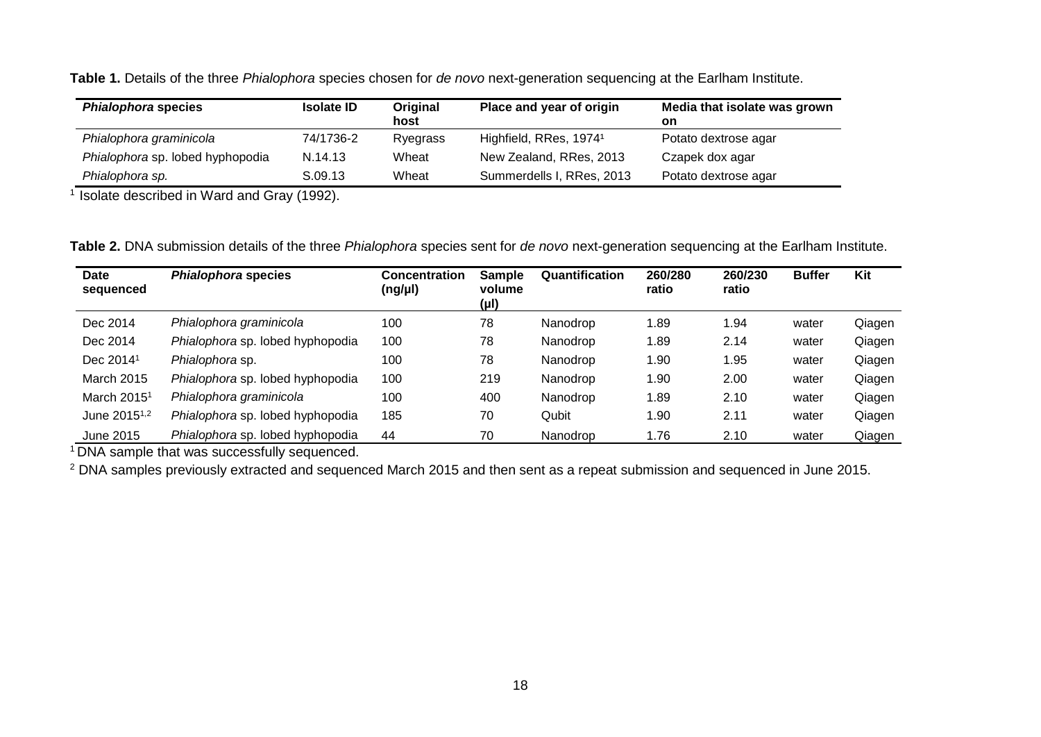|  | Table 1. Details of the three Phialophora species chosen for de novo next-generation sequencing at the Earlham Institute. |
|--|---------------------------------------------------------------------------------------------------------------------------|
|--|---------------------------------------------------------------------------------------------------------------------------|

| <b>Phialophora species</b>       | <b>Isolate ID</b> | Original<br>host | Place and year of origin           | Media that isolate was grown<br>on |
|----------------------------------|-------------------|------------------|------------------------------------|------------------------------------|
| Phialophora graminicola          | 74/1736-2         | Ryegrass         | Highfield, RRes, 1974 <sup>1</sup> | Potato dextrose agar               |
| Phialophora sp. lobed hyphopodia | N.14.13           | Wheat            | New Zealand, RRes, 2013            | Czapek dox agar                    |
| Phialophora sp.                  | S.09.13           | Wheat            | Summerdells I, RRes, 2013          | Potato dextrose agar               |

<sup>1</sup> Isolate described in Ward and Gray (1992).

**Table 2.** DNA submission details of the three *Phialophora* species sent for *de novo* next-generation sequencing at the Earlham Institute.

| <b>Date</b><br>sequenced | <b>Phialophora species</b>       | <b>Concentration</b><br>$(ng/\mu l)$ | <b>Sample</b><br>volume<br>(µl) | Quantification | 260/280<br>ratio | 260/230<br>ratio | <b>Buffer</b> | Kit    |
|--------------------------|----------------------------------|--------------------------------------|---------------------------------|----------------|------------------|------------------|---------------|--------|
| Dec 2014                 | Phialophora graminicola          | 100                                  | 78                              | Nanodrop       | 1.89             | 1.94             | water         | Qiagen |
| Dec 2014                 | Phialophora sp. lobed hyphopodia | 100                                  | 78                              | Nanodrop       | 1.89             | 2.14             | water         | Qiagen |
| Dec 2014 <sup>1</sup>    | Phialophora sp.                  | 100                                  | 78                              | Nanodrop       | 1.90             | 1.95             | water         | Qiagen |
| <b>March 2015</b>        | Phialophora sp. lobed hyphopodia | 100                                  | 219                             | Nanodrop       | 1.90             | 2.00             | water         | Qiagen |
| March 2015 <sup>1</sup>  | Phialophora graminicola          | 100                                  | 400                             | Nanodrop       | 1.89             | 2.10             | water         | Qiagen |
| June 2015 <sup>1,2</sup> | Phialophora sp. lobed hyphopodia | 185                                  | 70                              | Qubit          | 1.90             | 2.11             | water         | Qiagen |
| June 2015                | Phialophora sp. lobed hyphopodia | 44                                   | 70                              | Nanodrop       | 1.76             | 2.10             | water         | Qiagen |

<span id="page-19-0"></span><sup>1</sup> DNA sample that was successfully sequenced.

<span id="page-19-1"></span><sup>2</sup> DNA samples previously extracted and sequenced March 2015 and then sent as a repeat submission and sequenced in June 2015.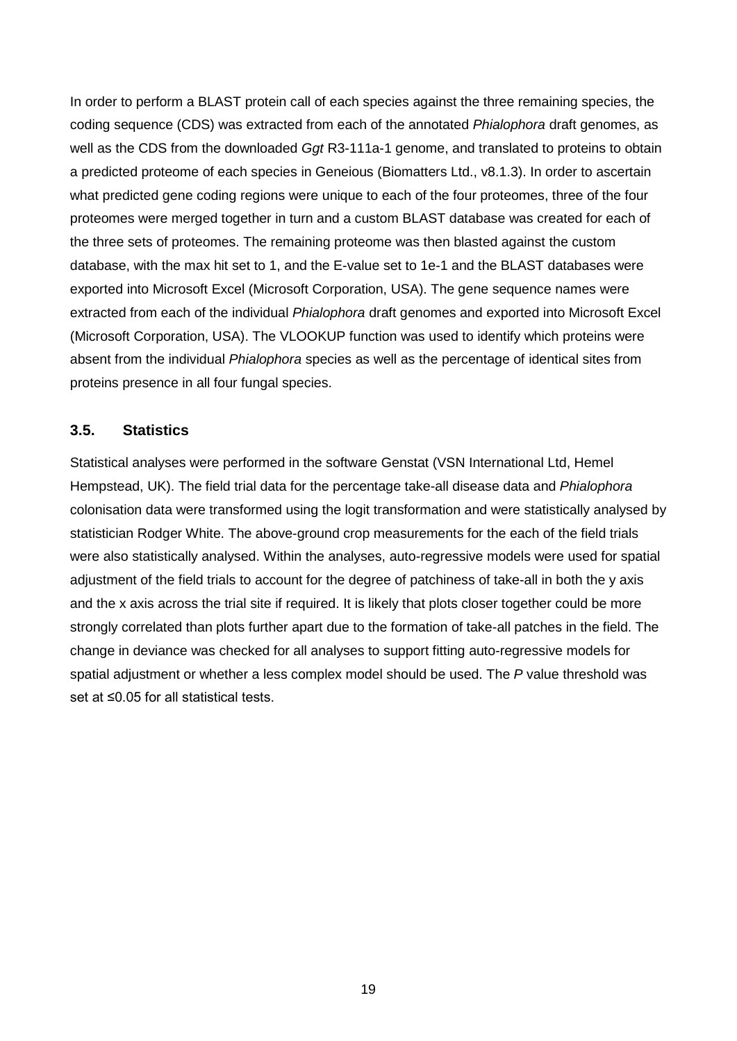In order to perform a BLAST protein call of each species against the three remaining species, the coding sequence (CDS) was extracted from each of the annotated *Phialophora* draft genomes, as well as the CDS from the downloaded *Ggt* R3-111a-1 genome, and translated to proteins to obtain a predicted proteome of each species in Geneious (Biomatters Ltd., v8.1.3). In order to ascertain what predicted gene coding regions were unique to each of the four proteomes, three of the four proteomes were merged together in turn and a custom BLAST database was created for each of the three sets of proteomes. The remaining proteome was then blasted against the custom database, with the max hit set to 1, and the E-value set to 1e-1 and the BLAST databases were exported into Microsoft Excel (Microsoft Corporation, USA). The gene sequence names were extracted from each of the individual *Phialophora* draft genomes and exported into Microsoft Excel (Microsoft Corporation, USA). The VLOOKUP function was used to identify which proteins were absent from the individual *Phialophora* species as well as the percentage of identical sites from proteins presence in all four fungal species.

### **3.5. Statistics**

Statistical analyses were performed in the software Genstat (VSN International Ltd, Hemel Hempstead, UK). The field trial data for the percentage take-all disease data and *Phialophora* colonisation data were transformed using the logit transformation and were statistically analysed by statistician Rodger White. The above-ground crop measurements for the each of the field trials were also statistically analysed. Within the analyses, auto-regressive models were used for spatial adjustment of the field trials to account for the degree of patchiness of take-all in both the y axis and the x axis across the trial site if required. It is likely that plots closer together could be more strongly correlated than plots further apart due to the formation of take-all patches in the field. The change in deviance was checked for all analyses to support fitting auto-regressive models for spatial adjustment or whether a less complex model should be used. The *P* value threshold was set at ≤0.05 for all statistical tests.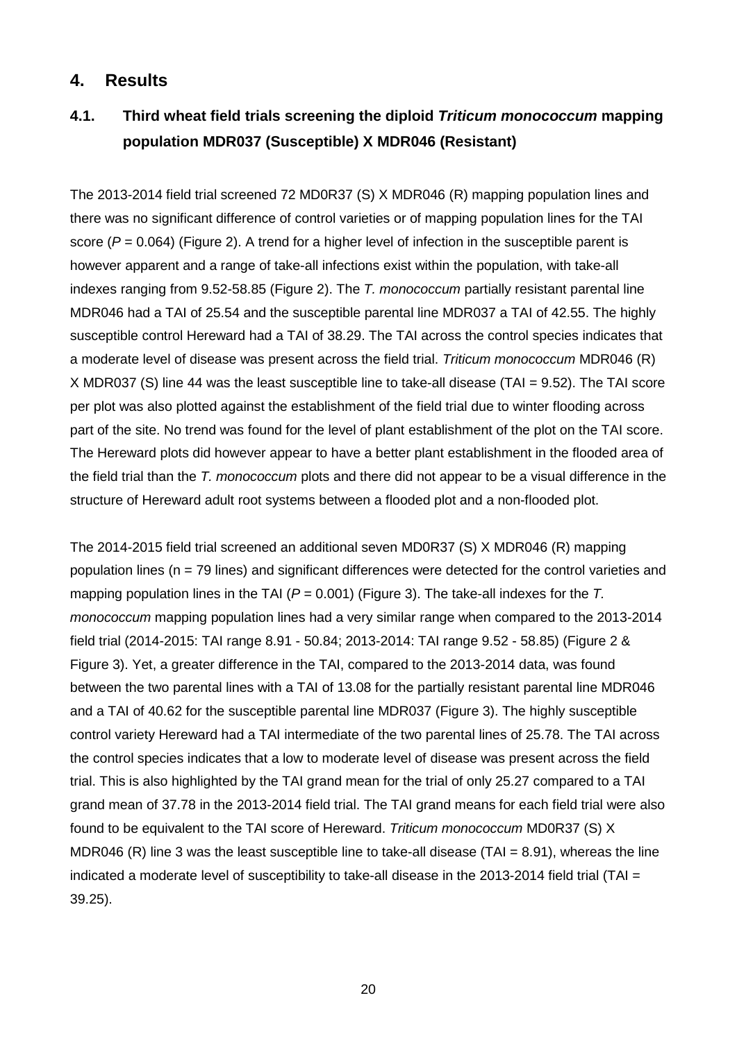### **4. Results**

### **4.1. Third wheat field trials screening the diploid** *Triticum monococcum* **mapping population MDR037 (Susceptible) X MDR046 (Resistant)**

The 2013-2014 field trial screened 72 MD0R37 (S) X MDR046 (R) mapping population lines and there was no significant difference of control varieties or of mapping population lines for the TAI score ( $P = 0.064$ ) [\(Figure 2\)](#page-23-0). A trend for a higher level of infection in the susceptible parent is however apparent and a range of take-all infections exist within the population, with take-all indexes ranging from 9.52-58.85 [\(Figure 2\)](#page-23-0). The *T. monococcum* partially resistant parental line MDR046 had a TAI of 25.54 and the susceptible parental line MDR037 a TAI of 42.55. The highly susceptible control Hereward had a TAI of 38.29. The TAI across the control species indicates that a moderate level of disease was present across the field trial. *Triticum monococcum* MDR046 (R) X MDR037 (S) line 44 was the least susceptible line to take-all disease (TAI = 9.52). The TAI score per plot was also plotted against the establishment of the field trial due to winter flooding across part of the site. No trend was found for the level of plant establishment of the plot on the TAI score. The Hereward plots did however appear to have a better plant establishment in the flooded area of the field trial than the *T. monococcum* plots and there did not appear to be a visual difference in the structure of Hereward adult root systems between a flooded plot and a non-flooded plot.

The 2014-2015 field trial screened an additional seven MD0R37 (S) X MDR046 (R) mapping population lines (n = 79 lines) and significant differences were detected for the control varieties and mapping population lines in the TAI (*P* = 0.001) [\(Figure 3\)](#page-23-1). The take-all indexes for the *T. monococcum* mapping population lines had a very similar range when compared to the 2013-2014 field trial (2014-2015: TAI range 8.91 - 50.84; 2013-2014: TAI range 9.52 - 58.85) [\(Figure 2](#page-23-0) & [Figure 3\)](#page-23-1). Yet, a greater difference in the TAI, compared to the 2013-2014 data, was found between the two parental lines with a TAI of 13.08 for the partially resistant parental line MDR046 and a TAI of 40.62 for the susceptible parental line MDR037 [\(Figure 3\)](#page-23-1). The highly susceptible control variety Hereward had a TAI intermediate of the two parental lines of 25.78. The TAI across the control species indicates that a low to moderate level of disease was present across the field trial. This is also highlighted by the TAI grand mean for the trial of only 25.27 compared to a TAI grand mean of 37.78 in the 2013-2014 field trial. The TAI grand means for each field trial were also found to be equivalent to the TAI score of Hereward. *Triticum monococcum* MD0R37 (S) X MDR046 (R) line 3 was the least susceptible line to take-all disease (TAI =  $8.91$ ), whereas the line indicated a moderate level of susceptibility to take-all disease in the 2013-2014 field trial (TAI  $=$ 39.25).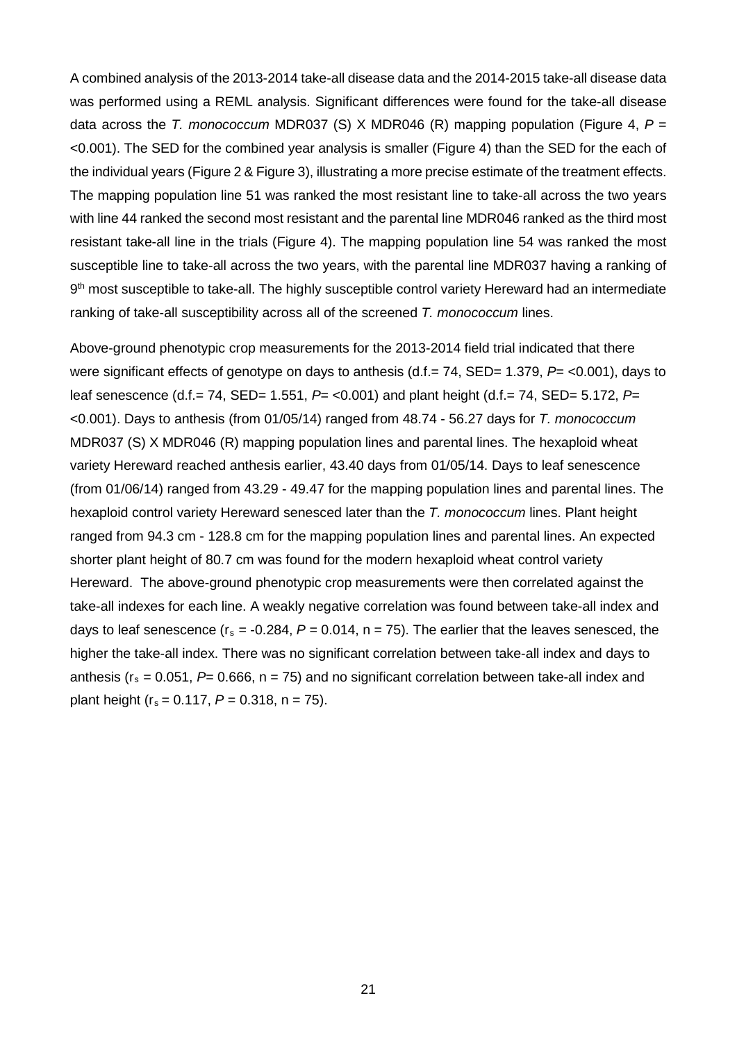A combined analysis of the 2013-2014 take-all disease data and the 2014-2015 take-all disease data was performed using a REML analysis. Significant differences were found for the take-all disease data across the *T. monococcum* MDR037 (S) X MDR046 (R) mapping population [\(Figure 4,](#page-24-0) *P* = <0.001). The SED for the combined year analysis is smaller [\(Figure 4\)](#page-24-0) than the SED for the each of the individual years [\(Figure 2](#page-23-0) & [Figure 3\)](#page-23-1), illustrating a more precise estimate of the treatment effects. The mapping population line 51 was ranked the most resistant line to take-all across the two years with line 44 ranked the second most resistant and the parental line MDR046 ranked as the third most resistant take-all line in the trials [\(Figure 4\)](#page-24-0). The mapping population line 54 was ranked the most susceptible line to take-all across the two years, with the parental line MDR037 having a ranking of 9<sup>th</sup> most susceptible to take-all. The highly susceptible control variety Hereward had an intermediate ranking of take-all susceptibility across all of the screened *T. monococcum* lines.

Above-ground phenotypic crop measurements for the 2013-2014 field trial indicated that there were significant effects of genotype on days to anthesis (d.f.= 74, SED= 1.379, *P*= <0.001), days to leaf senescence (d.f.= 74, SED= 1.551, *P*= <0.001) and plant height (d.f.= 74, SED= 5.172, *P*= <0.001). Days to anthesis (from 01/05/14) ranged from 48.74 - 56.27 days for *T. monococcum* MDR037 (S) X MDR046 (R) mapping population lines and parental lines. The hexaploid wheat variety Hereward reached anthesis earlier, 43.40 days from 01/05/14. Days to leaf senescence (from 01/06/14) ranged from 43.29 - 49.47 for the mapping population lines and parental lines. The hexaploid control variety Hereward senesced later than the *T. monococcum* lines. Plant height ranged from 94.3 cm - 128.8 cm for the mapping population lines and parental lines. An expected shorter plant height of 80.7 cm was found for the modern hexaploid wheat control variety Hereward. The above-ground phenotypic crop measurements were then correlated against the take-all indexes for each line. A weakly negative correlation was found between take-all index and days to leaf senescence ( $r_s = -0.284$ ,  $P = 0.014$ ,  $n = 75$ ). The earlier that the leaves senesced, the higher the take-all index. There was no significant correlation between take-all index and days to anthesis ( $r_s = 0.051$ ,  $P= 0.666$ ,  $n = 75$ ) and no significant correlation between take-all index and plant height ( $r_s = 0.117$ ,  $P = 0.318$ ,  $n = 75$ ).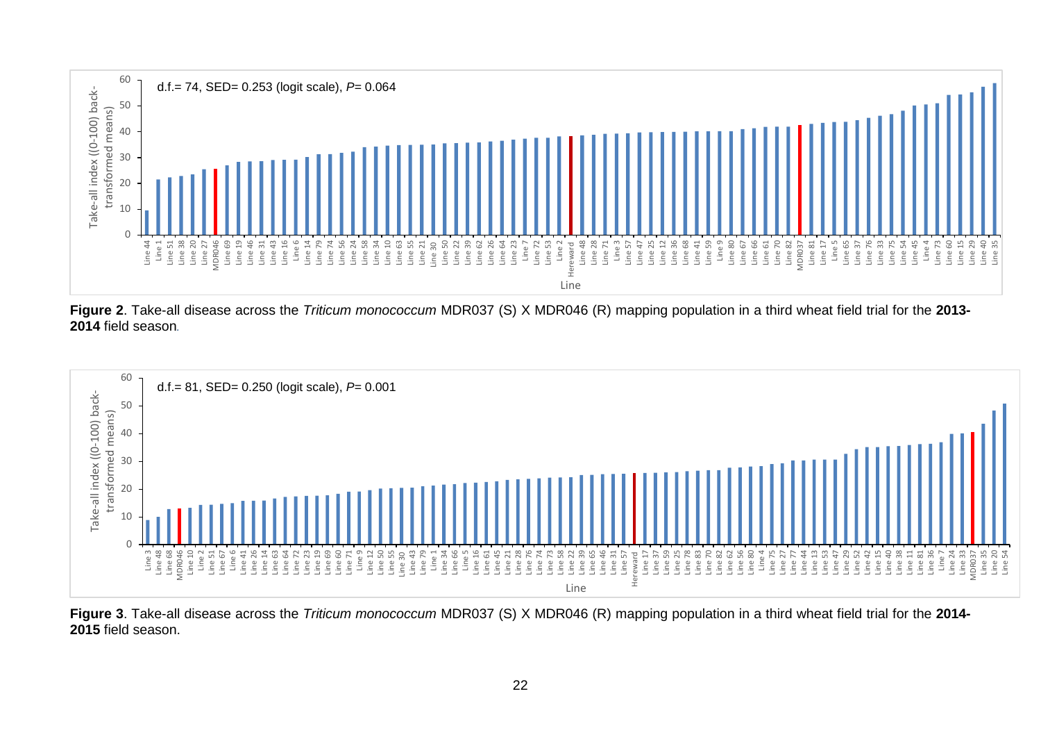

**Figure 2**. Take-all disease across the *Triticum monococcum* MDR037 (S) X MDR046 (R) mapping population in a third wheat field trial for the **2013- 2014** field season*.* 



<span id="page-23-1"></span><span id="page-23-0"></span>**Figure 3**. Take-all disease across the *Triticum monococcum* MDR037 (S) X MDR046 (R) mapping population in a third wheat field trial for the **2014- 2015** field season.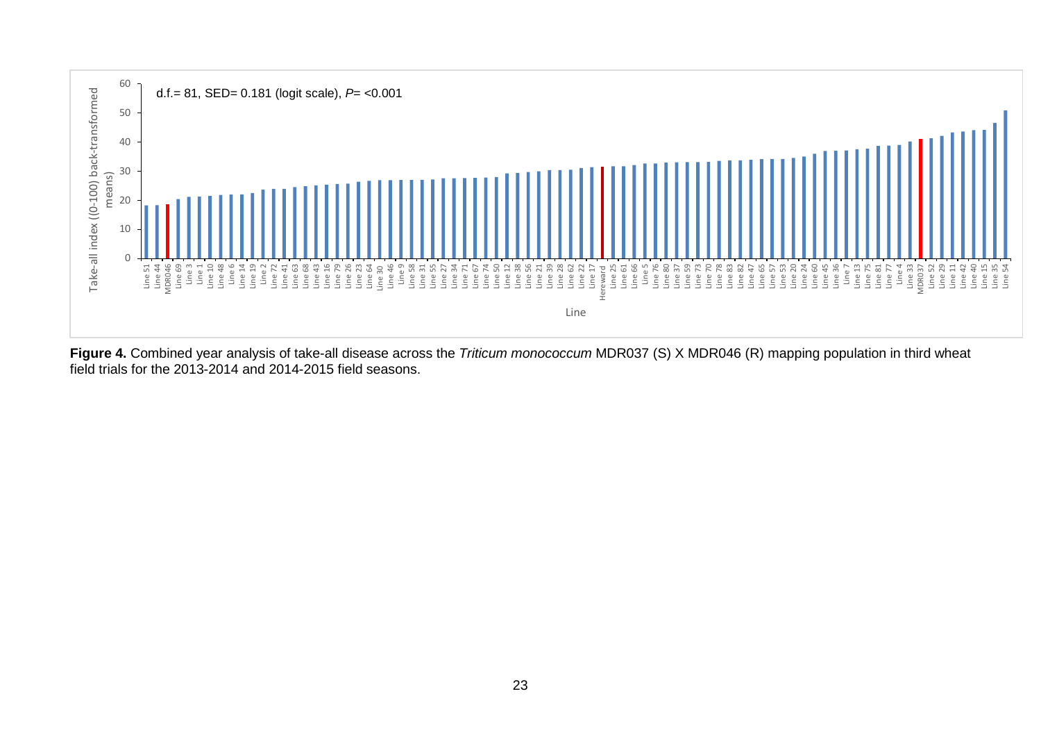

<span id="page-24-0"></span>**Figure 4.** Combined year analysis of take-all disease across the *Triticum monococcum* MDR037 (S) X MDR046 (R) mapping population in third wheat field trials for the 2013-2014 and 2014-2015 field seasons.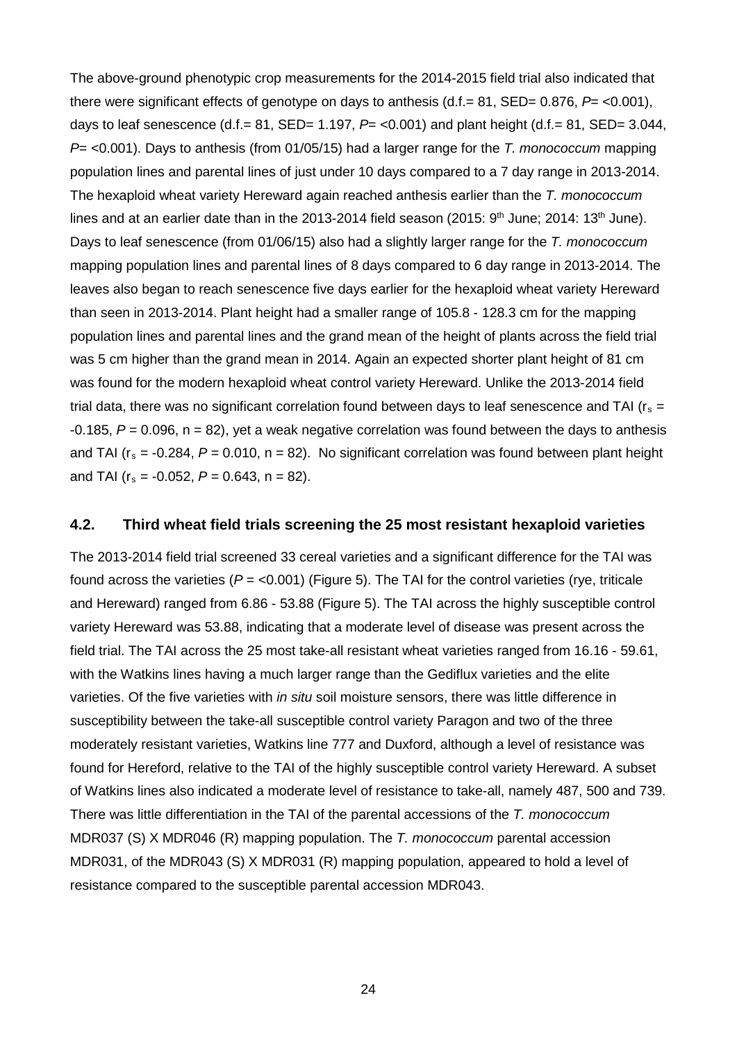The above-ground phenotypic crop measurements for the 2014-2015 field trial also indicated that there were significant effects of genotype on days to anthesis (d.f.= 81, SED= 0.876, *P*= <0.001), days to leaf senescence  $(d.f. = 81, SED = 1.197, P = <0.001)$  and plant height  $(d.f. = 81, SED = 3.044,$ *P*= <0.001). Days to anthesis (from 01/05/15) had a larger range for the *T. monococcum* mapping population lines and parental lines of just under 10 days compared to a 7 day range in 2013-2014. The hexaploid wheat variety Hereward again reached anthesis earlier than the *T. monococcum* lines and at an earlier date than in the 2013-2014 field season (2015:  $9<sup>th</sup>$  June; 2014: 13<sup>th</sup> June). Days to leaf senescence (from 01/06/15) also had a slightly larger range for the *T. monococcum* mapping population lines and parental lines of 8 days compared to 6 day range in 2013-2014. The leaves also began to reach senescence five days earlier for the hexaploid wheat variety Hereward than seen in 2013-2014. Plant height had a smaller range of 105.8 - 128.3 cm for the mapping population lines and parental lines and the grand mean of the height of plants across the field trial was 5 cm higher than the grand mean in 2014. Again an expected shorter plant height of 81 cm was found for the modern hexaploid wheat control variety Hereward. Unlike the 2013-2014 field trial data, there was no significant correlation found between days to leaf senescence and TAI ( $r_s$  =  $-0.185$ ,  $P = 0.096$ ,  $n = 82$ ), yet a weak negative correlation was found between the days to anthesis and TAI ( $r_s = -0.284$ ,  $P = 0.010$ ,  $n = 82$ ). No significant correlation was found between plant height and TAI ( $r_s = -0.052$ ,  $P = 0.643$ ,  $n = 82$ ).

#### **4.2. Third wheat field trials screening the 25 most resistant hexaploid varieties**

The 2013-2014 field trial screened 33 cereal varieties and a significant difference for the TAI was found across the varieties ( $P = 0.001$ ) [\(Figure 5\)](#page-26-0). The TAI for the control varieties (rye, triticale and Hereward) ranged from 6.86 - 53.88 [\(Figure 5\)](#page-26-0). The TAI across the highly susceptible control variety Hereward was 53.88, indicating that a moderate level of disease was present across the field trial. The TAI across the 25 most take-all resistant wheat varieties ranged from 16.16 - 59.61, with the Watkins lines having a much larger range than the Gediflux varieties and the elite varieties. Of the five varieties with *in situ* soil moisture sensors, there was little difference in susceptibility between the take-all susceptible control variety Paragon and two of the three moderately resistant varieties, Watkins line 777 and Duxford, although a level of resistance was found for Hereford, relative to the TAI of the highly susceptible control variety Hereward. A subset of Watkins lines also indicated a moderate level of resistance to take-all, namely 487, 500 and 739. There was little differentiation in the TAI of the parental accessions of the *T. monococcum* MDR037 (S) X MDR046 (R) mapping population. The *T. monococcum* parental accession MDR031, of the MDR043 (S) X MDR031 (R) mapping population, appeared to hold a level of resistance compared to the susceptible parental accession MDR043.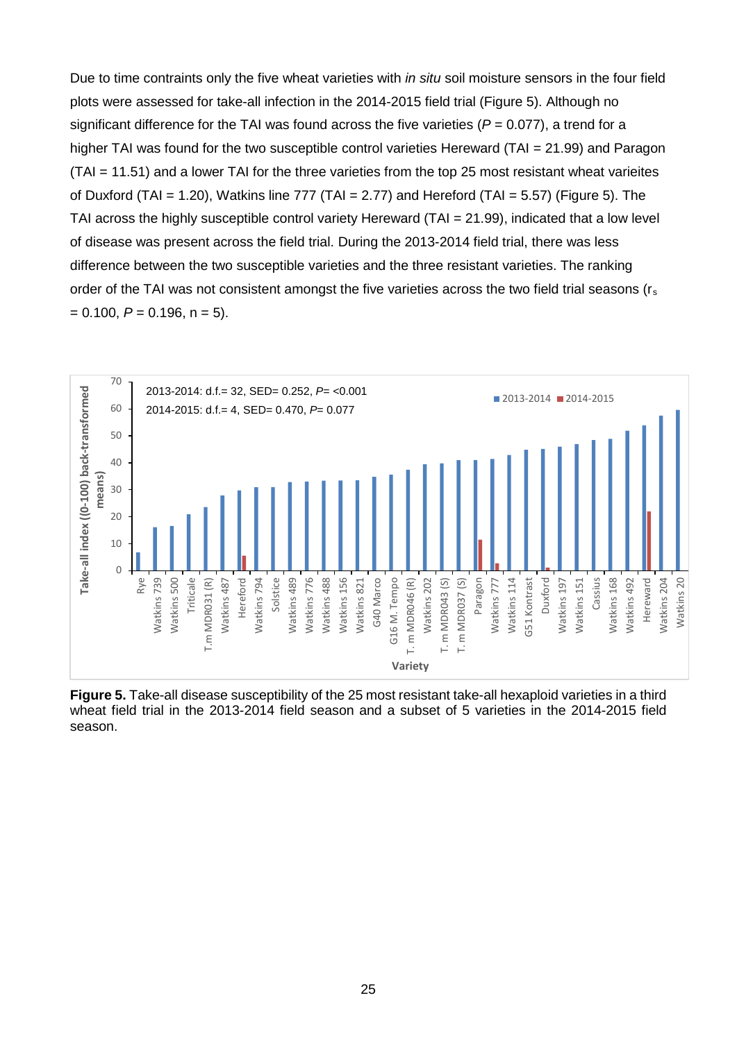Due to time contraints only the five wheat varieties with *in situ* soil moisture sensors in the four field plots were assessed for take-all infection in the 2014-2015 field trial [\(Figure 5\)](#page-26-0). Although no significant difference for the TAI was found across the five varieties  $(P = 0.077)$ , a trend for a higher TAI was found for the two susceptible control varieties Hereward (TAI = 21.99) and Paragon (TAI = 11.51) and a lower TAI for the three varieties from the top 25 most resistant wheat varieites of Duxford (TAI = 1.20), Watkins line 777 (TAI = 2.77) and Hereford (TAI = 5.57) [\(Figure 5\)](#page-26-0). The TAI across the highly susceptible control variety Hereward (TAI = 21.99), indicated that a low level of disease was present across the field trial. During the 2013-2014 field trial, there was less difference between the two susceptible varieties and the three resistant varieties. The ranking order of the TAI was not consistent amongst the five varieties across the two field trial seasons (rs  $= 0.100, P = 0.196, n = 5.$ 



<span id="page-26-0"></span>**Figure 5.** Take-all disease susceptibility of the 25 most resistant take-all hexaploid varieties in a third wheat field trial in the 2013-2014 field season and a subset of 5 varieties in the 2014-2015 field season.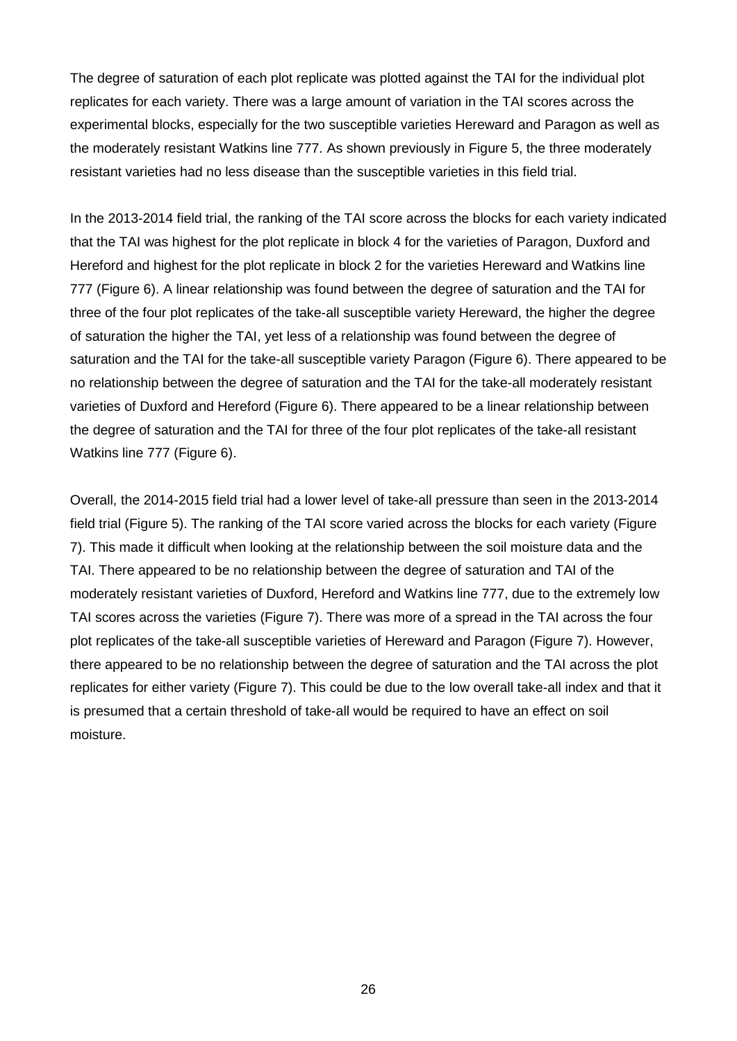The degree of saturation of each plot replicate was plotted against the TAI for the individual plot replicates for each variety. There was a large amount of variation in the TAI scores across the experimental blocks, especially for the two susceptible varieties Hereward and Paragon as well as the moderately resistant Watkins line 777. As shown previously in [Figure 5,](#page-26-0) the three moderately resistant varieties had no less disease than the susceptible varieties in this field trial.

In the 2013-2014 field trial, the ranking of the TAI score across the blocks for each variety indicated that the TAI was highest for the plot replicate in block 4 for the varieties of Paragon, Duxford and Hereford and highest for the plot replicate in block 2 for the varieties Hereward and Watkins line 777 [\(Figure 6\)](#page-28-0). A linear relationship was found between the degree of saturation and the TAI for three of the four plot replicates of the take-all susceptible variety Hereward, the higher the degree of saturation the higher the TAI, yet less of a relationship was found between the degree of saturation and the TAI for the take-all susceptible variety Paragon [\(Figure 6\)](#page-28-0). There appeared to be no relationship between the degree of saturation and the TAI for the take-all moderately resistant varieties of Duxford and Hereford [\(Figure 6\)](#page-28-0). There appeared to be a linear relationship between the degree of saturation and the TAI for three of the four plot replicates of the take-all resistant Watkins line 777 [\(Figure 6\)](#page-28-0).

Overall, the 2014-2015 field trial had a lower level of take-all pressure than seen in the 2013-2014 field trial [\(Figure 5\)](#page-26-0). The ranking of the TAI score varied across the blocks for each variety [\(Figure](#page-29-0)  [7\)](#page-29-0). This made it difficult when looking at the relationship between the soil moisture data and the TAI. There appeared to be no relationship between the degree of saturation and TAI of the moderately resistant varieties of Duxford, Hereford and Watkins line 777, due to the extremely low TAI scores across the varieties [\(Figure 7\)](#page-29-0). There was more of a spread in the TAI across the four plot replicates of the take-all susceptible varieties of Hereward and Paragon [\(Figure 7\)](#page-29-0). However, there appeared to be no relationship between the degree of saturation and the TAI across the plot replicates for either variety [\(Figure 7\)](#page-29-0). This could be due to the low overall take-all index and that it is presumed that a certain threshold of take-all would be required to have an effect on soil moisture.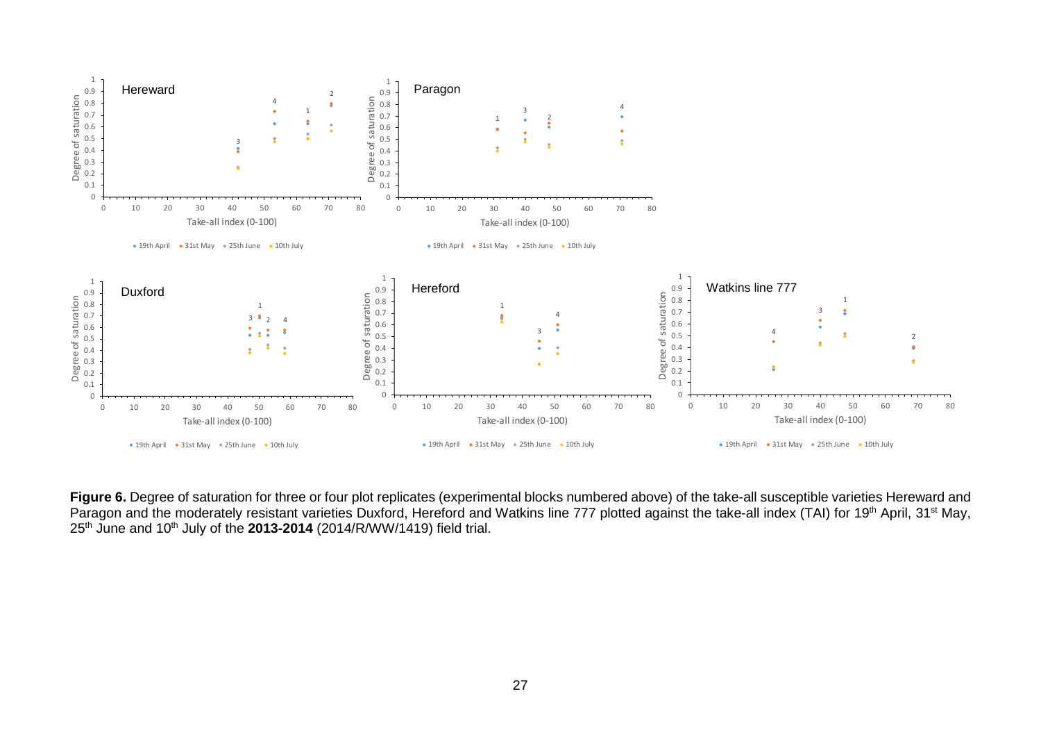

<span id="page-28-0"></span>Figure 6. Degree of saturation for three or four plot replicates (experimental blocks numbered above) of the take-all susceptible varieties Hereward and Paragon and the moderately resistant varieties Duxford, Hereford and Watkins line 777 plotted against the take-all index (TAI) for 19<sup>th</sup> April, 31<sup>st</sup> May, 25th June and 10th July of the **2013-2014** (2014/R/WW/1419) field trial.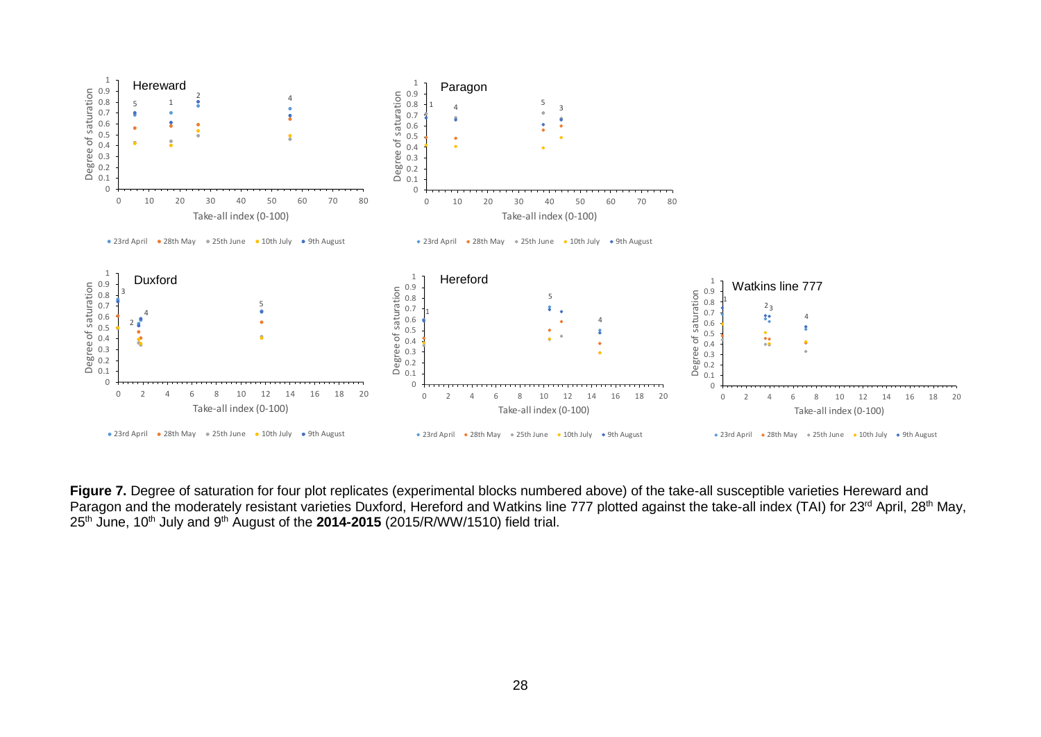

<span id="page-29-0"></span>Figure 7. Degree of saturation for four plot replicates (experimental blocks numbered above) of the take-all susceptible varieties Hereward and Paragon and the moderately resistant varieties Duxford, Hereford and Watkins line 777 plotted against the take-all index (TAI) for 23<sup>rd</sup> April, 28<sup>th</sup> May, 25th June, 10th July and 9th August of the **2014-2015** (2015/R/WW/1510) field trial.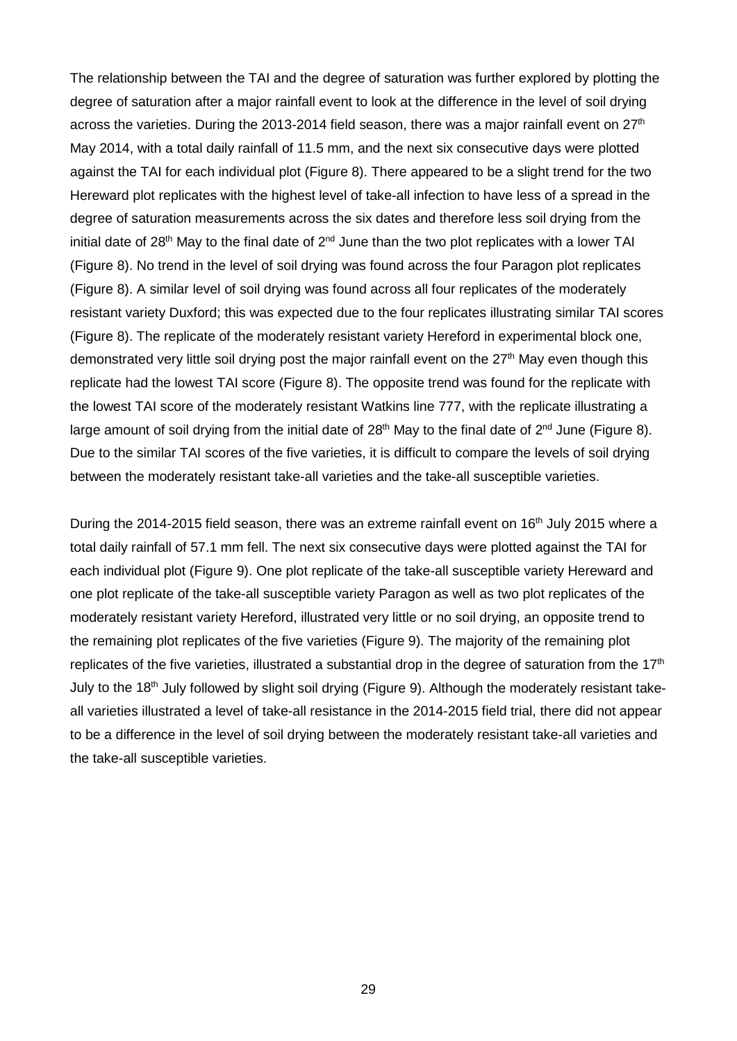The relationship between the TAI and the degree of saturation was further explored by plotting the degree of saturation after a major rainfall event to look at the difference in the level of soil drying across the varieties. During the 2013-2014 field season, there was a major rainfall event on 27<sup>th</sup> May 2014, with a total daily rainfall of 11.5 mm, and the next six consecutive days were plotted against the TAI for each individual plot [\(Figure 8\)](#page-31-0). There appeared to be a slight trend for the two Hereward plot replicates with the highest level of take-all infection to have less of a spread in the degree of saturation measurements across the six dates and therefore less soil drying from the initial date of 28<sup>th</sup> May to the final date of  $2^{nd}$  June than the two plot replicates with a lower TAI [\(Figure 8\)](#page-31-0). No trend in the level of soil drying was found across the four Paragon plot replicates [\(Figure 8\)](#page-31-0). A similar level of soil drying was found across all four replicates of the moderately resistant variety Duxford; this was expected due to the four replicates illustrating similar TAI scores [\(Figure 8\)](#page-31-0). The replicate of the moderately resistant variety Hereford in experimental block one, demonstrated very little soil drying post the major rainfall event on the  $27<sup>th</sup>$  May even though this replicate had the lowest TAI score [\(Figure 8\)](#page-31-0). The opposite trend was found for the replicate with the lowest TAI score of the moderately resistant Watkins line 777, with the replicate illustrating a large amount of soil drying from the initial date of  $28<sup>th</sup>$  May to the final date of  $2<sup>nd</sup>$  June [\(Figure 8\)](#page-31-0). Due to the similar TAI scores of the five varieties, it is difficult to compare the levels of soil drying between the moderately resistant take-all varieties and the take-all susceptible varieties.

During the 2014-2015 field season, there was an extreme rainfall event on 16<sup>th</sup> July 2015 where a total daily rainfall of 57.1 mm fell. The next six consecutive days were plotted against the TAI for each individual plot [\(Figure 9\)](#page-32-0). One plot replicate of the take-all susceptible variety Hereward and one plot replicate of the take-all susceptible variety Paragon as well as two plot replicates of the moderately resistant variety Hereford, illustrated very little or no soil drying, an opposite trend to the remaining plot replicates of the five varieties [\(Figure 9\)](#page-32-0). The majority of the remaining plot replicates of the five varieties, illustrated a substantial drop in the degree of saturation from the  $17<sup>th</sup>$ July to the 18<sup>th</sup> July followed by slight soil drying [\(Figure 9\)](#page-32-0). Although the moderately resistant takeall varieties illustrated a level of take-all resistance in the 2014-2015 field trial, there did not appear to be a difference in the level of soil drying between the moderately resistant take-all varieties and the take-all susceptible varieties.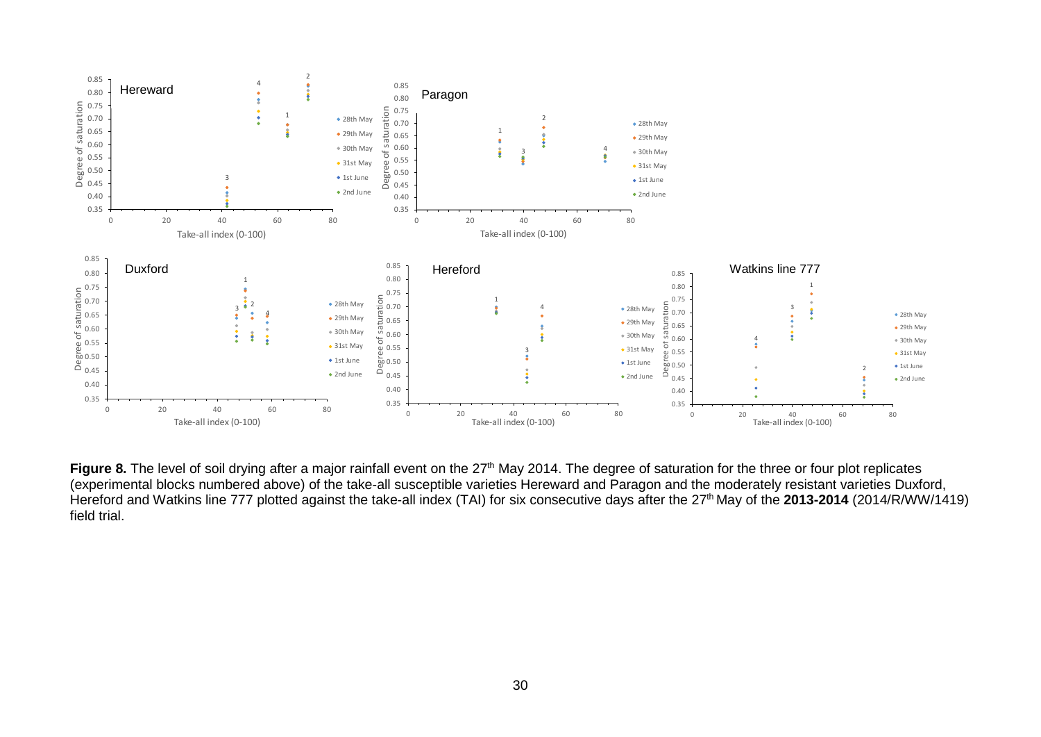

<span id="page-31-0"></span>Figure 8. The level of soil drying after a major rainfall event on the 27<sup>th</sup> May 2014. The degree of saturation for the three or four plot replicates (experimental blocks numbered above) of the take-all susceptible varieties Hereward and Paragon and the moderately resistant varieties Duxford, Hereford and Watkins line 777 plotted against the take-all index (TAI) for six consecutive days after the 27th May of the **2013-2014** (2014/R/WW/1419) field trial.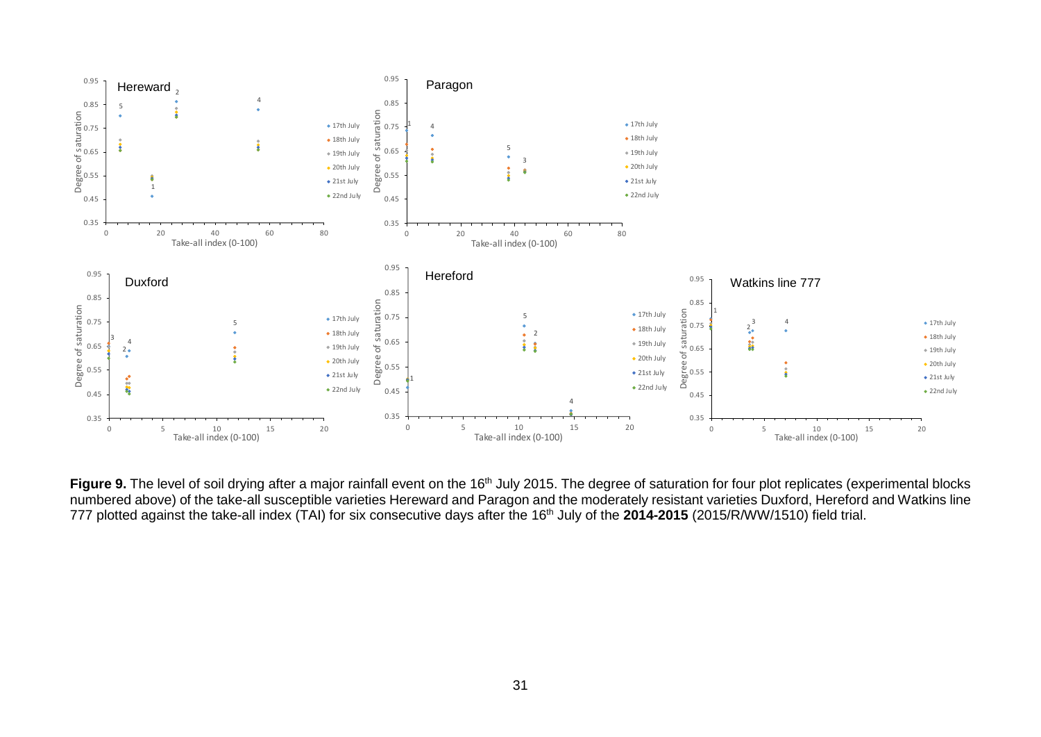

<span id="page-32-0"></span>Figure 9. The level of soil drying after a major rainfall event on the 16<sup>th</sup> July 2015. The degree of saturation for four plot replicates (experimental blocks numbered above) of the take-all susceptible varieties Hereward and Paragon and the moderately resistant varieties Duxford, Hereford and Watkins line 777 plotted against the take-all index (TAI) for six consecutive days after the 16<sup>th</sup> July of the 2014-2015 (2015/R/WW/1510) field trial.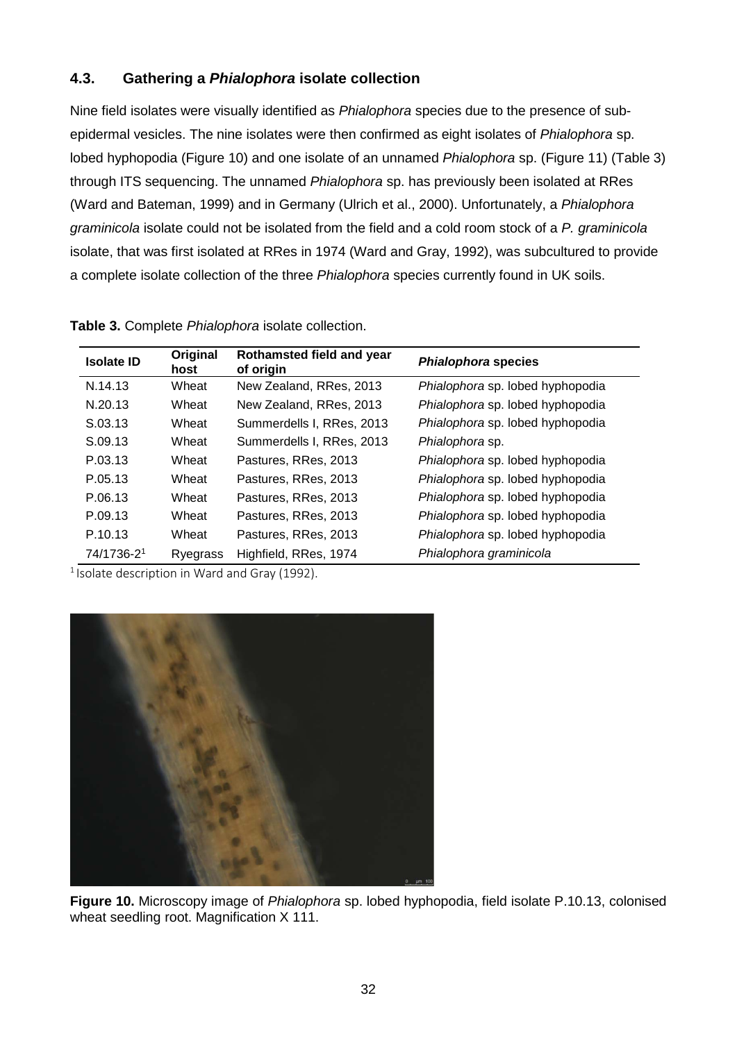### **4.3. Gathering a** *Phialophora* **isolate collection**

Nine field isolates were visually identified as *Phialophora* species due to the presence of subepidermal vesicles. The nine isolates were then confirmed as eight isolates of *Phialophora* sp. lobed hyphopodia [\(Figure 10\)](#page-33-0) and one isolate of an unnamed *Phialophora* sp. [\(Figure 11\)](#page-34-0) [\(Table 3\)](#page-33-1) through ITS sequencing. The unnamed *Phialophora* sp. has previously been isolated at RRes (Ward and Bateman, 1999) and in Germany (Ulrich et al., 2000). Unfortunately, a *Phialophora graminicola* isolate could not be isolated from the field and a cold room stock of a *P. graminicola* isolate, that was first isolated at RRes in 1974 (Ward and Gray, 1992), was subcultured to provide a complete isolate collection of the three *Phialophora* species currently found in UK soils.

| <b>Isolate ID</b> | Original<br>host | Rothamsted field and year<br>of origin | Phialophora species              |
|-------------------|------------------|----------------------------------------|----------------------------------|
| N.14.13           | Wheat            | New Zealand, RRes, 2013                | Phialophora sp. lobed hyphopodia |
| N.20.13           | Wheat            | New Zealand, RRes, 2013                | Phialophora sp. lobed hyphopodia |
| S.03.13           | Wheat            | Summerdells I, RRes, 2013              | Phialophora sp. lobed hyphopodia |
| S.09.13           | Wheat            | Summerdells I, RRes, 2013              | Phialophora sp.                  |
| P.03.13           | Wheat            | Pastures, RRes, 2013                   | Phialophora sp. lobed hyphopodia |
| P.05.13           | Wheat            | Pastures, RRes, 2013                   | Phialophora sp. lobed hyphopodia |
| P.06.13           | Wheat            | Pastures, RRes, 2013                   | Phialophora sp. lobed hyphopodia |
| P.09.13           | Wheat            | Pastures, RRes, 2013                   | Phialophora sp. lobed hyphopodia |
| P.10.13           | Wheat            | Pastures, RRes, 2013                   | Phialophora sp. lobed hyphopodia |
| 74/1736-21        | Ryegrass         | Highfield, RRes, 1974                  | Phialophora graminicola          |

<span id="page-33-1"></span>

| Table 3. Complete Phialophora isolate collection. |
|---------------------------------------------------|
|---------------------------------------------------|

 $1$  Isolate description in Ward and Gray (1992).



<span id="page-33-0"></span>**Figure 10.** Microscopy image of *Phialophora* sp. lobed hyphopodia, field isolate P.10.13, colonised wheat seedling root. Magnification X 111.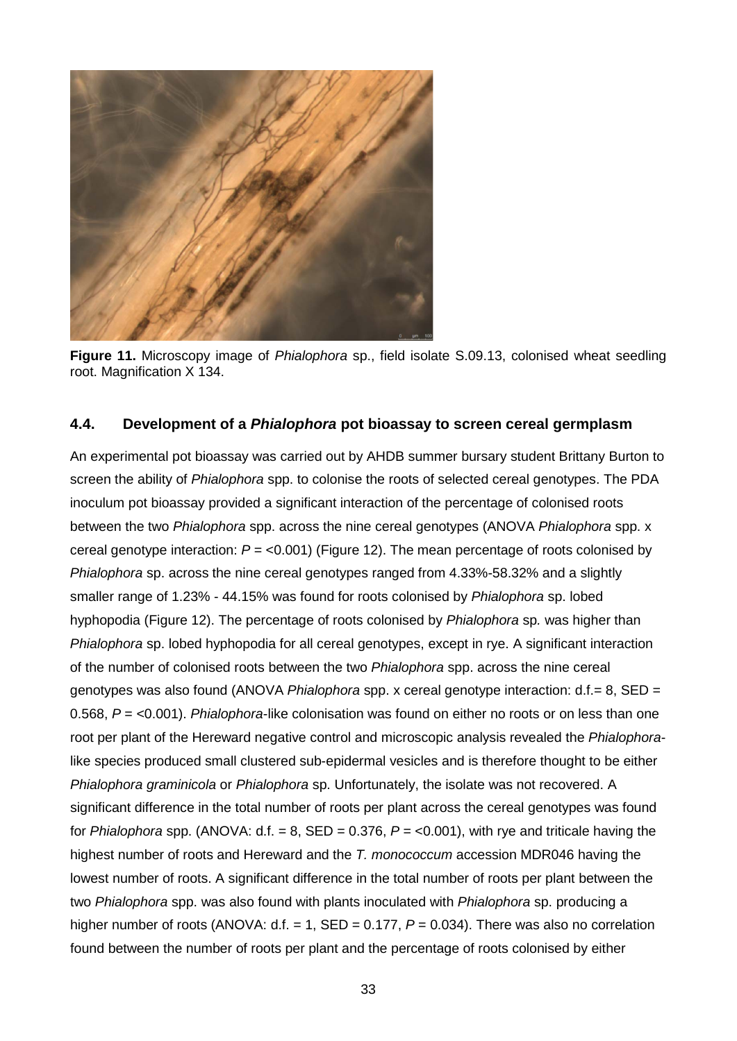

**Figure 11.** Microscopy image of *Phialophora* sp., field isolate S.09.13, colonised wheat seedling root. Magnification X 134.

#### <span id="page-34-0"></span>**4.4. Development of a** *Phialophora* **pot bioassay to screen cereal germplasm**

An experimental pot bioassay was carried out by AHDB summer bursary student Brittany Burton to screen the ability of *Phialophora* spp. to colonise the roots of selected cereal genotypes. The PDA inoculum pot bioassay provided a significant interaction of the percentage of colonised roots between the two *Phialophora* spp. across the nine cereal genotypes (ANOVA *Phialophora* spp. x cereal genotype interaction: *P* = <0.001) [\(Figure 12\)](#page-35-0). The mean percentage of roots colonised by *Phialophora* sp. across the nine cereal genotypes ranged from 4.33%-58.32% and a slightly smaller range of 1.23% - 44.15% was found for roots colonised by *Phialophora* sp. lobed hyphopodia [\(Figure 12\)](#page-35-0). The percentage of roots colonised by *Phialophora* sp*.* was higher than *Phialophora* sp. lobed hyphopodia for all cereal genotypes, except in rye. A significant interaction of the number of colonised roots between the two *Phialophora* spp. across the nine cereal genotypes was also found (ANOVA *Phialophora* spp. x cereal genotype interaction: d.f.= 8, SED = 0.568, *P* = <0.001). *Phialophora*-like colonisation was found on either no roots or on less than one root per plant of the Hereward negative control and microscopic analysis revealed the *Phialophora*like species produced small clustered sub-epidermal vesicles and is therefore thought to be either *Phialophora graminicola* or *Phialophora* sp. Unfortunately, the isolate was not recovered. A significant difference in the total number of roots per plant across the cereal genotypes was found for *Phialophora* spp. (ANOVA:  $d.f. = 8$ , SED = 0.376,  $P = < 0.001$ ), with rye and triticale having the highest number of roots and Hereward and the *T. monococcum* accession MDR046 having the lowest number of roots. A significant difference in the total number of roots per plant between the two *Phialophora* spp. was also found with plants inoculated with *Phialophora* sp. producing a higher number of roots (ANOVA: d.f. = 1, SED = 0.177, *P* = 0.034). There was also no correlation found between the number of roots per plant and the percentage of roots colonised by either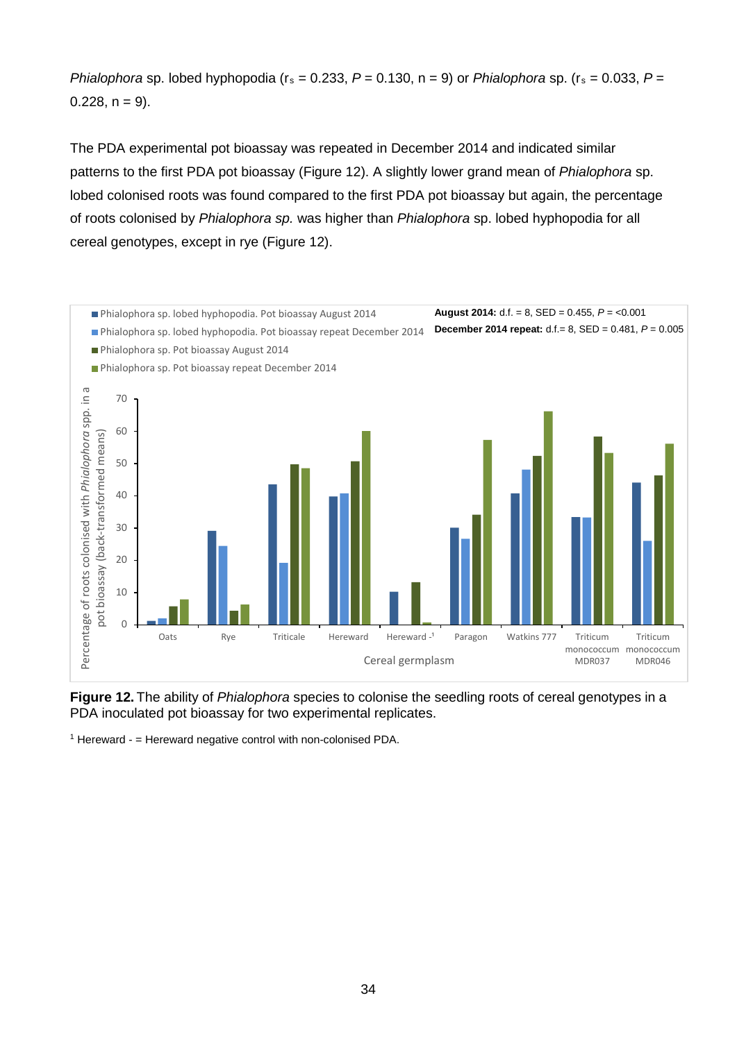*Phialophora* sp. lobed hyphopodia ( $r_s = 0.233$ ,  $P = 0.130$ ,  $n = 9$ ) or *Phialophora* sp. ( $r_s = 0.033$ ,  $P =$  $0.228$ ,  $n = 9$ ).

The PDA experimental pot bioassay was repeated in December 2014 and indicated similar patterns to the first PDA pot bioassay [\(Figure 12\)](#page-35-0). A slightly lower grand mean of *Phialophora* sp. lobed colonised roots was found compared to the first PDA pot bioassay but again, the percentage of roots colonised by *Phialophora sp.* was higher than *Phialophora* sp. lobed hyphopodia for all cereal genotypes, except in rye [\(Figure 12\)](#page-35-0).



<span id="page-35-0"></span>**Figure 12.** The ability of *Phialophora* species to colonise the seedling roots of cereal genotypes in a PDA inoculated pot bioassay for two experimental replicates.

 $1$  Hereward -  $=$  Hereward negative control with non-colonised PDA.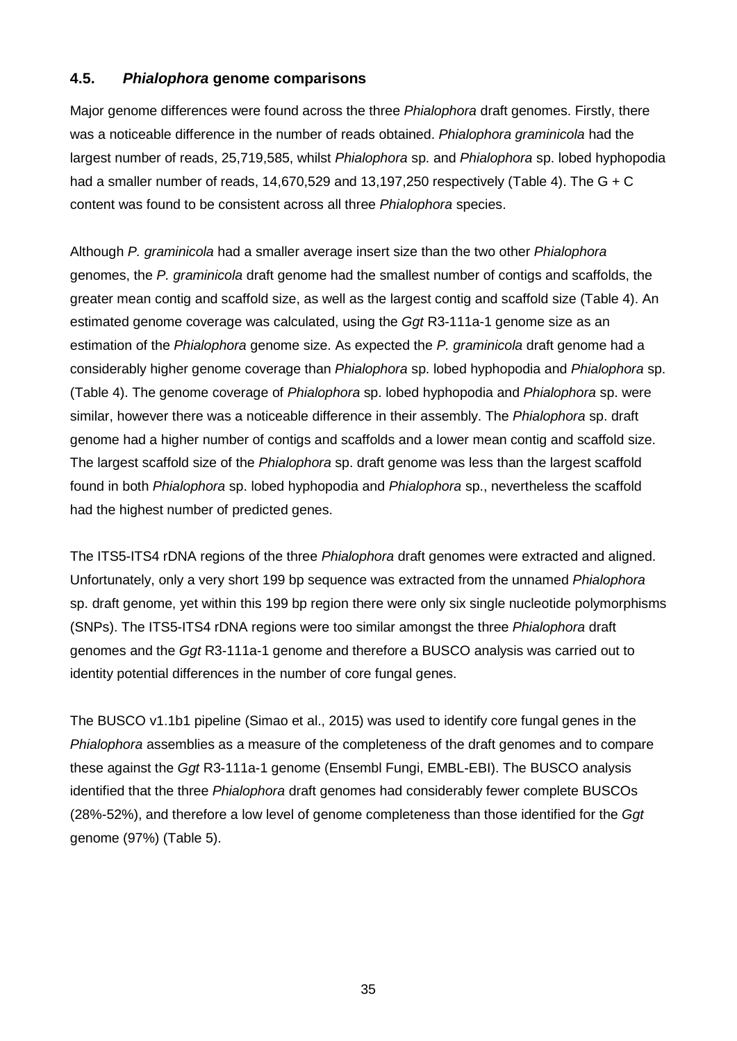### **4.5.** *Phialophora* **genome comparisons**

Major genome differences were found across the three *Phialophora* draft genomes. Firstly, there was a noticeable difference in the number of reads obtained. *Phialophora graminicola* had the largest number of reads, 25,719,585, whilst *Phialophora* sp. and *Phialophora* sp. lobed hyphopodia had a smaller number of reads, 14,670,529 and 13,197,250 respectively [\(Table 4\)](#page-37-0). The  $G + C$ content was found to be consistent across all three *Phialophora* species.

Although *P. graminicola* had a smaller average insert size than the two other *Phialophora* genomes, the *P. graminicola* draft genome had the smallest number of contigs and scaffolds, the greater mean contig and scaffold size, as well as the largest contig and scaffold size [\(Table 4\)](#page-37-0). An estimated genome coverage was calculated, using the *Ggt* R3-111a-1 genome size as an estimation of the *Phialophora* genome size. As expected the *P. graminicola* draft genome had a considerably higher genome coverage than *Phialophora* sp. lobed hyphopodia and *Phialophora* sp. [\(Table 4\)](#page-37-0). The genome coverage of *Phialophora* sp. lobed hyphopodia and *Phialophora* sp. were similar, however there was a noticeable difference in their assembly. The *Phialophora* sp. draft genome had a higher number of contigs and scaffolds and a lower mean contig and scaffold size. The largest scaffold size of the *Phialophora* sp. draft genome was less than the largest scaffold found in both *Phialophora* sp. lobed hyphopodia and *Phialophora* sp., nevertheless the scaffold had the highest number of predicted genes.

The ITS5-ITS4 rDNA regions of the three *Phialophora* draft genomes were extracted and aligned. Unfortunately, only a very short 199 bp sequence was extracted from the unnamed *Phialophora* sp. draft genome, yet within this 199 bp region there were only six single nucleotide polymorphisms (SNPs). The ITS5-ITS4 rDNA regions were too similar amongst the three *Phialophora* draft genomes and the *Ggt* R3-111a-1 genome and therefore a BUSCO analysis was carried out to identity potential differences in the number of core fungal genes.

The BUSCO v1.1b1 pipeline (Simao et al., 2015) was used to identify core fungal genes in the *Phialophora* assemblies as a measure of the completeness of the draft genomes and to compare these against the *Ggt* R3-111a-1 genome (Ensembl Fungi, EMBL-EBI). The BUSCO analysis identified that the three *Phialophora* draft genomes had considerably fewer complete BUSCOs (28%-52%), and therefore a low level of genome completeness than those identified for the *Ggt* genome (97%) [\(Table 5\)](#page-38-0).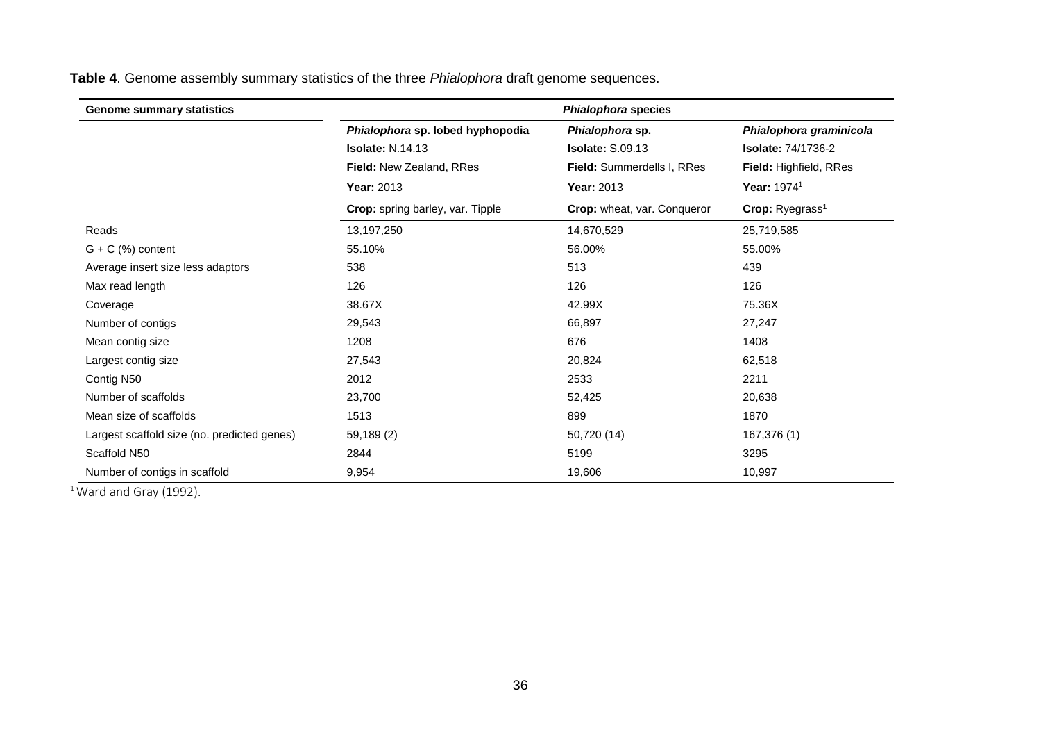| <b>Genome summary statistics</b>            | Phialophora species              |                             |                             |  |  |
|---------------------------------------------|----------------------------------|-----------------------------|-----------------------------|--|--|
|                                             | Phialophora sp. lobed hyphopodia | Phialophora sp.             | Phialophora graminicola     |  |  |
|                                             | <b>Isolate:</b> $N.14.13$        | <b>Isolate: S.09.13</b>     | <b>Isolate: 74/1736-2</b>   |  |  |
|                                             | Field: New Zealand, RRes         | Field: Summerdells I, RRes  | Field: Highfield, RRes      |  |  |
|                                             | Year: 2013                       | Year: 2013                  | Year: 1974 <sup>1</sup>     |  |  |
|                                             | Crop: spring barley, var. Tipple | Crop: wheat, var. Conqueror | Crop: Ryegrass <sup>1</sup> |  |  |
| Reads                                       | 13,197,250                       | 14,670,529                  | 25,719,585                  |  |  |
| $G + C$ (%) content                         | 55.10%                           | 56.00%                      | 55.00%                      |  |  |
| Average insert size less adaptors           | 538                              | 513                         | 439                         |  |  |
| Max read length                             | 126                              | 126                         | 126                         |  |  |
| Coverage                                    | 38.67X                           | 42.99X                      | 75.36X                      |  |  |
| Number of contigs                           | 29,543                           | 66,897                      | 27,247                      |  |  |
| Mean contig size                            | 1208                             | 676                         | 1408                        |  |  |
| Largest contig size                         | 27,543                           | 20,824                      | 62,518                      |  |  |
| Contig N50                                  | 2012                             | 2533                        | 2211                        |  |  |
| Number of scaffolds                         | 23,700                           | 52,425                      | 20,638                      |  |  |
| Mean size of scaffolds                      | 1513                             | 899                         | 1870                        |  |  |
| Largest scaffold size (no. predicted genes) | 59,189 (2)                       | 50,720 (14)                 | 167,376 (1)                 |  |  |
| Scaffold N50                                | 2844                             | 5199                        | 3295                        |  |  |
| Number of contigs in scaffold               | 9,954                            | 19,606                      | 10,997                      |  |  |

**Table 4**. Genome assembly summary statistics of the three *Phialophora* draft genome sequences.

<span id="page-37-0"></span> $1$ Ward and Gray (1992).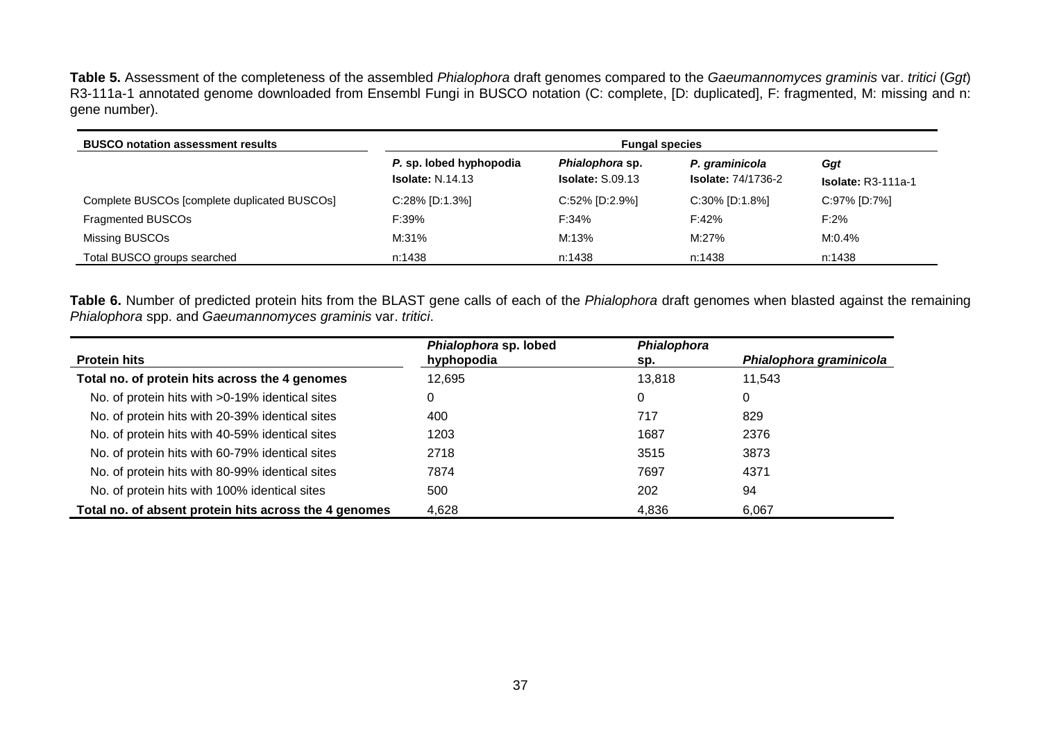**Table 5.** Assessment of the completeness of the assembled *Phialophora* draft genomes compared to the *Gaeumannomyces graminis* var. *tritici* (*Ggt*) R3-111a-1 annotated genome downloaded from Ensembl Fungi in BUSCO notation (C: complete, [D: duplicated], F: fragmented, M: missing and n: gene number).

| <b>BUSCO notation assessment results</b>     | <b>Fungal species</b>                              |                                                   |                                             |                             |  |
|----------------------------------------------|----------------------------------------------------|---------------------------------------------------|---------------------------------------------|-----------------------------|--|
|                                              | P. sp. lobed hyphopodia<br><b>Isolate: N.14.13</b> | <i>Phialophora</i> sp.<br><b>Isolate: S.09.13</b> | P. graminicola<br><b>Isolate: 74/1736-2</b> | Ggt<br>$Isolate: R3-111a-1$ |  |
| Complete BUSCOs [complete duplicated BUSCOs] | $C:28\%$ [D:1.3%]                                  | $C:52\%$ [D:2.9%]                                 | $C:30\%$ [D:1.8%]                           | C:97% [D:7%]                |  |
| Fragmented BUSCOs                            | F:39%                                              | F:34%                                             | F:42%                                       | $F:2\%$                     |  |
| Missing BUSCOs                               | M:31%                                              | M:13%                                             | M:27%                                       | M:0.4%                      |  |
| Total BUSCO groups searched                  | n:1438                                             | n:1438                                            | n:1438                                      | n:1438                      |  |

**Table 6.** Number of predicted protein hits from the BLAST gene calls of each of the *Phialophora* draft genomes when blasted against the remaining *Phialophora* spp. and *Gaeumannomyces graminis* var. *tritici*.

<span id="page-38-1"></span><span id="page-38-0"></span>

|                                                       | Phialophora sp. lobed | Phialophora |                         |
|-------------------------------------------------------|-----------------------|-------------|-------------------------|
| <b>Protein hits</b>                                   | hyphopodia            | sp.         | Phialophora graminicola |
| Total no. of protein hits across the 4 genomes        | 12,695                | 13.818      | 11.543                  |
| No. of protein hits with >0-19% identical sites       | 0                     | 0           | 0                       |
| No. of protein hits with 20-39% identical sites       | 400                   | 717         | 829                     |
| No. of protein hits with 40-59% identical sites       | 1203                  | 1687        | 2376                    |
| No. of protein hits with 60-79% identical sites       | 2718                  | 3515        | 3873                    |
| No. of protein hits with 80-99% identical sites       | 7874                  | 7697        | 4371                    |
| No. of protein hits with 100% identical sites         | 500                   | 202         | 94                      |
| Total no. of absent protein hits across the 4 genomes | 4,628                 | 4,836       | 6,067                   |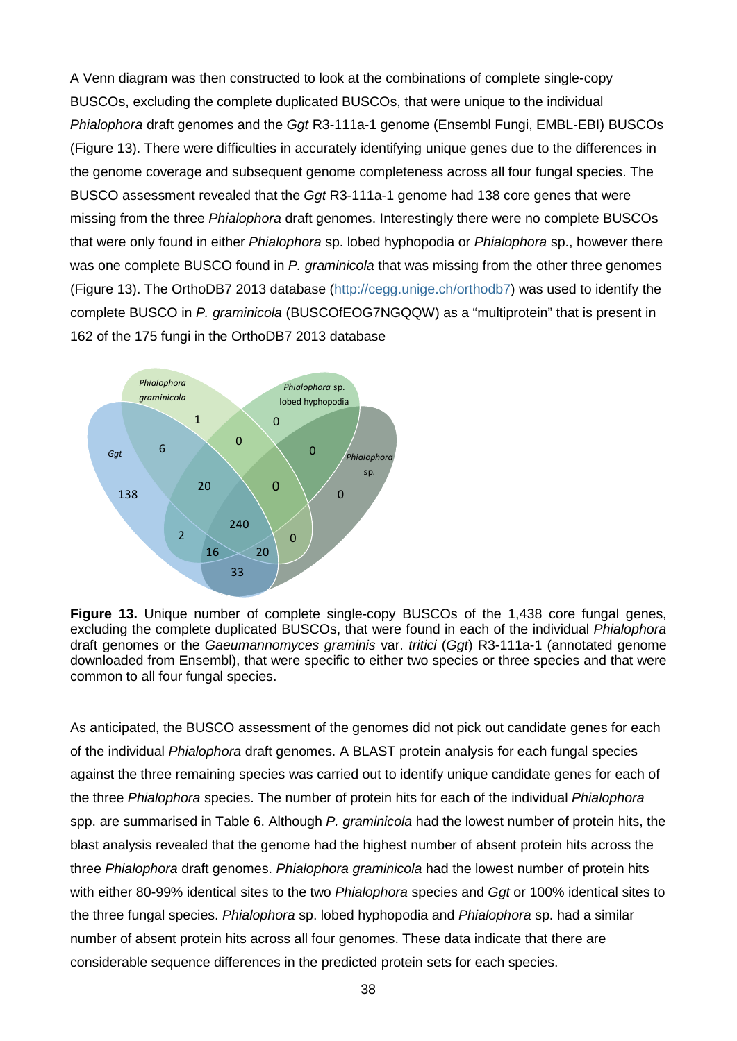A Venn diagram was then constructed to look at the combinations of complete single-copy BUSCOs, excluding the complete duplicated BUSCOs, that were unique to the individual *Phialophora* draft genomes and the *Ggt* R3-111a-1 genome (Ensembl Fungi, EMBL-EBI) BUSCOs [\(Figure 13\)](#page-39-0). There were difficulties in accurately identifying unique genes due to the differences in the genome coverage and subsequent genome completeness across all four fungal species. The BUSCO assessment revealed that the *Ggt* R3-111a-1 genome had 138 core genes that were missing from the three *Phialophora* draft genomes. Interestingly there were no complete BUSCOs that were only found in either *Phialophora* sp. lobed hyphopodia or *Phialophora* sp., however there was one complete BUSCO found in *P. graminicola* that was missing from the other three genomes [\(Figure 13\)](#page-39-0). The OrthoDB7 2013 database [\(http://cegg.unige.ch/orthodb7\)](http://cegg.unige.ch/orthodb7) was used to identify the complete BUSCO in *P. graminicola* (BUSCOfEOG7NGQQW) as a "multiprotein" that is present in 162 of the 175 fungi in the OrthoDB7 2013 database



<span id="page-39-0"></span>**Figure 13.** Unique number of complete single-copy BUSCOs of the 1,438 core fungal genes, excluding the complete duplicated BUSCOs, that were found in each of the individual *Phialophora* draft genomes or the *Gaeumannomyces graminis* var. *tritici* (*Ggt*) R3-111a-1 (annotated genome downloaded from Ensembl), that were specific to either two species or three species and that were common to all four fungal species.

As anticipated, the BUSCO assessment of the genomes did not pick out candidate genes for each of the individual *Phialophora* draft genomes. A BLAST protein analysis for each fungal species against the three remaining species was carried out to identify unique candidate genes for each of the three *Phialophora* species. The number of protein hits for each of the individual *Phialophora* spp. are summarised in [Table 6.](#page-38-1) Although *P. graminicola* had the lowest number of protein hits, the blast analysis revealed that the genome had the highest number of absent protein hits across the three *Phialophora* draft genomes. *Phialophora graminicola* had the lowest number of protein hits with either 80-99% identical sites to the two *Phialophora* species and *Ggt* or 100% identical sites to the three fungal species. *Phialophora* sp. lobed hyphopodia and *Phialophora* sp. had a similar number of absent protein hits across all four genomes. These data indicate that there are considerable sequence differences in the predicted protein sets for each species.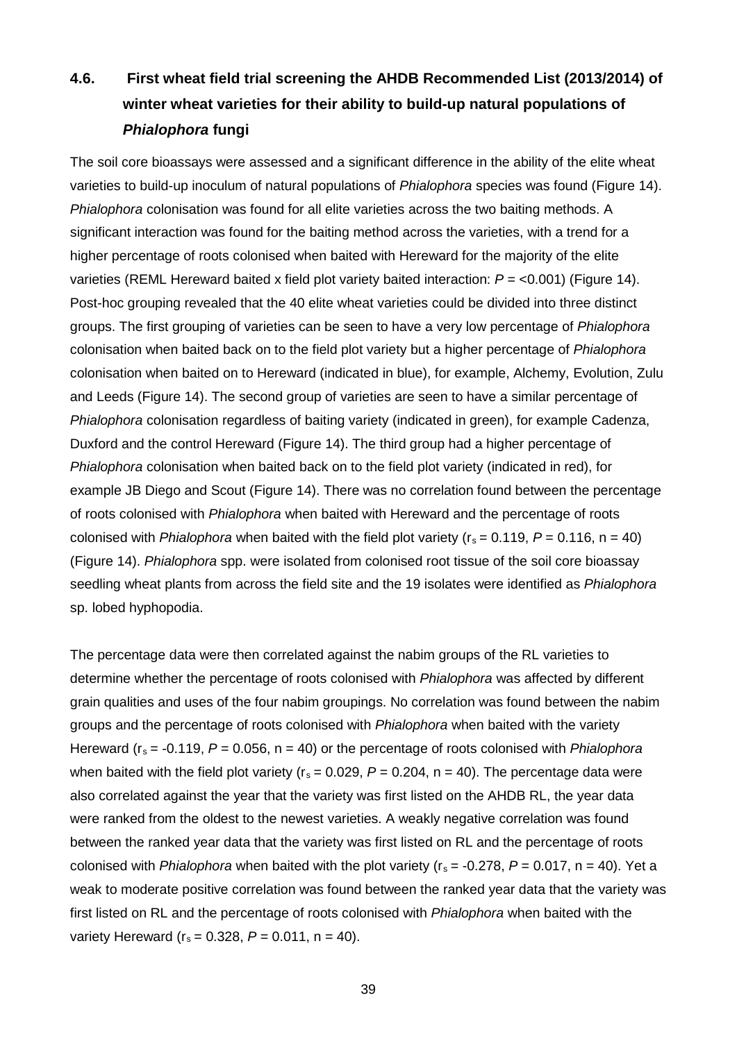## **4.6. First wheat field trial screening the AHDB Recommended List (2013/2014) of winter wheat varieties for their ability to build-up natural populations of**  *Phialophora* **fungi**

The soil core bioassays were assessed and a significant difference in the ability of the elite wheat varieties to build-up inoculum of natural populations of *Phialophora* species was found [\(Figure 14\)](#page-41-0). *Phialophora* colonisation was found for all elite varieties across the two baiting methods. A significant interaction was found for the baiting method across the varieties, with a trend for a higher percentage of roots colonised when baited with Hereward for the majority of the elite varieties (REML Hereward baited x field plot variety baited interaction: *P* = <0.001) [\(Figure 14\)](#page-41-0). Post-hoc grouping revealed that the 40 elite wheat varieties could be divided into three distinct groups. The first grouping of varieties can be seen to have a very low percentage of *Phialophora* colonisation when baited back on to the field plot variety but a higher percentage of *Phialophora* colonisation when baited on to Hereward (indicated in blue), for example, Alchemy, Evolution, Zulu and Leeds [\(Figure 14\)](#page-41-0). The second group of varieties are seen to have a similar percentage of *Phialophora* colonisation regardless of baiting variety (indicated in green), for example Cadenza, Duxford and the control Hereward [\(Figure 14\)](#page-41-0). The third group had a higher percentage of *Phialophora* colonisation when baited back on to the field plot variety (indicated in red), for example JB Diego and Scout [\(Figure 14\)](#page-41-0). There was no correlation found between the percentage of roots colonised with *Phialophora* when baited with Hereward and the percentage of roots colonised with *Phialophora* when baited with the field plot variety ( $r_s = 0.119$ ,  $P = 0.116$ ,  $n = 40$ ) [\(Figure 14\)](#page-41-0). *Phialophora* spp. were isolated from colonised root tissue of the soil core bioassay seedling wheat plants from across the field site and the 19 isolates were identified as *Phialophora* sp. lobed hyphopodia.

The percentage data were then correlated against the nabim groups of the RL varieties to determine whether the percentage of roots colonised with *Phialophora* was affected by different grain qualities and uses of the four nabim groupings. No correlation was found between the nabim groups and the percentage of roots colonised with *Phialophora* when baited with the variety Hereward ( $r_s = -0.119$ ,  $P = 0.056$ ,  $n = 40$ ) or the percentage of roots colonised with *Phialophora* when baited with the field plot variety ( $r_s = 0.029$ ,  $P = 0.204$ ,  $n = 40$ ). The percentage data were also correlated against the year that the variety was first listed on the AHDB RL, the year data were ranked from the oldest to the newest varieties. A weakly negative correlation was found between the ranked year data that the variety was first listed on RL and the percentage of roots colonised with *Phialophora* when baited with the plot variety ( $r_s = -0.278$ ,  $P = 0.017$ ,  $n = 40$ ). Yet a weak to moderate positive correlation was found between the ranked year data that the variety was first listed on RL and the percentage of roots colonised with *Phialophora* when baited with the variety Hereward ( $r_s = 0.328$ ,  $P = 0.011$ ,  $n = 40$ ).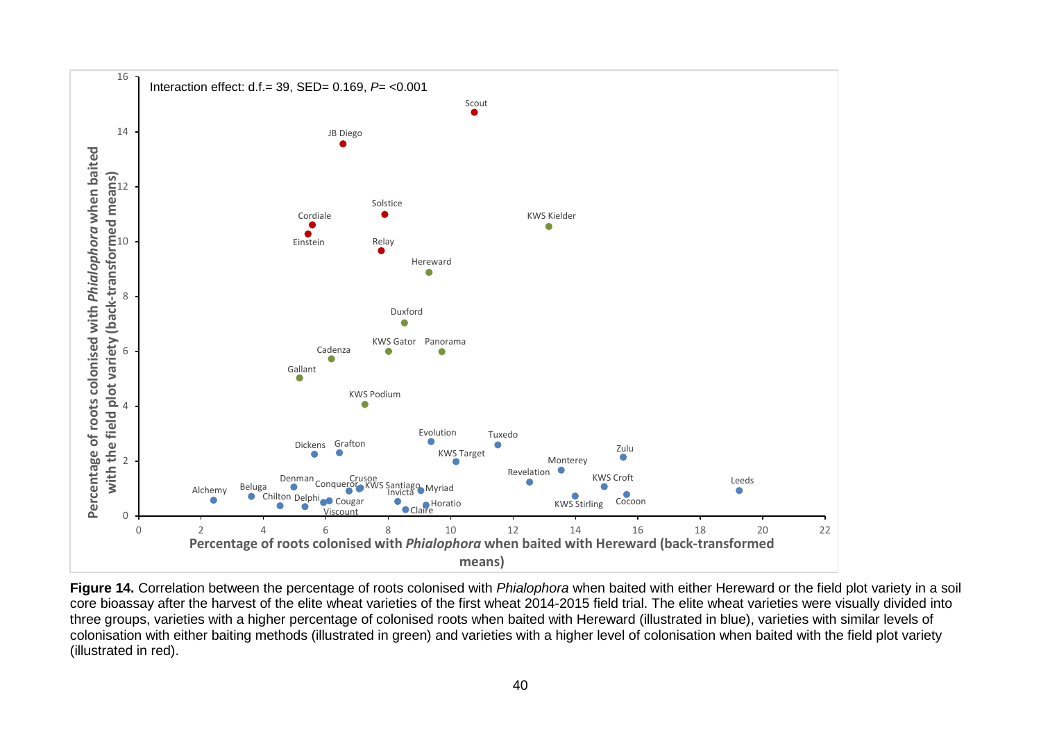

<span id="page-41-0"></span>**Figure 14.** Correlation between the percentage of roots colonised with *Phialophora* when baited with either Hereward or the field plot variety in a soil core bioassay after the harvest of the elite wheat varieties of the first wheat 2014-2015 field trial. The elite wheat varieties were visually divided into three groups, varieties with a higher percentage of colonised roots when baited with Hereward (illustrated in blue), varieties with similar levels of colonisation with either baiting methods (illustrated in green) and varieties with a higher level of colonisation when baited with the field plot variety (illustrated in red).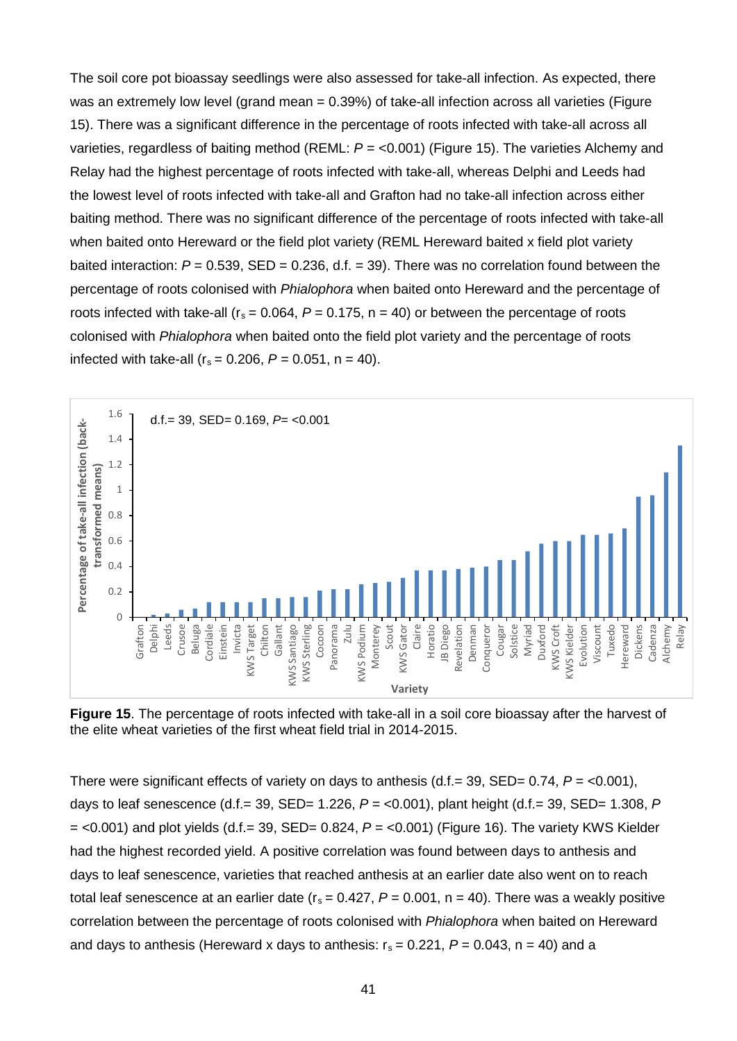The soil core pot bioassay seedlings were also assessed for take-all infection. As expected, there was an extremely low level (grand mean = 0.39%) of take-all infection across all varieties [\(Figure](#page-42-0)  [15\)](#page-42-0). There was a significant difference in the percentage of roots infected with take-all across all varieties, regardless of baiting method (REML: *P* = <0.001) [\(Figure 15\)](#page-42-0). The varieties Alchemy and Relay had the highest percentage of roots infected with take-all, whereas Delphi and Leeds had the lowest level of roots infected with take-all and Grafton had no take-all infection across either baiting method. There was no significant difference of the percentage of roots infected with take-all when baited onto Hereward or the field plot variety (REML Hereward baited x field plot variety baited interaction:  $P = 0.539$ ,  $SED = 0.236$ , d.f.  $= 39$ ). There was no correlation found between the percentage of roots colonised with *Phialophora* when baited onto Hereward and the percentage of roots infected with take-all ( $r_s = 0.064$ ,  $P = 0.175$ ,  $n = 40$ ) or between the percentage of roots colonised with *Phialophora* when baited onto the field plot variety and the percentage of roots infected with take-all  $(r_s = 0.206, P = 0.051, n = 40)$ .



<span id="page-42-0"></span>**Figure 15**. The percentage of roots infected with take-all in a soil core bioassay after the harvest of the elite wheat varieties of the first wheat field trial in 2014-2015.

There were significant effects of variety on days to anthesis  $(d.f.= 39, SED= 0.74, P = <0.001)$ , days to leaf senescence (d.f.= 39, SED= 1.226, *P* = <0.001), plant height (d.f.= 39, SED= 1.308, *P*  = <0.001) and plot yields (d.f.= 39, SED= 0.824, *P* = <0.001) [\(Figure 16\)](#page-43-0). The variety KWS Kielder had the highest recorded yield. A positive correlation was found between days to anthesis and days to leaf senescence, varieties that reached anthesis at an earlier date also went on to reach total leaf senescence at an earlier date ( $r_s = 0.427$ ,  $P = 0.001$ ,  $n = 40$ ). There was a weakly positive correlation between the percentage of roots colonised with *Phialophora* when baited on Hereward and days to anthesis (Hereward x days to anthesis:  $r_s = 0.221$ ,  $P = 0.043$ ,  $n = 40$ ) and a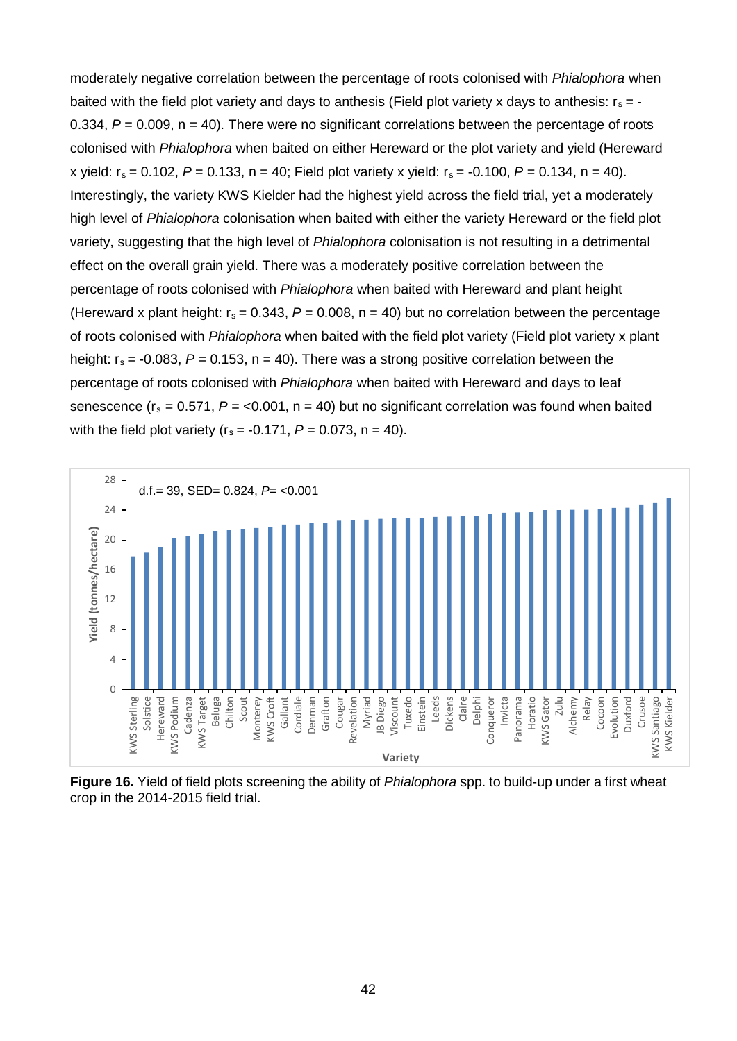moderately negative correlation between the percentage of roots colonised with *Phialophora* when baited with the field plot variety and days to anthesis (Field plot variety x days to anthesis:  $r_s = -$ 0.334, *P* = 0.009, n = 40). There were no significant correlations between the percentage of roots colonised with *Phialophora* when baited on either Hereward or the plot variety and yield (Hereward x vield:  $r_s = 0.102$ ,  $P = 0.133$ ,  $n = 40$ ; Field plot variety x yield:  $r_s = -0.100$ ,  $P = 0.134$ ,  $n = 40$ ). Interestingly, the variety KWS Kielder had the highest yield across the field trial, yet a moderately high level of *Phialophora* colonisation when baited with either the variety Hereward or the field plot variety, suggesting that the high level of *Phialophora* colonisation is not resulting in a detrimental effect on the overall grain yield. There was a moderately positive correlation between the percentage of roots colonised with *Phialophora* when baited with Hereward and plant height (Hereward x plant height:  $r_s = 0.343$ ,  $P = 0.008$ ,  $n = 40$ ) but no correlation between the percentage of roots colonised with *Phialophora* when baited with the field plot variety (Field plot variety x plant height:  $r_s = -0.083$ ,  $P = 0.153$ ,  $n = 40$ ). There was a strong positive correlation between the percentage of roots colonised with *Phialophora* when baited with Hereward and days to leaf senescence ( $r_s = 0.571$ ,  $P = 0.001$ ,  $n = 40$ ) but no significant correlation was found when baited with the field plot variety  $(r_s = -0.171, P = 0.073, n = 40)$ .



<span id="page-43-0"></span>**Figure 16.** Yield of field plots screening the ability of *Phialophora* spp. to build-up under a first wheat crop in the 2014-2015 field trial.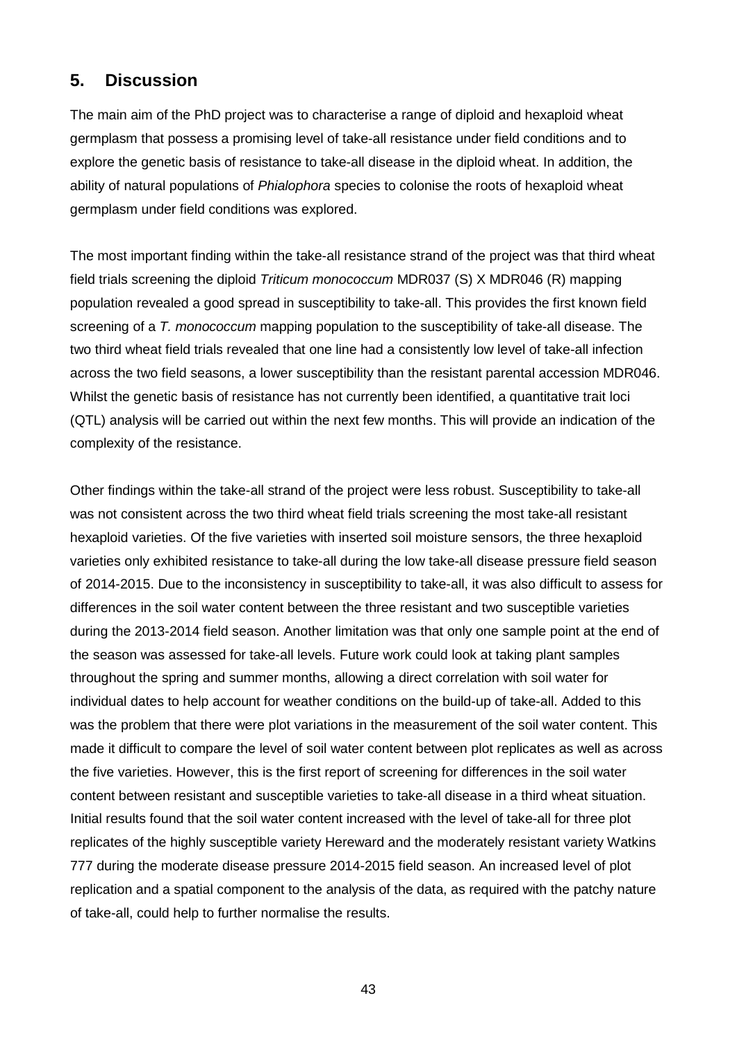### **5. Discussion**

The main aim of the PhD project was to characterise a range of diploid and hexaploid wheat germplasm that possess a promising level of take-all resistance under field conditions and to explore the genetic basis of resistance to take-all disease in the diploid wheat. In addition, the ability of natural populations of *Phialophora* species to colonise the roots of hexaploid wheat germplasm under field conditions was explored.

The most important finding within the take-all resistance strand of the project was that third wheat field trials screening the diploid *Triticum monococcum* MDR037 (S) X MDR046 (R) mapping population revealed a good spread in susceptibility to take-all. This provides the first known field screening of a *T. monococcum* mapping population to the susceptibility of take-all disease. The two third wheat field trials revealed that one line had a consistently low level of take-all infection across the two field seasons, a lower susceptibility than the resistant parental accession MDR046. Whilst the genetic basis of resistance has not currently been identified, a quantitative trait loci (QTL) analysis will be carried out within the next few months. This will provide an indication of the complexity of the resistance.

Other findings within the take-all strand of the project were less robust. Susceptibility to take-all was not consistent across the two third wheat field trials screening the most take-all resistant hexaploid varieties. Of the five varieties with inserted soil moisture sensors, the three hexaploid varieties only exhibited resistance to take-all during the low take-all disease pressure field season of 2014-2015. Due to the inconsistency in susceptibility to take-all, it was also difficult to assess for differences in the soil water content between the three resistant and two susceptible varieties during the 2013-2014 field season. Another limitation was that only one sample point at the end of the season was assessed for take-all levels. Future work could look at taking plant samples throughout the spring and summer months, allowing a direct correlation with soil water for individual dates to help account for weather conditions on the build-up of take-all. Added to this was the problem that there were plot variations in the measurement of the soil water content. This made it difficult to compare the level of soil water content between plot replicates as well as across the five varieties. However, this is the first report of screening for differences in the soil water content between resistant and susceptible varieties to take-all disease in a third wheat situation. Initial results found that the soil water content increased with the level of take-all for three plot replicates of the highly susceptible variety Hereward and the moderately resistant variety Watkins 777 during the moderate disease pressure 2014-2015 field season. An increased level of plot replication and a spatial component to the analysis of the data, as required with the patchy nature of take-all, could help to further normalise the results.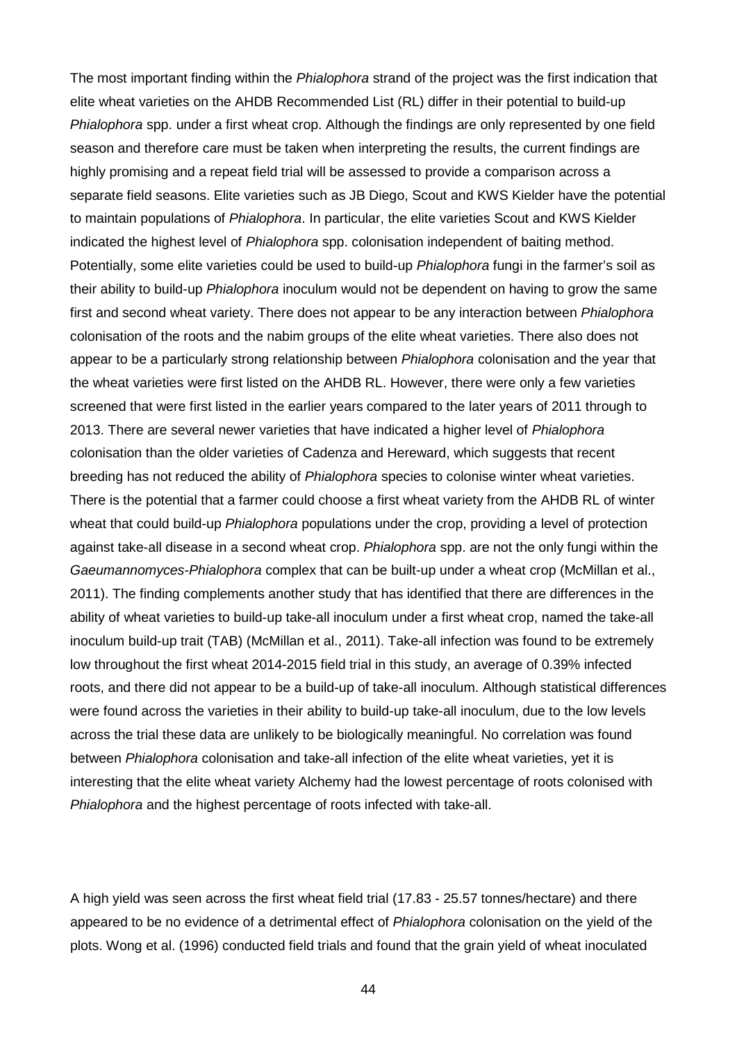The most important finding within the *Phialophora* strand of the project was the first indication that elite wheat varieties on the AHDB Recommended List (RL) differ in their potential to build-up *Phialophora* spp. under a first wheat crop. Although the findings are only represented by one field season and therefore care must be taken when interpreting the results, the current findings are highly promising and a repeat field trial will be assessed to provide a comparison across a separate field seasons. Elite varieties such as JB Diego, Scout and KWS Kielder have the potential to maintain populations of *Phialophora*. In particular, the elite varieties Scout and KWS Kielder indicated the highest level of *Phialophora* spp. colonisation independent of baiting method. Potentially, some elite varieties could be used to build-up *Phialophora* fungi in the farmer's soil as their ability to build-up *Phialophora* inoculum would not be dependent on having to grow the same first and second wheat variety. There does not appear to be any interaction between *Phialophora* colonisation of the roots and the nabim groups of the elite wheat varieties. There also does not appear to be a particularly strong relationship between *Phialophora* colonisation and the year that the wheat varieties were first listed on the AHDB RL. However, there were only a few varieties screened that were first listed in the earlier years compared to the later years of 2011 through to 2013. There are several newer varieties that have indicated a higher level of *Phialophora* colonisation than the older varieties of Cadenza and Hereward, which suggests that recent breeding has not reduced the ability of *Phialophora* species to colonise winter wheat varieties. There is the potential that a farmer could choose a first wheat variety from the AHDB RL of winter wheat that could build-up *Phialophora* populations under the crop, providing a level of protection against take-all disease in a second wheat crop. *Phialophora* spp. are not the only fungi within the *Gaeumannomyces*-*Phialophora* complex that can be built-up under a wheat crop (McMillan et al., 2011). The finding complements another study that has identified that there are differences in the ability of wheat varieties to build-up take-all inoculum under a first wheat crop, named the take-all inoculum build-up trait (TAB) (McMillan et al., 2011). Take-all infection was found to be extremely low throughout the first wheat 2014-2015 field trial in this study, an average of 0.39% infected roots, and there did not appear to be a build-up of take-all inoculum. Although statistical differences were found across the varieties in their ability to build-up take-all inoculum, due to the low levels across the trial these data are unlikely to be biologically meaningful. No correlation was found between *Phialophora* colonisation and take-all infection of the elite wheat varieties, yet it is interesting that the elite wheat variety Alchemy had the lowest percentage of roots colonised with *Phialophora* and the highest percentage of roots infected with take-all.

A high yield was seen across the first wheat field trial (17.83 - 25.57 tonnes/hectare) and there appeared to be no evidence of a detrimental effect of *Phialophora* colonisation on the yield of the plots. Wong et al. (1996) conducted field trials and found that the grain yield of wheat inoculated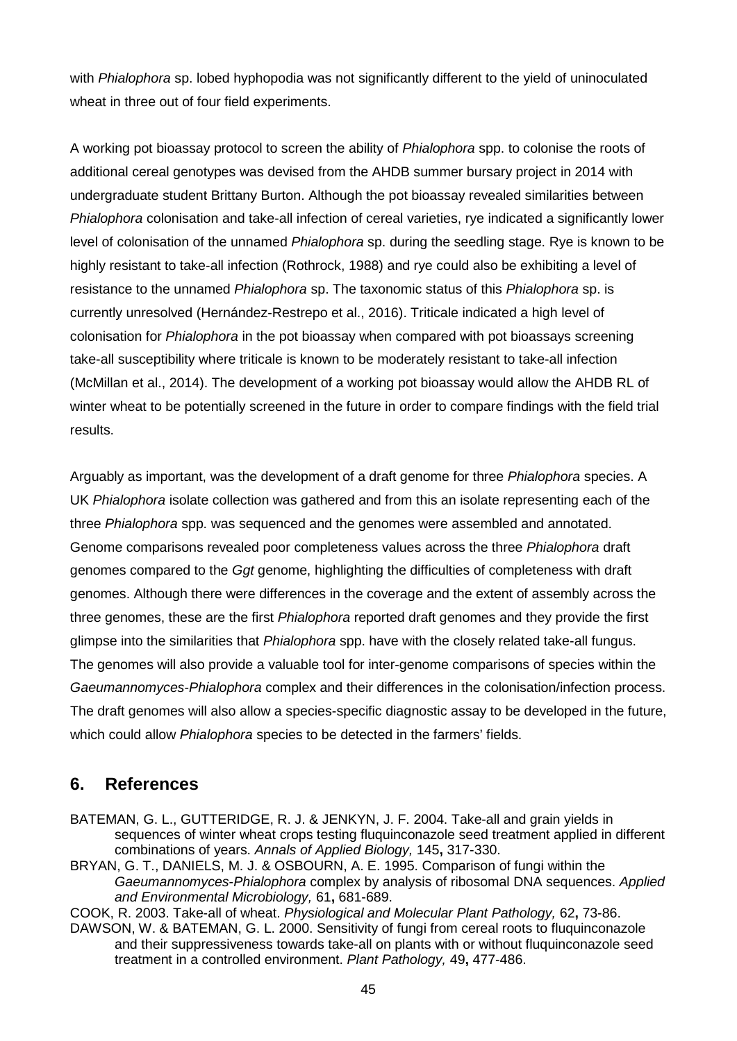with *Phialophora* sp. lobed hyphopodia was not significantly different to the yield of uninoculated wheat in three out of four field experiments.

A working pot bioassay protocol to screen the ability of *Phialophora* spp. to colonise the roots of additional cereal genotypes was devised from the AHDB summer bursary project in 2014 with undergraduate student Brittany Burton. Although the pot bioassay revealed similarities between *Phialophora* colonisation and take-all infection of cereal varieties, rye indicated a significantly lower level of colonisation of the unnamed *Phialophora* sp. during the seedling stage. Rye is known to be highly resistant to take-all infection (Rothrock, 1988) and rye could also be exhibiting a level of resistance to the unnamed *Phialophora* sp. The taxonomic status of this *Phialophora* sp. is currently unresolved (Hernández-Restrepo et al., 2016). Triticale indicated a high level of colonisation for *Phialophora* in the pot bioassay when compared with pot bioassays screening take-all susceptibility where triticale is known to be moderately resistant to take-all infection (McMillan et al., 2014). The development of a working pot bioassay would allow the AHDB RL of winter wheat to be potentially screened in the future in order to compare findings with the field trial results.

Arguably as important, was the development of a draft genome for three *Phialophora* species. A UK *Phialophora* isolate collection was gathered and from this an isolate representing each of the three *Phialophora* spp. was sequenced and the genomes were assembled and annotated. Genome comparisons revealed poor completeness values across the three *Phialophora* draft genomes compared to the *Ggt* genome, highlighting the difficulties of completeness with draft genomes. Although there were differences in the coverage and the extent of assembly across the three genomes, these are the first *Phialophora* reported draft genomes and they provide the first glimpse into the similarities that *Phialophora* spp. have with the closely related take-all fungus. The genomes will also provide a valuable tool for inter-genome comparisons of species within the *Gaeumannomyces*-*Phialophora* complex and their differences in the colonisation/infection process. The draft genomes will also allow a species-specific diagnostic assay to be developed in the future, which could allow *Phialophora* species to be detected in the farmers' fields.

### **6. References**

- BATEMAN, G. L., GUTTERIDGE, R. J. & JENKYN, J. F. 2004. Take-all and grain yields in sequences of winter wheat crops testing fluquinconazole seed treatment applied in different combinations of years. *Annals of Applied Biology,* 145**,** 317-330.
- BRYAN, G. T., DANIELS, M. J. & OSBOURN, A. E. 1995. Comparison of fungi within the *Gaeumannomyces*-*Phialophora* complex by analysis of ribosomal DNA sequences. *Applied and Environmental Microbiology,* 61**,** 681-689.

COOK, R. 2003. Take-all of wheat. *Physiological and Molecular Plant Pathology,* 62**,** 73-86.

DAWSON, W. & BATEMAN, G. L. 2000. Sensitivity of fungi from cereal roots to fluquinconazole and their suppressiveness towards take-all on plants with or without fluquinconazole seed treatment in a controlled environment. *Plant Pathology,* 49**,** 477-486.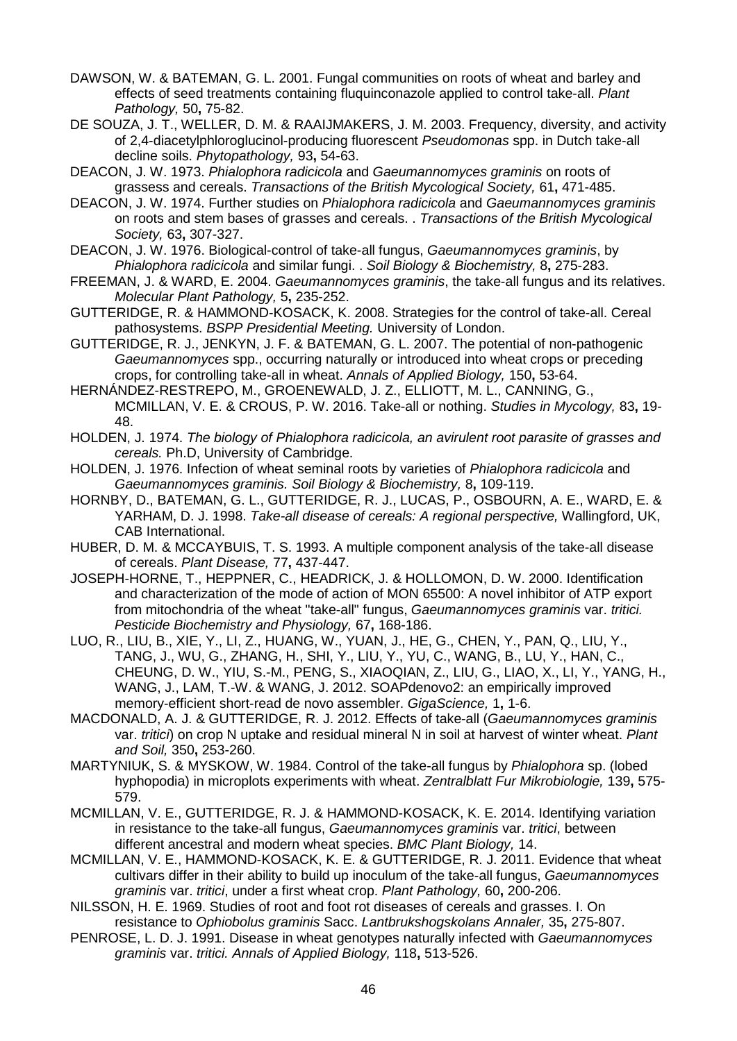- DAWSON, W. & BATEMAN, G. L. 2001. Fungal communities on roots of wheat and barley and effects of seed treatments containing fluquinconazole applied to control take-all. *Plant Pathology,* 50**,** 75-82.
- DE SOUZA, J. T., WELLER, D. M. & RAAIJMAKERS, J. M. 2003. Frequency, diversity, and activity of 2,4-diacetylphloroglucinol-producing fluorescent *Pseudomonas* spp. in Dutch take-all decline soils. *Phytopathology,* 93**,** 54-63.
- DEACON, J. W. 1973. *Phialophora radicicola* and *Gaeumannomyces graminis* on roots of grassess and cereals. *Transactions of the British Mycological Society,* 61**,** 471-485.
- DEACON, J. W. 1974. Further studies on *Phialophora radicicola* and *Gaeumannomyces graminis* on roots and stem bases of grasses and cereals. . *Transactions of the British Mycological Society,* 63**,** 307-327.
- DEACON, J. W. 1976. Biological-control of take-all fungus, *Gaeumannomyces graminis*, by *Phialophora radicicola* and similar fungi. . *Soil Biology & Biochemistry,* 8**,** 275-283.
- FREEMAN, J. & WARD, E. 2004. *Gaeumannomyces graminis*, the take-all fungus and its relatives. *Molecular Plant Pathology,* 5**,** 235-252.
- GUTTERIDGE, R. & HAMMOND-KOSACK, K. 2008. Strategies for the control of take-all. Cereal pathosystems. *BSPP Presidential Meeting.* University of London.
- GUTTERIDGE, R. J., JENKYN, J. F. & BATEMAN, G. L. 2007. The potential of non-pathogenic *Gaeumannomyces* spp., occurring naturally or introduced into wheat crops or preceding crops, for controlling take-all in wheat. *Annals of Applied Biology,* 150**,** 53-64.
- HERNÁNDEZ-RESTREPO, M., GROENEWALD, J. Z., ELLIOTT, M. L., CANNING, G., MCMILLAN, V. E. & CROUS, P. W. 2016. Take-all or nothing. *Studies in Mycology,* 83**,** 19- 48.
- HOLDEN, J. 1974. *The biology of Phialophora radicicola, an avirulent root parasite of grasses and cereals.* Ph.D, University of Cambridge.
- HOLDEN, J. 1976. Infection of wheat seminal roots by varieties of *Phialophora radicicola* and *Gaeumannomyces graminis. Soil Biology & Biochemistry,* 8**,** 109-119.
- HORNBY, D., BATEMAN, G. L., GUTTERIDGE, R. J., LUCAS, P., OSBOURN, A. E., WARD, E. & YARHAM, D. J. 1998. *Take-all disease of cereals: A regional perspective,* Wallingford, UK, CAB International.
- HUBER, D. M. & MCCAYBUIS, T. S. 1993. A multiple component analysis of the take-all disease of cereals. *Plant Disease,* 77**,** 437-447.
- JOSEPH-HORNE, T., HEPPNER, C., HEADRICK, J. & HOLLOMON, D. W. 2000. Identification and characterization of the mode of action of MON 65500: A novel inhibitor of ATP export from mitochondria of the wheat "take-all" fungus, *Gaeumannomyces graminis* var. *tritici. Pesticide Biochemistry and Physiology,* 67**,** 168-186.
- LUO, R., LIU, B., XIE, Y., LI, Z., HUANG, W., YUAN, J., HE, G., CHEN, Y., PAN, Q., LIU, Y., TANG, J., WU, G., ZHANG, H., SHI, Y., LIU, Y., YU, C., WANG, B., LU, Y., HAN, C., CHEUNG, D. W., YIU, S.-M., PENG, S., XIAOQIAN, Z., LIU, G., LIAO, X., LI, Y., YANG, H., WANG, J., LAM, T.-W. & WANG, J. 2012. SOAPdenovo2: an empirically improved memory-efficient short-read de novo assembler. *GigaScience,* 1**,** 1-6.
- MACDONALD, A. J. & GUTTERIDGE, R. J. 2012. Effects of take-all (*Gaeumannomyces graminis*  var. *tritici*) on crop N uptake and residual mineral N in soil at harvest of winter wheat. *Plant and Soil,* 350**,** 253-260.
- MARTYNIUK, S. & MYSKOW, W. 1984. Control of the take-all fungus by *Phialophora* sp. (lobed hyphopodia) in microplots experiments with wheat. *Zentralblatt Fur Mikrobiologie,* 139**,** 575- 579.
- MCMILLAN, V. E., GUTTERIDGE, R. J. & HAMMOND-KOSACK, K. E. 2014. Identifying variation in resistance to the take-all fungus, *Gaeumannomyces graminis* var. *tritici*, between different ancestral and modern wheat species. *BMC Plant Biology,* 14.
- MCMILLAN, V. E., HAMMOND-KOSACK, K. E. & GUTTERIDGE, R. J. 2011. Evidence that wheat cultivars differ in their ability to build up inoculum of the take-all fungus, *Gaeumannomyces graminis* var. *tritici*, under a first wheat crop. *Plant Pathology,* 60**,** 200-206.
- NILSSON, H. E. 1969. Studies of root and foot rot diseases of cereals and grasses. I. On resistance to *Ophiobolus graminis* Sacc. *Lantbrukshogskolans Annaler,* 35**,** 275-807.
- PENROSE, L. D. J. 1991. Disease in wheat genotypes naturally infected with *Gaeumannomyces graminis* var. *tritici. Annals of Applied Biology,* 118**,** 513-526.